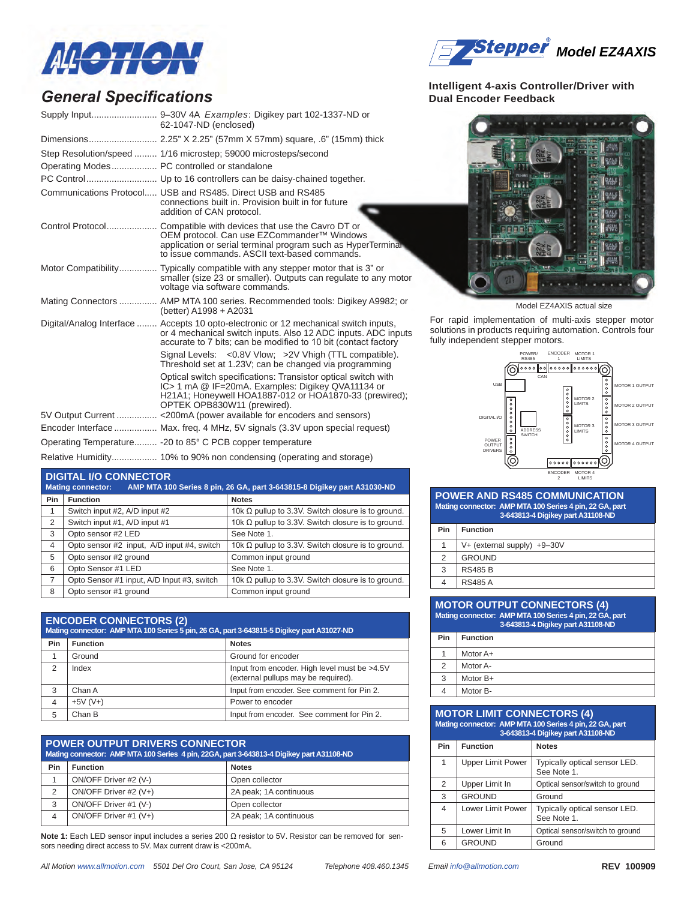

### *General Specifications*

| 62-1047-ND (enclosed)                                                                                                                                                                                                   |
|-------------------------------------------------------------------------------------------------------------------------------------------------------------------------------------------------------------------------|
|                                                                                                                                                                                                                         |
| Step Resolution/speed  1/16 microstep: 59000 microsteps/second<br>Operating Modes PC controlled or standalone                                                                                                           |
|                                                                                                                                                                                                                         |
| Communications Protocol, USB and RS485, Direct USB and RS485<br>connections built in. Provision built in for future<br>addition of CAN protocol.                                                                        |
| OEM protocol. Can use EZCommander™ Windows<br>application or serial terminal program such as HyperTerminal<br>to issue commands. ASCII text-based commands.                                                             |
| Motor Compatibility Typically compatible with any stepper motor that is 3" or<br>smaller (size 23 or smaller). Outputs can regulate to any motor<br>voltage via software commands.                                      |
| Mating Connectors  AMP MTA 100 series. Recommended tools: Digikey A9982; or<br>(better) A1998 + A2031                                                                                                                   |
| Digital/Analog Interface  Accepts 10 opto-electronic or 12 mechanical switch inputs,<br>or 4 mechanical switch inputs. Also 12 ADC inputs. ADC inputs<br>accurate to 7 bits; can be modified to 10 bit (contact factory |
| Signal Levels: < 0.8V Vlow; > 2V Vhigh (TTL compatible).<br>Threshold set at 1.23V; can be changed via programming                                                                                                      |
| Optical switch specifications: Transistor optical switch with<br>IC> 1 mA @ IF=20mA. Examples: Digikey QVA11134 or<br>H21A1; Honeywell HOA1887-012 or HOA1870-33 (prewired);<br>OPTEK OPB830W11 (prewired).             |
|                                                                                                                                                                                                                         |
| Encoder Interface  Max. freg. 4 MHz, 5V signals (3.3V upon special request)                                                                                                                                             |
| Operating Temperature - 20 to 85° C PCB copper temperature                                                                                                                                                              |
| Relative Humidity 10% to 90% non condensing (operating and storage)                                                                                                                                                     |

#### **Digital I/O connector**

| AMP MTA 100 Series 8 pin, 26 GA, part 3-643815-8 Digikey part A31030-ND<br><b>Mating connector:</b> |                                            |                                                           |  |  |
|-----------------------------------------------------------------------------------------------------|--------------------------------------------|-----------------------------------------------------------|--|--|
| Pin                                                                                                 | <b>Function</b>                            | <b>Notes</b>                                              |  |  |
| 1                                                                                                   | Switch input #2, A/D input #2              | 10k $\Omega$ pullup to 3.3V. Switch closure is to ground. |  |  |
| 2                                                                                                   | Switch input #1, A/D input #1              | 10k $\Omega$ pullup to 3.3V. Switch closure is to ground. |  |  |
| 3                                                                                                   | Opto sensor #2 LED                         | See Note 1.                                               |  |  |
| 4                                                                                                   | Opto sensor #2 input, A/D input #4, switch | 10k $\Omega$ pullup to 3.3V. Switch closure is to ground. |  |  |
| 5                                                                                                   | Opto sensor #2 ground                      | Common input ground                                       |  |  |
| 6                                                                                                   | Opto Sensor #1 LED                         | See Note 1.                                               |  |  |
| 7                                                                                                   | Opto Sensor #1 input, A/D Input #3, switch | 10k $\Omega$ pullup to 3.3V. Switch closure is to ground. |  |  |
| 8                                                                                                   | Opto sensor #1 ground                      | Common input ground                                       |  |  |

| <b>ENCODER CONNECTORS (2)</b><br>Mating connector: AMP MTA 100 Series 5 pin, 26 GA, part 3-643815-5 Digikey part A31027-ND |                                 |                                                                                     |  |  |
|----------------------------------------------------------------------------------------------------------------------------|---------------------------------|-------------------------------------------------------------------------------------|--|--|
| Pin                                                                                                                        | <b>Notes</b><br><b>Function</b> |                                                                                     |  |  |
|                                                                                                                            | Ground                          | Ground for encoder                                                                  |  |  |
| $\mathfrak{p}$                                                                                                             | Index                           | Input from encoder. High level must be >4.5V<br>(external pullups may be required). |  |  |
| 3                                                                                                                          | Chan A                          | Input from encoder. See comment for Pin 2.                                          |  |  |
| $\overline{4}$                                                                                                             | $+5V (V+)$                      | Power to encoder                                                                    |  |  |
| 5                                                                                                                          | Chan B                          | Input from encoder. See comment for Pin 2.                                          |  |  |

| <b>POWER OUTPUT DRIVERS CONNECTOR</b><br>Mating connector: AMP MTA 100 Series 4 pin, 22GA, part 3-643813-4 Digikey part A31108-ND |                       |                        |
|-----------------------------------------------------------------------------------------------------------------------------------|-----------------------|------------------------|
| Pin                                                                                                                               | <b>Function</b>       | <b>Notes</b>           |
|                                                                                                                                   | ON/OFF Driver #2 (V-) | Open collector         |
| 2                                                                                                                                 | ON/OFF Driver #2 (V+) | 2A peak; 1A continuous |
| 3                                                                                                                                 | ON/OFF Driver #1 (V-) | Open collector         |
| $\overline{4}$                                                                                                                    | ON/OFF Driver #1 (V+) | 2A peak; 1A continuous |

**Note 1:** Each LED sensor input includes a series 200 Ω resistor to 5V. Resistor can be removed for sensors needing direct access to 5V. Max current draw is <200mA.



#### **Intelligent 4-axis Controller/Driver with Dual Encoder Feedback**



Model EZ4AXIS actual size

For rapid implementation of multi-axis stepper motor solutions in products requiring automation. Controls four fully independent stepper motors.



#### **POWER AND RS485 COMMUNICATION Mating connector: AMP MTA 100 Series 4 pin, 22 GA, part 3-643813-4 Digikey part A31108-ND**

| Pin           | <b>Function</b>                 |  |
|---------------|---------------------------------|--|
|               | $V+$ (external supply) $+9-30V$ |  |
| $\mathcal{P}$ | <b>GROUND</b>                   |  |
| 3             | <b>RS485 B</b>                  |  |
| 4             | <b>RS485 A</b>                  |  |

| <b>MOTOR OUTPUT CONNECTORS (4)</b><br>Mating connector: AMP MTA 100 Series 4 pin, 22 GA, part<br>3-643813-4 Digikey part A31108-ND |                 |  |
|------------------------------------------------------------------------------------------------------------------------------------|-----------------|--|
| Pin                                                                                                                                | <b>Function</b> |  |
| 1                                                                                                                                  | Motor A+        |  |
| 2                                                                                                                                  | Motor A-        |  |
| 3                                                                                                                                  | Motor B+        |  |
|                                                                                                                                    | Motor B-        |  |

#### **Motor Limit connectors (4) Mating connector: AMP MTA 100 Series 4 pin, 22 GA**

| 3-643813-4 Digikey part A31108-ND |                   |                                              |  |
|-----------------------------------|-------------------|----------------------------------------------|--|
| Pin<br><b>Function</b>            |                   | <b>Notes</b>                                 |  |
| 1<br><b>Upper Limit Power</b>     |                   | Typically optical sensor LED.<br>See Note 1. |  |
| 2                                 | Upper Limit In    | Optical sensor/switch to ground              |  |
| 3                                 | <b>GROUND</b>     | Ground                                       |  |
| 4                                 | Lower Limit Power | Typically optical sensor LED.<br>See Note 1. |  |
| 5                                 | Lower Limit In    | Optical sensor/switch to ground              |  |
| 6                                 | <b>GROUND</b>     | Ground                                       |  |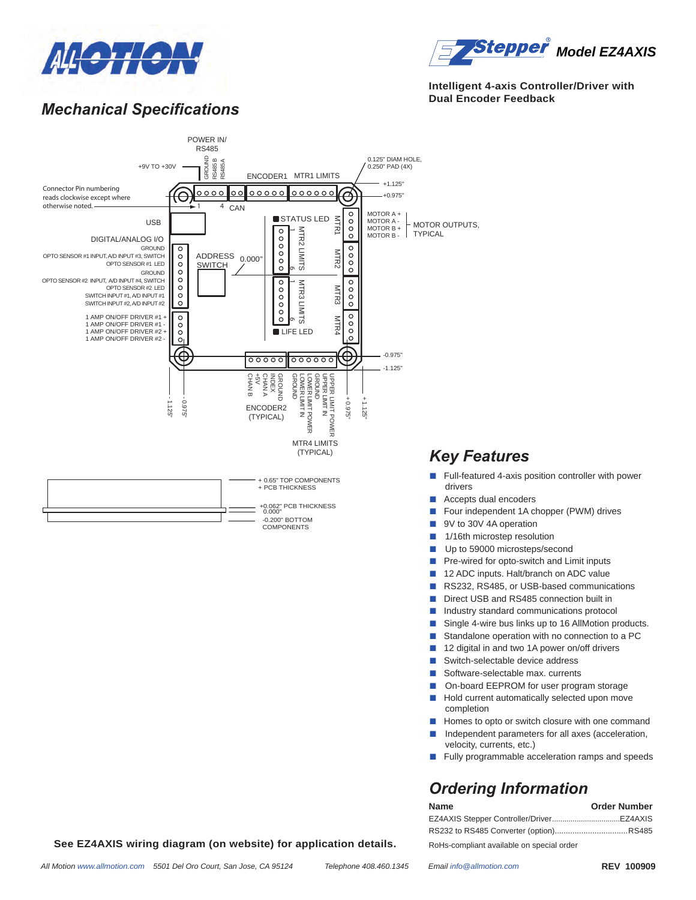



#### **Intelligent 4-axis Controller/Driver with Dual Encoder Feedback**

### *Mechanical Specifications*



### *Key Features*

- Full-featured 4-axis position controller with power
- Accepts dual encoders
- Four independent 1A chopper (PWM) drives
- 9V to 30V 4A operation
- 1/16th microstep resolution
- Up to 59000 microsteps/second
- Pre-wired for opto-switch and Limit inputs
- 12 ADC inputs. Halt/branch on ADC value
- RS232, RS485, or USB-based communications
- Direct USB and RS485 connection built in
- Industry standard communications protocol
- Single 4-wire bus links up to 16 AllMotion products.
- Standalone operation with no connection to a PC
- 12 digital in and two 1A power on/off drivers
- Switch-selectable device address
- Software-selectable max. currents
- On-board EEPROM for user program storage
- Hold current automatically selected upon move completion
- Homes to opto or switch closure with one command
- Independent parameters for all axes (acceleration, velocity, currents, etc.)
- Fully programmable acceleration ramps and speeds

### *Ordering Information*

| <b>Name</b>                               | <b>Order Number</b> |
|-------------------------------------------|---------------------|
|                                           |                     |
|                                           |                     |
| RoHs-compliant available on special order |                     |

**See EZ4AXIS wiring diagram (on website) for application details.**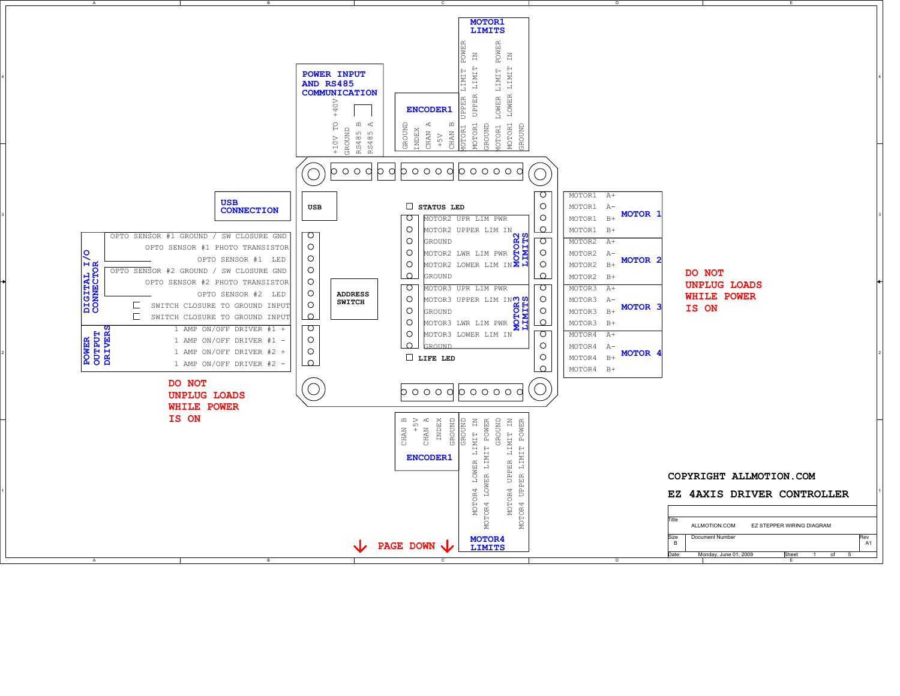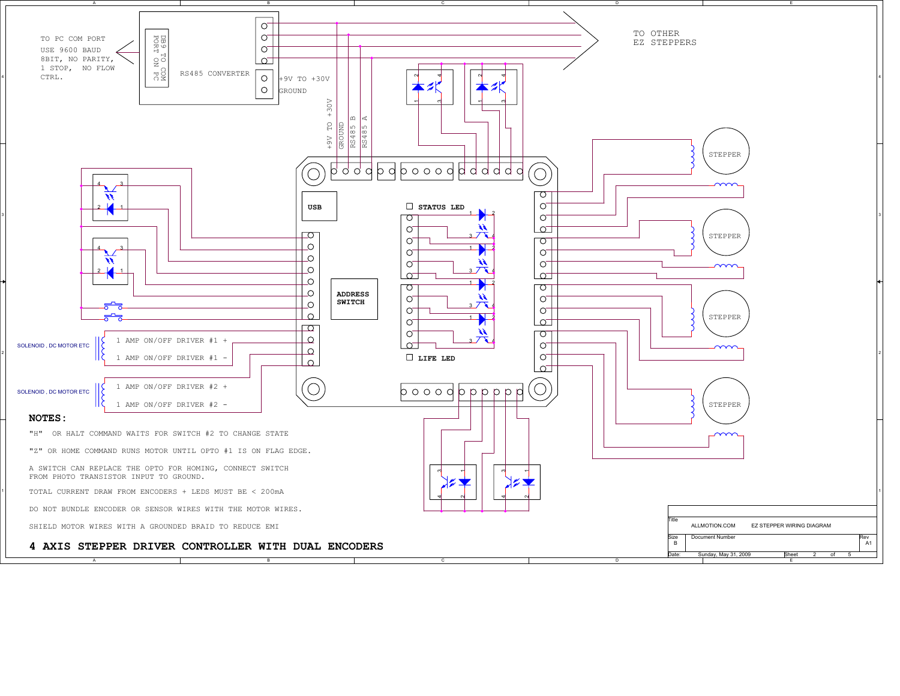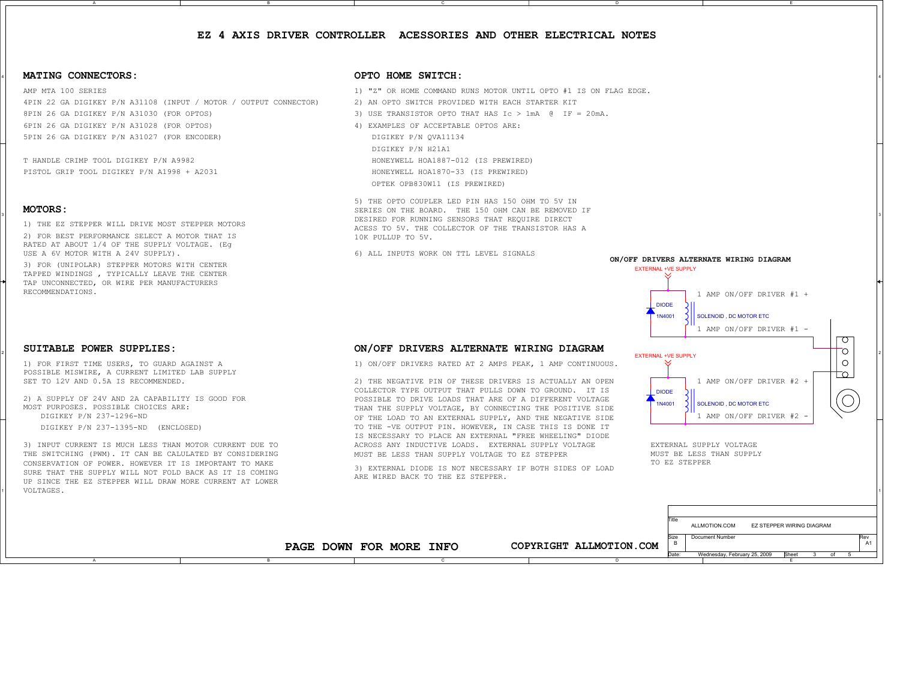#### **EZ 4 AXIS DRIVER CONTROLLER ACESSORIES AND OTHER ELECTRICAL NOTES**

C

#### 4 **MATING CONNECTORS:**

AMP MTA 100 SERIES8PIN 26 GA DIGIKEY P/N A31030 (FOR OPTOS) 4PIN 22 GA DIGIKEY P/N A31108 (INPUT / MOTOR / OUTPUT CONNECTOR) 5PIN 26 GA DIGIKEY P/N A31027 (FOR ENCODER) 6PIN 26 GA DIGIKEY P/N A31028 (FOR OPTOS)

B

T HANDLE CRIMP TOOL DIGIKEY P/N A9982PISTOL GRIP TOOL DIGIKEY P/N A1998 + A2031

#### **MOTORS:**

2

1) THE EZ STEPPER WILL DRIVE MOST STEPPER MOTORS

2) FOR BEST PERFORMANCE SELECT A MOTOR THAT IS RATED AT ABOUT 1/4 OF THE SUPPLY VOLTAGE. (Eg

3) FOR (UNIPOLAR) STEPPER MOTORS WITH CENTER TAPPED WINDINGS , TYPICALLY LEAVE THE CENTER TAP UNCONNECTED, OR WIRE PER MANUFACTURERS RECOMMENDATIONS.

#### **SUITABLE POWER SUPPLIES:**

1) FOR FIRST TIME USERS, TO GUARD AGAINST A POSSIBLE MISWIRE, A CURRENT LIMITED LAB SUPPLY SET TO 12V AND 0.5A IS RECOMMENDED.

2) A SUPPLY OF 24V AND 2A CAPABILITY IS GOOD FOR MOST PURPOSES. POSSIBLE CHOICES ARE:DIGIKEY P/N 237-1296-ND

DIGIKEY P/N 237-1395-ND (ENCLOSED)

11 УОБТАБЕЗ. ПРОДАТА В 1999 ГОДИНАТА В 1999 ГОДИНАТА В 1999 ГОДИНАТА В 1999 ГОДИНАТА В 1999 ГОДИНАСЬ СИЛЬВАНИЕ 3) INPUT CURRENT IS MUCH LESS THAN MOTOR CURRENT DUE TO THE SWITCHING (PWM). IT CAN BE CALULATED BY CONSIDERING CONSERVATION OF POWER. HOWEVER IT IS IMPORTANT TO MAKESURE THAT THE SUPPLY WILL NOT FOLD BACK AS IT IS COMING UP SINCE THE EZ STEPPER WILL DRAW MORE CURRENT AT LOWER VOLTAGES.

#### **OPTO HOME SWITCH:**

- 1) "Z" OR HOME COMMAND RUNS MOTOR UNTIL OPTO #1 IS ON FLAG EDGE.
- 2) AN OPTO SWITCH PROVIDED WITH EACH STARTER KIT
- 3) USE TRANSISTOR OPTO THAT HAS Ic > 1mA @ IF = 20mA.
- 4) EXAMPLES OF ACCEPTABLE OPTOS ARE: DIGIKEY P/N QVA11134

DIGIKEY P/N H21A1HONEYWELL HOA1887-012 (IS PREWIRED) HONEYWELL HOA1870-33 (IS PREWIRED)

OPTEK OPB830W11 (IS PREWIRED)

 $^{\rm 3}$  denotes the contract of the DESIRED FOR RUNNING SENSORS THAT REQUIRE DIRECT  $^{\rm 3}$ 5) THE OPTO COUPLER LED PIN HAS 150 OHM TO 5V IN SERIES ON THE BOARD. THE 150 OHM CAN BE REMOVED IFACESS TO 5V. THE COLLECTOR OF THE TRANSISTOR HAS A10K PULLUP TO 5V.

6) ALL INPUTS WORK ON TTL LEVEL SIGNALS

#### **ON/OFF DRIVERS ALTERNATE WIRING DIAGRAM**

1) ON/OFF DRIVERS RATED AT 2 AMPS PEAK, 1 AMP CONTINUOUS.

2) THE NEGATIVE PIN OF THESE DRIVERS IS ACTUALLY AN OPEN COLLECTOR TYPE OUTPUT THAT PULLS DOWN TO GROUND. IT IS POSSIBLE TO DRIVE LOADS THAT ARE OF A DIFFERENT VOLTAGETHAN THE SUPPLY VOLTAGE, BY CONNECTING THE POSITIVE SIDE OF THE LOAD TO AN EXTERNAL SUPPLY, AND THE NEGATIVE SIDE TO THE -VE OUTPUT PIN. HOWEVER, IN CASE THIS IS DONE IT IS NECESSARY TO PLACE AN EXTERNAL "FREE WHEELING" DIODEACROSS ANY INDUCTIVE LOADS. EXTERNAL SUPPLY VOLTAGEMUST BE LESS THAN SUPPLY VOLTAGE TO EZ STEPPER

3) EXTERNAL DIODE IS NOT NECESSARY IF BOTH SIDES OF LOAD ARE WIRED BACK TO THE EZ STEPPER.

C



E

t 3 of

ALLMOTION.COM EZ STEPPER WIRING DIAGRAM

Date: Wednesday, February 25, 2009 Sheet 3 of 5

A1

E

TO EZ STEPPER

Document Numbe

uze<br>B

Title

**PAGE DOWN FOR MORE INFO**

B

**COPYRIGHT ALLMOTION.COM**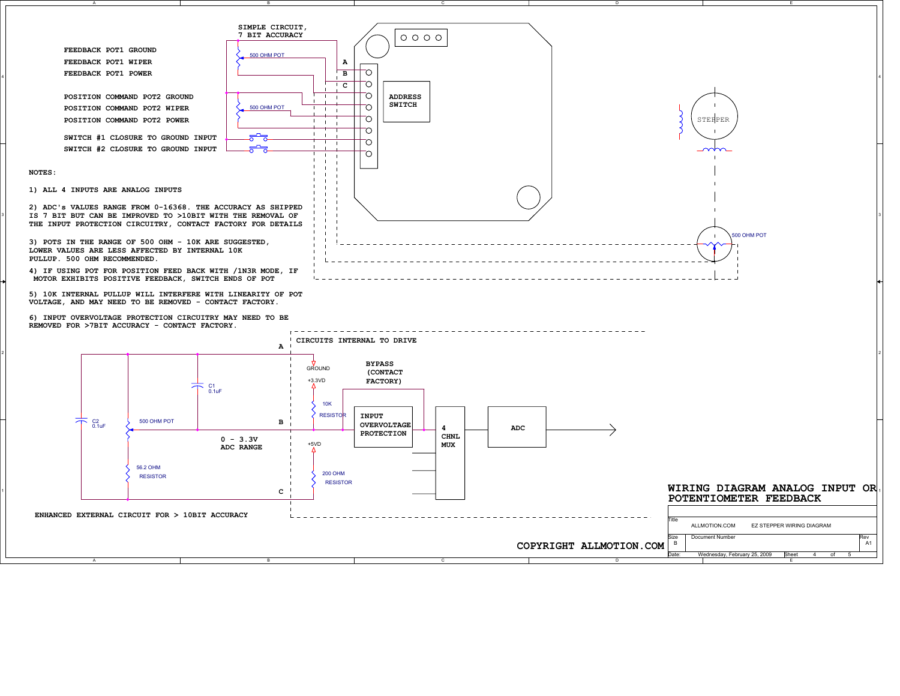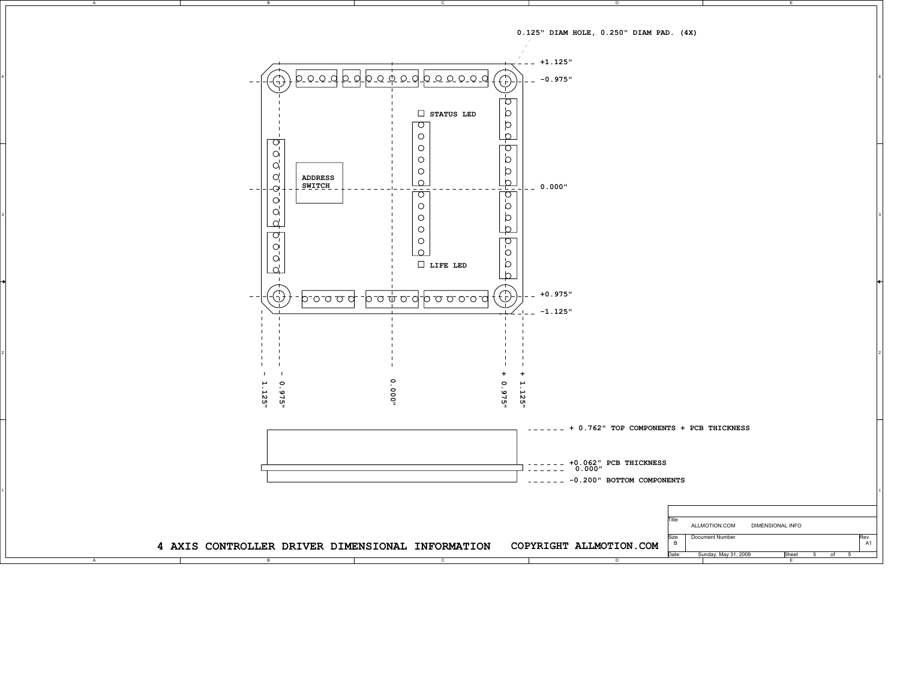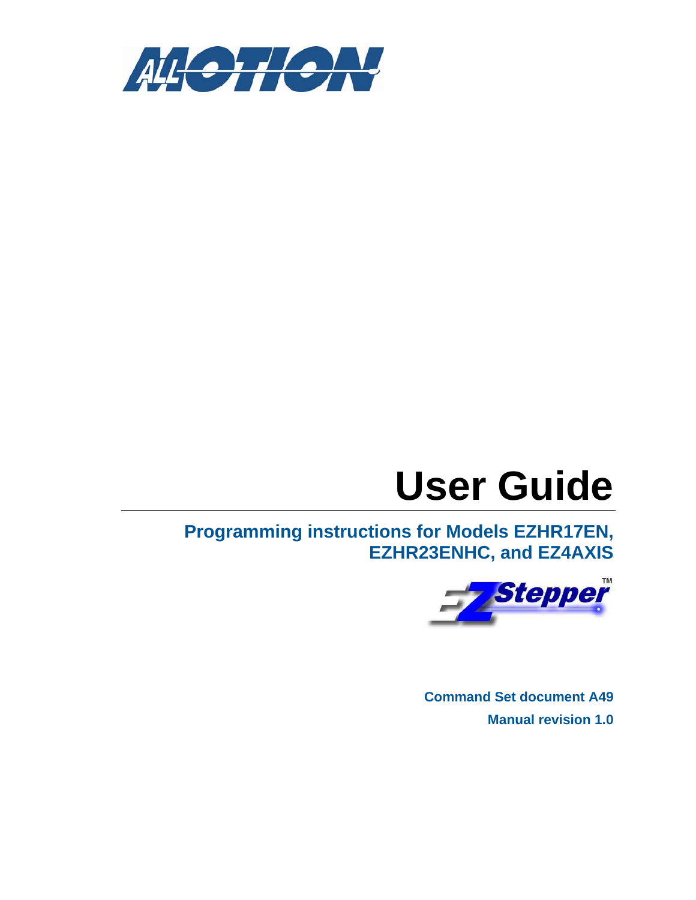

# **User Guide**

**Programming instructions for Models EZHR17EN, EZHR23ENHC, and EZ4AXIS** 



**Command Set document A49 Manual revision 1.0**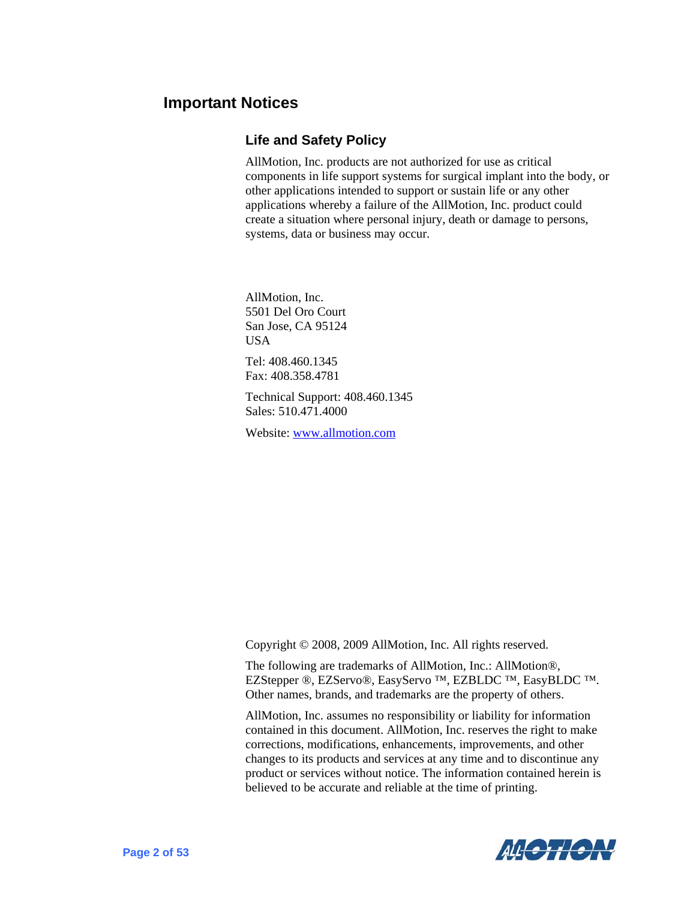### <span id="page-8-0"></span>**Important Notices**

#### **Life and Safety Policy**

AllMotion, Inc. products are not authorized for use as critical components in life support systems for surgical implant into the body, or other applications intended to support or sustain life or any other applications whereby a failure of the AllMotion, Inc. product could create a situation where personal injury, death or damage to persons, systems, data or business may occur.

AllMotion, Inc. 5501 Del Oro Court San Jose, CA 95124 **USA** Tel: 408.460.1345 Fax: 408.358.4781 Technical Support: 408.460.1345

Sales: 510.471.4000

Website: [www.allmotion.com](http://www.allmotion.com/)

Copyright © 2008, 2009 AllMotion, Inc. All rights reserved.

The following are trademarks of AllMotion, Inc.: AllMotion®, EZStepper ®, EZServo®, EasyServo ™, EZBLDC ™, EasyBLDC ™. Other names, brands, and trademarks are the property of others.

AllMotion, Inc. assumes no responsibility or liability for information contained in this document. AllMotion, Inc. reserves the right to make corrections, modifications, enhancements, improvements, and other changes to its products and services at any time and to discontinue any product or services without notice. The information contained herein is believed to be accurate and reliable at the time of printing.

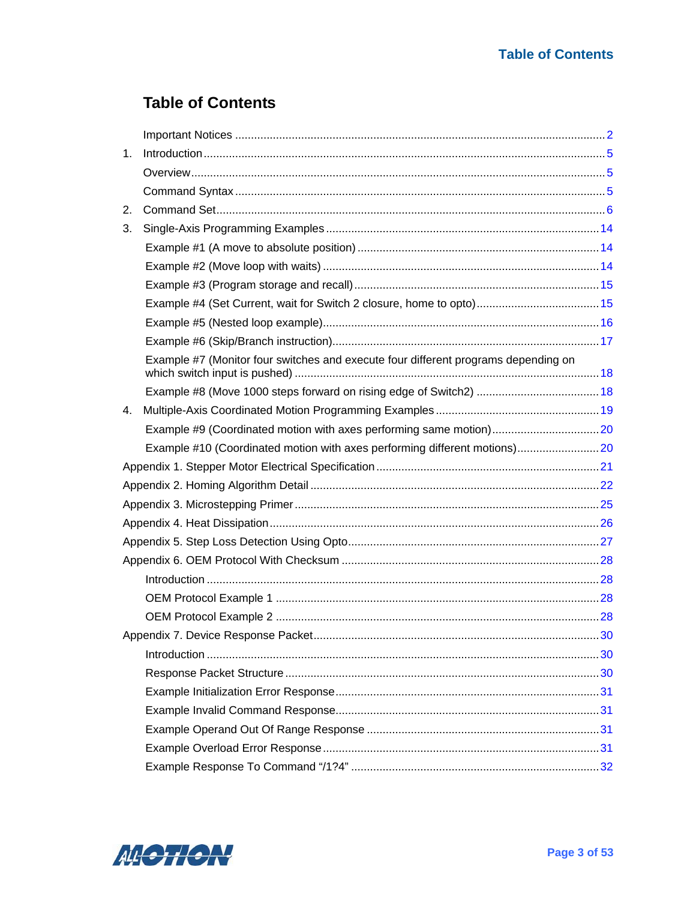### **Table of Contents**

| 1. |                                                                                    |  |  |  |
|----|------------------------------------------------------------------------------------|--|--|--|
|    |                                                                                    |  |  |  |
|    |                                                                                    |  |  |  |
| 2. |                                                                                    |  |  |  |
| 3. |                                                                                    |  |  |  |
|    |                                                                                    |  |  |  |
|    |                                                                                    |  |  |  |
|    |                                                                                    |  |  |  |
|    |                                                                                    |  |  |  |
|    |                                                                                    |  |  |  |
|    |                                                                                    |  |  |  |
|    | Example #7 (Monitor four switches and execute four different programs depending on |  |  |  |
|    |                                                                                    |  |  |  |
| 4. |                                                                                    |  |  |  |
|    |                                                                                    |  |  |  |
|    | Example #10 (Coordinated motion with axes performing different motions)20          |  |  |  |
|    |                                                                                    |  |  |  |
|    |                                                                                    |  |  |  |
|    |                                                                                    |  |  |  |
|    |                                                                                    |  |  |  |
|    |                                                                                    |  |  |  |
|    |                                                                                    |  |  |  |
|    |                                                                                    |  |  |  |
|    |                                                                                    |  |  |  |
|    |                                                                                    |  |  |  |
|    |                                                                                    |  |  |  |
|    |                                                                                    |  |  |  |
|    |                                                                                    |  |  |  |
|    |                                                                                    |  |  |  |
|    |                                                                                    |  |  |  |
|    |                                                                                    |  |  |  |
|    |                                                                                    |  |  |  |
|    |                                                                                    |  |  |  |

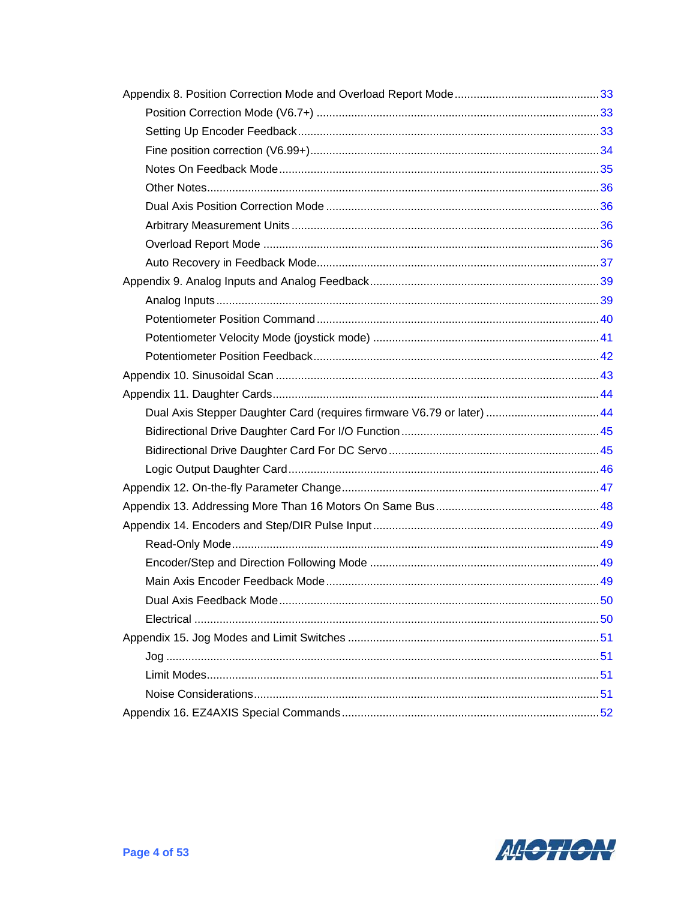| Dual Axis Stepper Daughter Card (requires firmware V6.79 or later)  44 |  |
|------------------------------------------------------------------------|--|
|                                                                        |  |
|                                                                        |  |
|                                                                        |  |
|                                                                        |  |
|                                                                        |  |
|                                                                        |  |
|                                                                        |  |
|                                                                        |  |
|                                                                        |  |
|                                                                        |  |
|                                                                        |  |
|                                                                        |  |
|                                                                        |  |
|                                                                        |  |
|                                                                        |  |
|                                                                        |  |

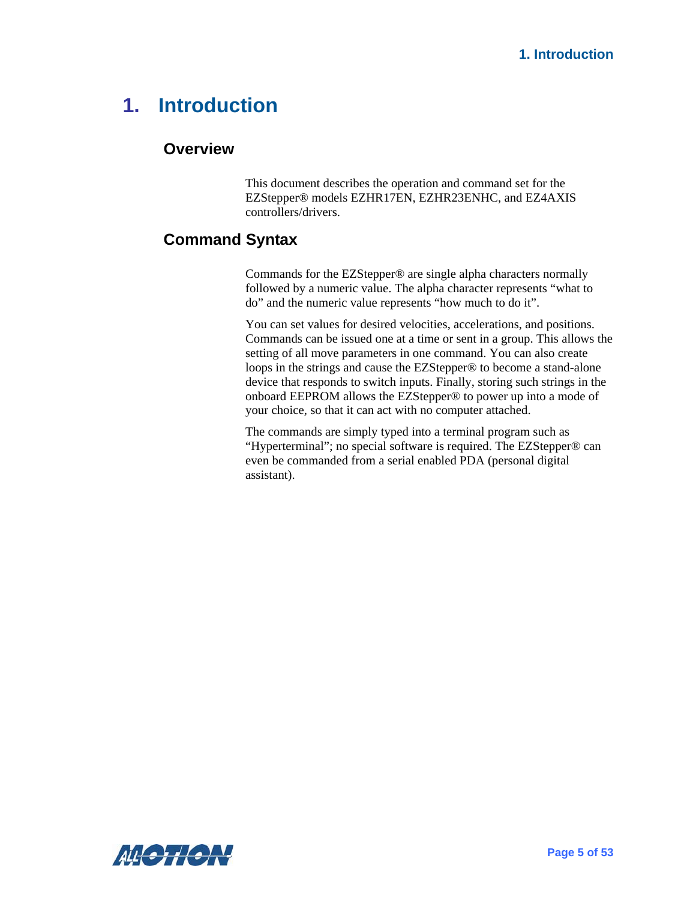# <span id="page-11-1"></span><span id="page-11-0"></span>**1. Introduction**

#### **Overview**

This document describes the operation and command set for the EZStepper® models EZHR17EN, EZHR23ENHC, and EZ4AXIS controllers/drivers.

### <span id="page-11-2"></span>**Command Syntax**

Commands for the EZStepper® are single alpha characters normally followed by a numeric value. The alpha character represents "what to do" and the numeric value represents "how much to do it".

You can set values for desired velocities, accelerations, and positions. Commands can be issued one at a time or sent in a group. This allows the setting of all move parameters in one command. You can also create loops in the strings and cause the EZStepper® to become a stand-alone device that responds to switch inputs. Finally, storing such strings in the onboard EEPROM allows the EZStepper® to power up into a mode of your choice, so that it can act with no computer attached.

The commands are simply typed into a terminal program such as "Hyperterminal"; no special software is required. The EZStepper® can even be commanded from a serial enabled PDA (personal digital assistant).

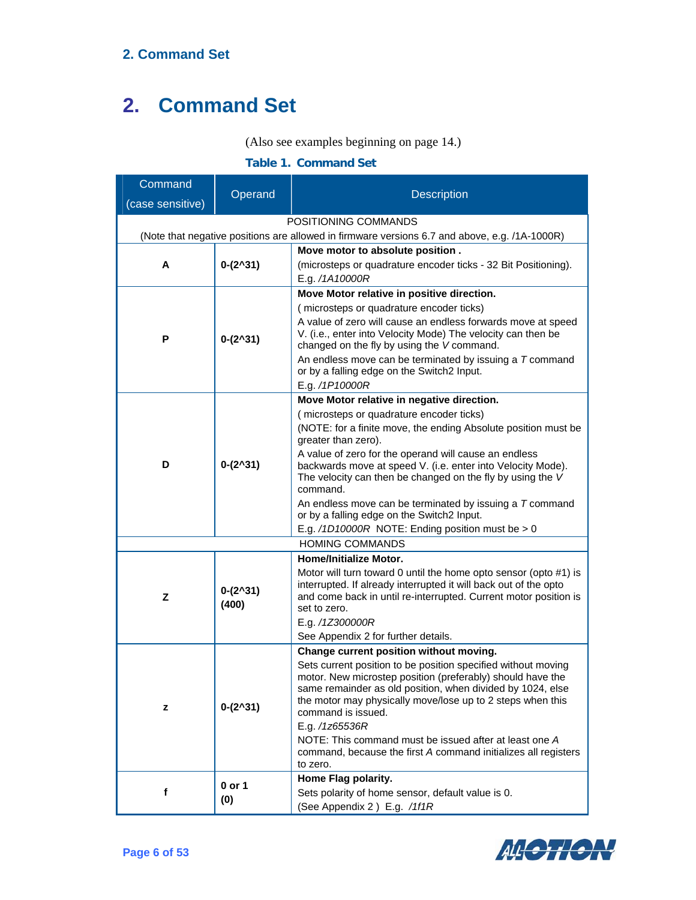#### (Also see examples beginning on page [14](#page-20-1).)

#### **Table 1. Command Set**

<span id="page-12-0"></span>

| Command          |                             |                                                                                                                                      |
|------------------|-----------------------------|--------------------------------------------------------------------------------------------------------------------------------------|
| (case sensitive) | Operand                     | <b>Description</b>                                                                                                                   |
|                  |                             | POSITIONING COMMANDS                                                                                                                 |
|                  |                             | (Note that negative positions are allowed in firmware versions 6.7 and above, e.g. /1A-1000R)                                        |
|                  |                             | Move motor to absolute position.                                                                                                     |
| A                | $0-(2^{\wedge}31)$          | (microsteps or quadrature encoder ticks - 32 Bit Positioning).                                                                       |
|                  |                             | E.g. /1A10000R                                                                                                                       |
|                  |                             | Move Motor relative in positive direction.                                                                                           |
|                  |                             | (microsteps or quadrature encoder ticks)                                                                                             |
|                  |                             | A value of zero will cause an endless forwards move at speed<br>V. (i.e., enter into Velocity Mode) The velocity can then be         |
| Р                | $0-(2^{\wedge}31)$          | changed on the fly by using the V command.                                                                                           |
|                  |                             | An endless move can be terminated by issuing a $T$ command                                                                           |
|                  |                             | or by a falling edge on the Switch2 Input.                                                                                           |
|                  |                             | E.g. /1P10000R                                                                                                                       |
|                  |                             | Move Motor relative in negative direction.                                                                                           |
|                  |                             | (microsteps or quadrature encoder ticks)<br>(NOTE: for a finite move, the ending Absolute position must be                           |
|                  |                             | greater than zero).                                                                                                                  |
|                  |                             | A value of zero for the operand will cause an endless                                                                                |
| D                | $0-(2^{\wedge}31)$          | backwards move at speed V. (i.e. enter into Velocity Mode).                                                                          |
|                  |                             | The velocity can then be changed on the fly by using the V<br>command.                                                               |
|                  |                             | An endless move can be terminated by issuing a $T$ command                                                                           |
|                  |                             | or by a falling edge on the Switch2 Input.                                                                                           |
|                  |                             | E.g. /1D10000R NOTE: Ending position must be > 0                                                                                     |
|                  |                             | <b>HOMING COMMANDS</b>                                                                                                               |
|                  |                             | Home/Initialize Motor.                                                                                                               |
|                  | $0-(2^{\wedge}31)$<br>(400) | Motor will turn toward 0 until the home opto sensor (opto #1) is                                                                     |
| z                |                             | interrupted. If already interrupted it will back out of the opto<br>and come back in until re-interrupted. Current motor position is |
|                  |                             | set to zero.                                                                                                                         |
|                  |                             | E.g. /1Z300000R                                                                                                                      |
|                  |                             | See Appendix 2 for further details.                                                                                                  |
|                  |                             | Change current position without moving.                                                                                              |
|                  |                             | Sets current position to be position specified without moving                                                                        |
|                  |                             | motor. New microstep position (preferably) should have the<br>same remainder as old position, when divided by 1024, else             |
|                  |                             | the motor may physically move/lose up to 2 steps when this                                                                           |
| z                | $0-(2^{\wedge}31)$          | command is issued.                                                                                                                   |
|                  |                             | E.g. /1z65536R                                                                                                                       |
|                  |                             | NOTE: This command must be issued after at least one A<br>command, because the first A command initializes all registers             |
|                  |                             | to zero.                                                                                                                             |
|                  |                             | Home Flag polarity.                                                                                                                  |
| f                | 0 or 1<br>(0)               | Sets polarity of home sensor, default value is 0.                                                                                    |
|                  |                             | (See Appendix 2) E.g. /1f1R                                                                                                          |

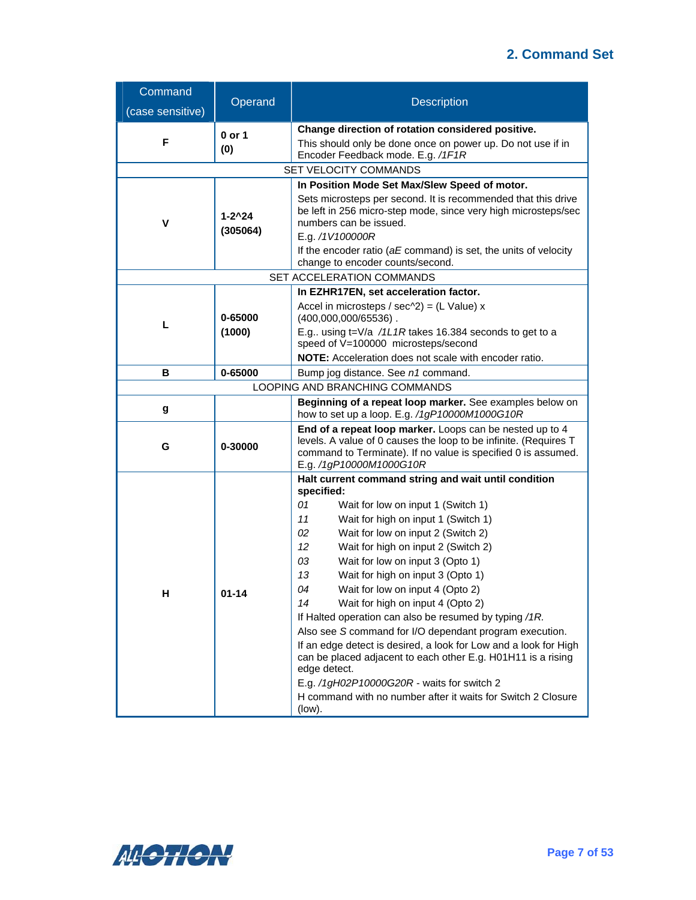| Command          | Operand               | <b>Description</b>                                                                                                                                                                                                                                                                                                                                                                                                                                                                                                                                                                                                                                                                                                                                        |  |
|------------------|-----------------------|-----------------------------------------------------------------------------------------------------------------------------------------------------------------------------------------------------------------------------------------------------------------------------------------------------------------------------------------------------------------------------------------------------------------------------------------------------------------------------------------------------------------------------------------------------------------------------------------------------------------------------------------------------------------------------------------------------------------------------------------------------------|--|
| (case sensitive) |                       |                                                                                                                                                                                                                                                                                                                                                                                                                                                                                                                                                                                                                                                                                                                                                           |  |
| F                | 0 or 1<br>(0)         | Change direction of rotation considered positive.<br>This should only be done once on power up. Do not use if in<br>Encoder Feedback mode. E.g. /1F1R                                                                                                                                                                                                                                                                                                                                                                                                                                                                                                                                                                                                     |  |
|                  |                       | SET VELOCITY COMMANDS                                                                                                                                                                                                                                                                                                                                                                                                                                                                                                                                                                                                                                                                                                                                     |  |
| v                | $1 - 2^2$<br>(305064) | In Position Mode Set Max/Slew Speed of motor.<br>Sets microsteps per second. It is recommended that this drive<br>be left in 256 micro-step mode, since very high microsteps/sec<br>numbers can be issued.<br>E.g. /1V100000R<br>If the encoder ratio ( $aE$ command) is set, the units of velocity<br>change to encoder counts/second.                                                                                                                                                                                                                                                                                                                                                                                                                   |  |
|                  |                       | SET ACCELERATION COMMANDS                                                                                                                                                                                                                                                                                                                                                                                                                                                                                                                                                                                                                                                                                                                                 |  |
|                  |                       | In EZHR17EN, set acceleration factor.                                                                                                                                                                                                                                                                                                                                                                                                                                                                                                                                                                                                                                                                                                                     |  |
|                  | 0-65000<br>(1000)     | Accel in microsteps / sec $\triangle 2$ ) = (L Value) x<br>$(400,000,000/65536)$ .<br>E.g using t=V/a /1L1R takes 16.384 seconds to get to a<br>speed of V=100000 microsteps/second<br>NOTE: Acceleration does not scale with encoder ratio.                                                                                                                                                                                                                                                                                                                                                                                                                                                                                                              |  |
| В                | 0-65000               | Bump jog distance. See n1 command.                                                                                                                                                                                                                                                                                                                                                                                                                                                                                                                                                                                                                                                                                                                        |  |
|                  |                       | LOOPING AND BRANCHING COMMANDS                                                                                                                                                                                                                                                                                                                                                                                                                                                                                                                                                                                                                                                                                                                            |  |
| g                |                       | Beginning of a repeat loop marker. See examples below on<br>how to set up a loop. E.g. /1gP10000M1000G10R                                                                                                                                                                                                                                                                                                                                                                                                                                                                                                                                                                                                                                                 |  |
| 0-30000<br>G     |                       | End of a repeat loop marker. Loops can be nested up to 4<br>levels. A value of 0 causes the loop to be infinite. (Requires T<br>command to Terminate). If no value is specified 0 is assumed.<br>E.g. /1gP10000M1000G10R                                                                                                                                                                                                                                                                                                                                                                                                                                                                                                                                  |  |
|                  |                       | Halt current command string and wait until condition<br>specified:                                                                                                                                                                                                                                                                                                                                                                                                                                                                                                                                                                                                                                                                                        |  |
| н                | $01 - 14$             | 01<br>Wait for low on input 1 (Switch 1)<br>11<br>Wait for high on input 1 (Switch 1)<br>Wait for low on input 2 (Switch 2)<br>02<br>12<br>Wait for high on input 2 (Switch 2)<br>Wait for low on input 3 (Opto 1)<br>03<br>Wait for high on input 3 (Opto 1)<br>13<br>04<br>Wait for low on input 4 (Opto 2)<br>Wait for high on input 4 (Opto 2)<br>14<br>If Halted operation can also be resumed by typing /1R.<br>Also see S command for I/O dependant program execution.<br>If an edge detect is desired, a look for Low and a look for High<br>can be placed adjacent to each other E.g. H01H11 is a rising<br>edge detect.<br>E.g. /1gH02P10000G20R - waits for switch 2<br>H command with no number after it waits for Switch 2 Closure<br>(low). |  |

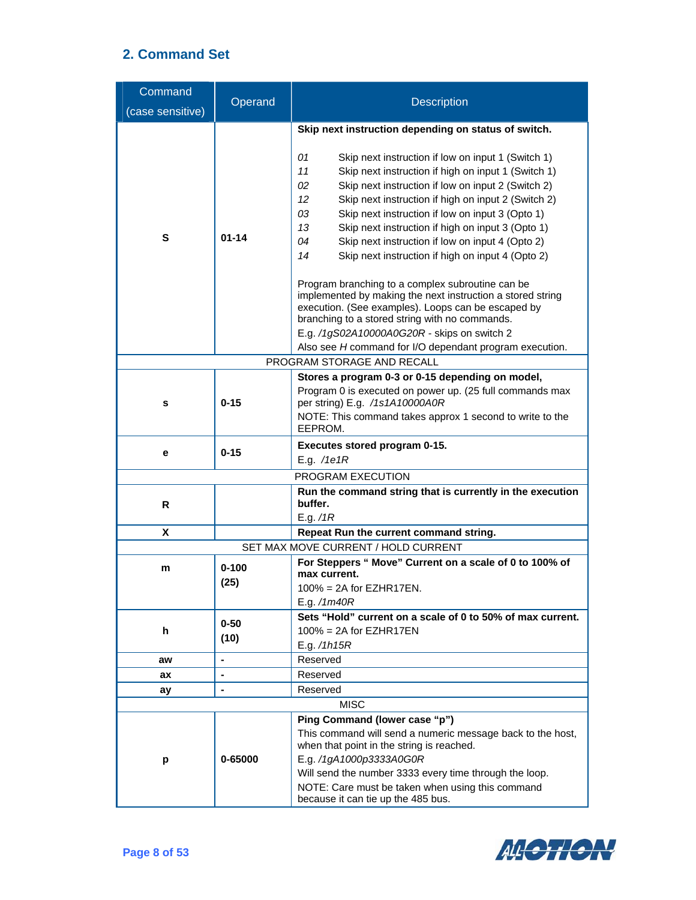| Command<br>(case sensitive) | Operand                                                                       | <b>Description</b>                                                                                                                                                                                                                                                                                                                                                                                                                                                                                                                               |  |  |
|-----------------------------|-------------------------------------------------------------------------------|--------------------------------------------------------------------------------------------------------------------------------------------------------------------------------------------------------------------------------------------------------------------------------------------------------------------------------------------------------------------------------------------------------------------------------------------------------------------------------------------------------------------------------------------------|--|--|
|                             |                                                                               |                                                                                                                                                                                                                                                                                                                                                                                                                                                                                                                                                  |  |  |
| S<br>$01 - 14$              |                                                                               | Skip next instruction depending on status of switch.<br>01<br>Skip next instruction if low on input 1 (Switch 1)<br>11<br>Skip next instruction if high on input 1 (Switch 1)<br>Skip next instruction if low on input 2 (Switch 2)<br>02<br>12<br>Skip next instruction if high on input 2 (Switch 2)<br>Skip next instruction if low on input 3 (Opto 1)<br>03<br>13<br>Skip next instruction if high on input 3 (Opto 1)<br>Skip next instruction if low on input 4 (Opto 2)<br>04<br>Skip next instruction if high on input 4 (Opto 2)<br>14 |  |  |
|                             |                                                                               | Program branching to a complex subroutine can be<br>implemented by making the next instruction a stored string<br>execution. (See examples). Loops can be escaped by<br>branching to a stored string with no commands.<br>E.g. /1gS02A10000A0G20R - skips on switch 2<br>Also see H command for I/O dependant program execution.                                                                                                                                                                                                                 |  |  |
|                             |                                                                               | PROGRAM STORAGE AND RECALL                                                                                                                                                                                                                                                                                                                                                                                                                                                                                                                       |  |  |
| s                           | $0 - 15$                                                                      | Stores a program 0-3 or 0-15 depending on model,<br>Program 0 is executed on power up. (25 full commands max<br>per string) E.g. /1s1A10000A0R<br>NOTE: This command takes approx 1 second to write to the<br>EEPROM.                                                                                                                                                                                                                                                                                                                            |  |  |
| е                           | $0 - 15$                                                                      | Executes stored program 0-15.<br>E.g. / $1e1R$                                                                                                                                                                                                                                                                                                                                                                                                                                                                                                   |  |  |
|                             |                                                                               | PROGRAM EXECUTION                                                                                                                                                                                                                                                                                                                                                                                                                                                                                                                                |  |  |
| R                           |                                                                               | Run the command string that is currently in the execution<br>buffer.                                                                                                                                                                                                                                                                                                                                                                                                                                                                             |  |  |
| X                           |                                                                               | E.g. $/1R$                                                                                                                                                                                                                                                                                                                                                                                                                                                                                                                                       |  |  |
|                             | Repeat Run the current command string.<br>SET MAX MOVE CURRENT / HOLD CURRENT |                                                                                                                                                                                                                                                                                                                                                                                                                                                                                                                                                  |  |  |
| m                           | $0 - 100$<br>(25)                                                             | For Steppers " Move" Current on a scale of 0 to 100% of<br>max current.<br>$100\% = 2A$ for EZHR17EN.<br>E.g. /1m40R                                                                                                                                                                                                                                                                                                                                                                                                                             |  |  |
| h                           | $0 - 50$<br>(10)                                                              | Sets "Hold" current on a scale of 0 to 50% of max current.<br>$100\%$ = 2A for EZHR17EN<br>E.g. $/1h15R$                                                                                                                                                                                                                                                                                                                                                                                                                                         |  |  |
| aw                          | $\blacksquare$                                                                | Reserved                                                                                                                                                                                                                                                                                                                                                                                                                                                                                                                                         |  |  |
| ax                          | $\blacksquare$                                                                | Reserved                                                                                                                                                                                                                                                                                                                                                                                                                                                                                                                                         |  |  |
| ay                          |                                                                               | Reserved                                                                                                                                                                                                                                                                                                                                                                                                                                                                                                                                         |  |  |
|                             |                                                                               | <b>MISC</b>                                                                                                                                                                                                                                                                                                                                                                                                                                                                                                                                      |  |  |
| p                           | 0-65000                                                                       | Ping Command (lower case "p")<br>This command will send a numeric message back to the host,<br>when that point in the string is reached.<br>E.g. /1gA1000p3333A0G0R<br>Will send the number 3333 every time through the loop.<br>NOTE: Care must be taken when using this command<br>because it can tie up the 485 bus.                                                                                                                                                                                                                          |  |  |

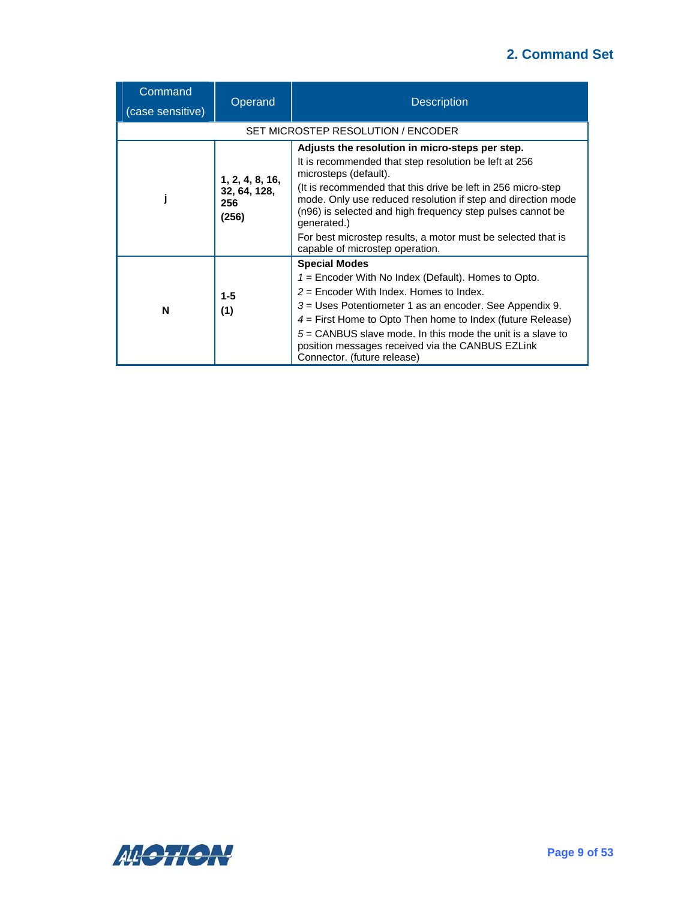| Command<br>(case sensitive)        | Operand                                         | <b>Description</b>                                                                                                                                                                                                                                                                                                                                                                                                                                 |  |
|------------------------------------|-------------------------------------------------|----------------------------------------------------------------------------------------------------------------------------------------------------------------------------------------------------------------------------------------------------------------------------------------------------------------------------------------------------------------------------------------------------------------------------------------------------|--|
| SET MICROSTEP RESOLUTION / ENCODER |                                                 |                                                                                                                                                                                                                                                                                                                                                                                                                                                    |  |
|                                    | 1, 2, 4, 8, 16,<br>32, 64, 128,<br>256<br>(256) | Adjusts the resolution in micro-steps per step.<br>It is recommended that step resolution be left at 256<br>microsteps (default).<br>(It is recommended that this drive be left in 256 micro-step)<br>mode. Only use reduced resolution if step and direction mode<br>(n96) is selected and high frequency step pulses cannot be<br>generated.)<br>For best microstep results, a motor must be selected that is<br>capable of microstep operation. |  |
| N                                  | $1 - 5$<br>(1)                                  | <b>Special Modes</b><br>$1 =$ Encoder With No Index (Default). Homes to Opto.<br>$2$ = Encoder With Index. Homes to Index.<br>$3 =$ Uses Potentiometer 1 as an encoder. See Appendix 9.<br>$4$ = First Home to Opto Then home to Index (future Release)<br>$5 =$ CANBUS slave mode. In this mode the unit is a slave to<br>position messages received via the CANBUS EZLink<br>Connector. (future release)                                         |  |

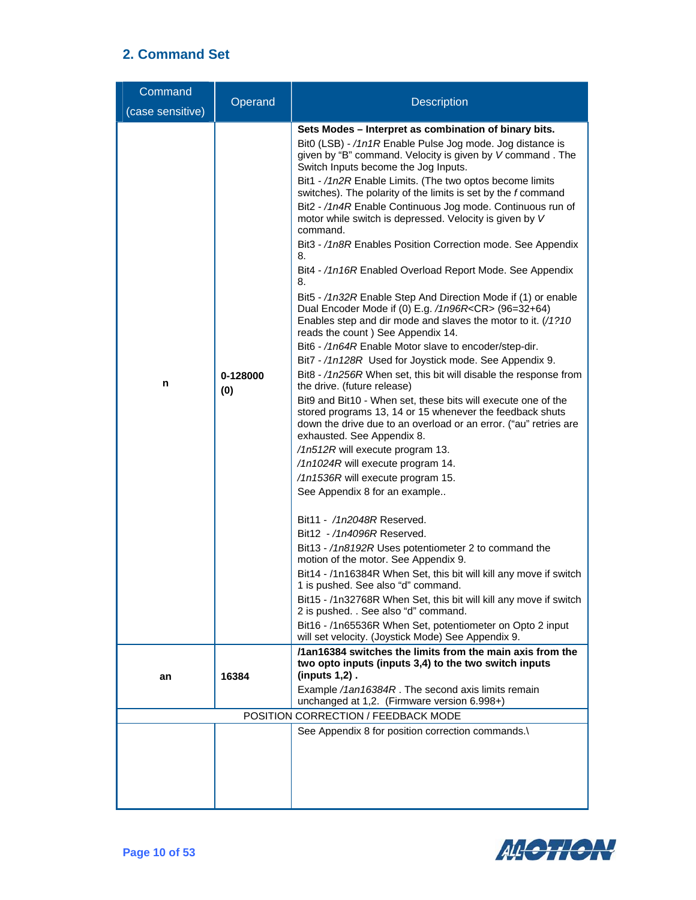| Command<br>(case sensitive) | Operand         | <b>Description</b>                                                                                                                                                                                                                                                                                                                                                                                                                                                                                                                                                                                                                                                                                                                                                                                                                                                                                                                                                                                                                                                                                                                                                                                                                                                                                                                                                                                                                                                                                                                                                                                                                                                                                                                                                                                                                                                                                                                                                                                                                                                                                           |  |
|-----------------------------|-----------------|--------------------------------------------------------------------------------------------------------------------------------------------------------------------------------------------------------------------------------------------------------------------------------------------------------------------------------------------------------------------------------------------------------------------------------------------------------------------------------------------------------------------------------------------------------------------------------------------------------------------------------------------------------------------------------------------------------------------------------------------------------------------------------------------------------------------------------------------------------------------------------------------------------------------------------------------------------------------------------------------------------------------------------------------------------------------------------------------------------------------------------------------------------------------------------------------------------------------------------------------------------------------------------------------------------------------------------------------------------------------------------------------------------------------------------------------------------------------------------------------------------------------------------------------------------------------------------------------------------------------------------------------------------------------------------------------------------------------------------------------------------------------------------------------------------------------------------------------------------------------------------------------------------------------------------------------------------------------------------------------------------------------------------------------------------------------------------------------------------------|--|
| n                           | 0-128000<br>(0) | Sets Modes - Interpret as combination of binary bits.<br>Bit0 (LSB) - /1n1R Enable Pulse Jog mode. Jog distance is<br>given by "B" command. Velocity is given by V command. The<br>Switch Inputs become the Jog Inputs.<br>Bit1 - /1n2R Enable Limits. (The two optos become limits<br>switches). The polarity of the limits is set by the f command<br>Bit2 - /1n4R Enable Continuous Jog mode. Continuous run of<br>motor while switch is depressed. Velocity is given by V<br>command.<br>Bit3 - /1n8R Enables Position Correction mode. See Appendix<br>8.<br>Bit4 - /1n16R Enabled Overload Report Mode. See Appendix<br>8.<br>Bit5 - /1n32R Enable Step And Direction Mode if (1) or enable<br>Dual Encoder Mode if (0) E.g. /1n96R <cr> (96=32+64)<br/>Enables step and dir mode and slaves the motor to it. (/1?10<br/>reads the count) See Appendix 14.<br/>Bit6 - /1n64R Enable Motor slave to encoder/step-dir.<br/>Bit7 - /1n128R Used for Joystick mode. See Appendix 9.<br/>Bit8 - /1n256R When set, this bit will disable the response from<br/>the drive. (future release)<br/>Bit9 and Bit10 - When set, these bits will execute one of the<br/>stored programs 13, 14 or 15 whenever the feedback shuts<br/>down the drive due to an overload or an error. ("au" retries are<br/>exhausted. See Appendix 8.<br/>/1n512R will execute program 13.<br/>/1n1024R will execute program 14.<br/>/1n1536R will execute program 15.<br/>See Appendix 8 for an example<br/>Bit11 - /1n2048R Reserved.<br/>Bit12 - /1n4096R Reserved.<br/>Bit13 - /1n8192R Uses potentiometer 2 to command the<br/>motion of the motor. See Appendix 9.<br/>Bit14 - /1n16384R When Set, this bit will kill any move if switch<br/>1 is pushed. See also "d" command.<br/>Bit15 - /1n32768R When Set, this bit will kill any move if switch<br/>2 is pushed. . See also "d" command.<br/>Bit16 - /1n65536R When Set, potentiometer on Opto 2 input<br/>will set velocity. (Joystick Mode) See Appendix 9.<br/>two opto inputs (inputs 3,4) to the two switch inputs<br/><math>(</math>inputs <math>1,2)</math>.</cr> |  |
| an                          | 16384           | /1an16384 switches the limits from the main axis from the<br>Example /1an16384R. The second axis limits remain<br>unchanged at 1,2. (Firmware version 6.998+)                                                                                                                                                                                                                                                                                                                                                                                                                                                                                                                                                                                                                                                                                                                                                                                                                                                                                                                                                                                                                                                                                                                                                                                                                                                                                                                                                                                                                                                                                                                                                                                                                                                                                                                                                                                                                                                                                                                                                |  |
|                             |                 | POSITION CORRECTION / FEEDBACK MODE                                                                                                                                                                                                                                                                                                                                                                                                                                                                                                                                                                                                                                                                                                                                                                                                                                                                                                                                                                                                                                                                                                                                                                                                                                                                                                                                                                                                                                                                                                                                                                                                                                                                                                                                                                                                                                                                                                                                                                                                                                                                          |  |
|                             |                 | See Appendix 8 for position correction commands.\                                                                                                                                                                                                                                                                                                                                                                                                                                                                                                                                                                                                                                                                                                                                                                                                                                                                                                                                                                                                                                                                                                                                                                                                                                                                                                                                                                                                                                                                                                                                                                                                                                                                                                                                                                                                                                                                                                                                                                                                                                                            |  |

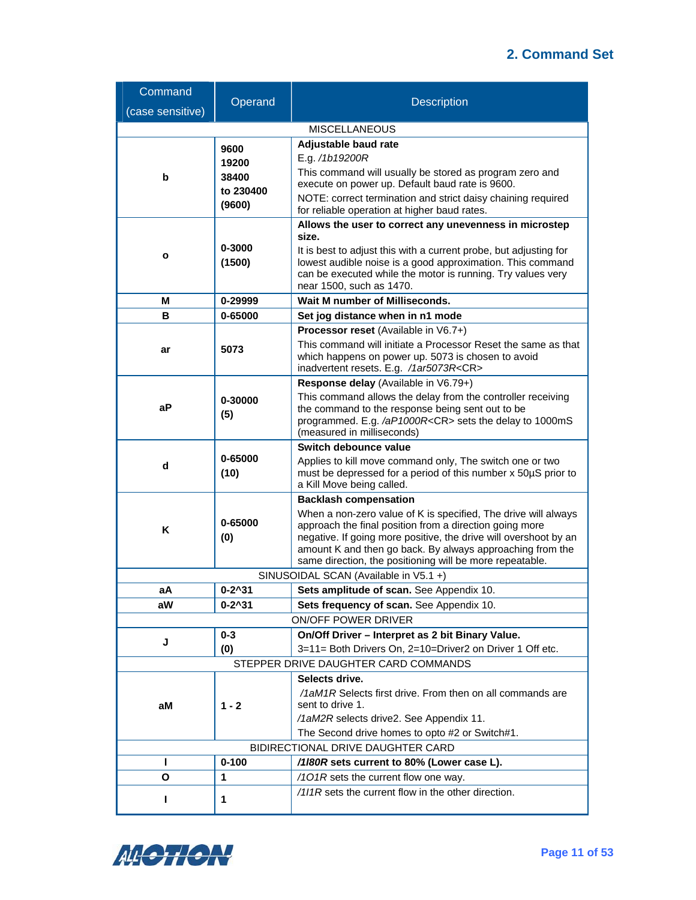| Command                           | Operand                                      | <b>Description</b>                                                                                                              |  |  |
|-----------------------------------|----------------------------------------------|---------------------------------------------------------------------------------------------------------------------------------|--|--|
| (case sensitive)                  |                                              |                                                                                                                                 |  |  |
|                                   |                                              | <b>MISCELLANEOUS</b>                                                                                                            |  |  |
|                                   | 9600                                         | Adjustable baud rate                                                                                                            |  |  |
|                                   | 19200                                        | E.g. /1b19200R                                                                                                                  |  |  |
| b                                 | 38400                                        | This command will usually be stored as program zero and<br>execute on power up. Default baud rate is 9600.                      |  |  |
|                                   | to 230400<br>(9600)                          | NOTE: correct termination and strict daisy chaining required                                                                    |  |  |
|                                   | for reliable operation at higher baud rates. |                                                                                                                                 |  |  |
|                                   |                                              | Allows the user to correct any unevenness in microstep                                                                          |  |  |
|                                   | 0-3000                                       | size.                                                                                                                           |  |  |
| о                                 | (1500)                                       | It is best to adjust this with a current probe, but adjusting for<br>lowest audible noise is a good approximation. This command |  |  |
|                                   |                                              | can be executed while the motor is running. Try values very                                                                     |  |  |
|                                   |                                              | near 1500, such as 1470.                                                                                                        |  |  |
| M                                 | 0-29999                                      | Wait M number of Milliseconds.                                                                                                  |  |  |
| в                                 | 0-65000                                      | Set jog distance when in n1 mode                                                                                                |  |  |
|                                   |                                              | <b>Processor reset</b> (Available in V6.7+)                                                                                     |  |  |
| ar                                | 5073                                         | This command will initiate a Processor Reset the same as that<br>which happens on power up. 5073 is chosen to avoid             |  |  |
|                                   |                                              | inadvertent resets. E.g. /1ar5073R <cr></cr>                                                                                    |  |  |
|                                   |                                              | Response delay (Available in V6.79+)                                                                                            |  |  |
|                                   | 0-30000                                      | This command allows the delay from the controller receiving                                                                     |  |  |
| аP                                | (5)                                          | the command to the response being sent out to be<br>programmed. E.g. /aP1000R <cr> sets the delay to 1000mS</cr>                |  |  |
|                                   |                                              | (measured in milliseconds)                                                                                                      |  |  |
|                                   |                                              | Switch debounce value                                                                                                           |  |  |
| d                                 | 0-65000                                      | Applies to kill move command only, The switch one or two                                                                        |  |  |
|                                   | (10)                                         | must be depressed for a period of this number x 50µS prior to<br>a Kill Move being called.                                      |  |  |
| <b>Backlash compensation</b>      |                                              |                                                                                                                                 |  |  |
|                                   |                                              | When a non-zero value of K is specified, The drive will always                                                                  |  |  |
| K                                 | 0-65000                                      | approach the final position from a direction going more                                                                         |  |  |
|                                   | (0)                                          | negative. If going more positive, the drive will overshoot by an<br>amount K and then go back. By always approaching from the   |  |  |
|                                   |                                              | same direction, the positioning will be more repeatable.                                                                        |  |  |
|                                   |                                              | SINUSOIDAL SCAN (Available in V5.1 +)                                                                                           |  |  |
| aА                                | $0 - 2^0 31$                                 | Sets amplitude of scan. See Appendix 10.                                                                                        |  |  |
| aW                                | $0 - 2^0 31$                                 | Sets frequency of scan. See Appendix 10.                                                                                        |  |  |
|                                   |                                              | ON/OFF POWER DRIVER                                                                                                             |  |  |
| J                                 | $0 - 3$                                      | On/Off Driver - Interpret as 2 bit Binary Value.                                                                                |  |  |
|                                   | (0)                                          | 3=11= Both Drivers On, 2=10=Driver2 on Driver 1 Off etc.<br>STEPPER DRIVE DAUGHTER CARD COMMANDS                                |  |  |
|                                   |                                              | Selects drive.                                                                                                                  |  |  |
|                                   |                                              | /1aM1R Selects first drive. From then on all commands are                                                                       |  |  |
| aM                                | $1 - 2$                                      | sent to drive 1.                                                                                                                |  |  |
|                                   |                                              | /1aM2R selects drive2. See Appendix 11.                                                                                         |  |  |
|                                   |                                              | The Second drive homes to opto #2 or Switch#1.                                                                                  |  |  |
| BIDIRECTIONAL DRIVE DAUGHTER CARD |                                              |                                                                                                                                 |  |  |
| н                                 | $0 - 100$                                    | /1/80R sets current to 80% (Lower case L).                                                                                      |  |  |
| Ο                                 | 1                                            | /101R sets the current flow one way.<br>/1/1R sets the current flow in the other direction.                                     |  |  |
| н                                 | 1                                            |                                                                                                                                 |  |  |

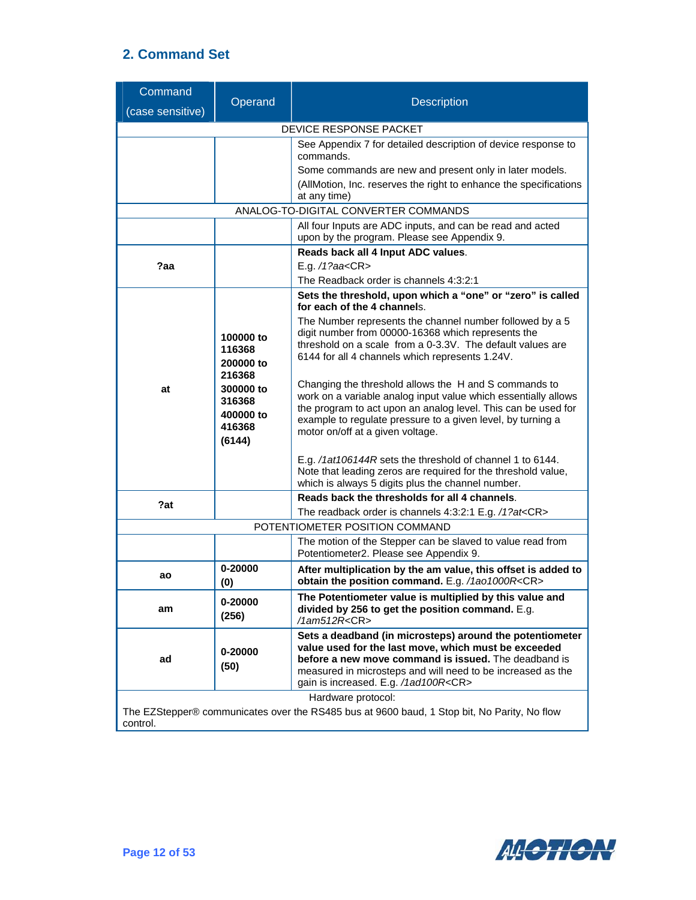| Command                |                                                                                                                                                                                                                                                                                                                                                                                                                                                                                                                                                                                                                                                                                                                         | <b>Description</b>                                                                                                                                                                                                                                                                    |  |
|------------------------|-------------------------------------------------------------------------------------------------------------------------------------------------------------------------------------------------------------------------------------------------------------------------------------------------------------------------------------------------------------------------------------------------------------------------------------------------------------------------------------------------------------------------------------------------------------------------------------------------------------------------------------------------------------------------------------------------------------------------|---------------------------------------------------------------------------------------------------------------------------------------------------------------------------------------------------------------------------------------------------------------------------------------|--|
| (case sensitive)       | Operand                                                                                                                                                                                                                                                                                                                                                                                                                                                                                                                                                                                                                                                                                                                 |                                                                                                                                                                                                                                                                                       |  |
| DEVICE RESPONSE PACKET |                                                                                                                                                                                                                                                                                                                                                                                                                                                                                                                                                                                                                                                                                                                         |                                                                                                                                                                                                                                                                                       |  |
|                        |                                                                                                                                                                                                                                                                                                                                                                                                                                                                                                                                                                                                                                                                                                                         | See Appendix 7 for detailed description of device response to<br>commands.<br>Some commands are new and present only in later models.<br>(AllMotion, Inc. reserves the right to enhance the specifications<br>at any time)                                                            |  |
|                        |                                                                                                                                                                                                                                                                                                                                                                                                                                                                                                                                                                                                                                                                                                                         | ANALOG-TO-DIGITAL CONVERTER COMMANDS                                                                                                                                                                                                                                                  |  |
|                        |                                                                                                                                                                                                                                                                                                                                                                                                                                                                                                                                                                                                                                                                                                                         | All four Inputs are ADC inputs, and can be read and acted<br>upon by the program. Please see Appendix 9.                                                                                                                                                                              |  |
| ?aa                    |                                                                                                                                                                                                                                                                                                                                                                                                                                                                                                                                                                                                                                                                                                                         | Reads back all 4 Input ADC values.<br>E.g. /1?aa <cr><br/>The Readback order is channels 4:3:2:1</cr>                                                                                                                                                                                 |  |
| at                     | Sets the threshold, upon which a "one" or "zero" is called<br>for each of the 4 channels.<br>The Number represents the channel number followed by a 5<br>digit number from 00000-16368 which represents the<br>100000 to<br>threshold on a scale from a 0-3.3V. The default values are<br>116368<br>6144 for all 4 channels which represents 1.24V.<br>200000 to<br>216368<br>Changing the threshold allows the H and S commands to<br>300000 to<br>work on a variable analog input value which essentially allows<br>316368<br>the program to act upon an analog level. This can be used for<br>400000 to<br>example to regulate pressure to a given level, by turning a<br>416368<br>motor on/off at a given voltage. |                                                                                                                                                                                                                                                                                       |  |
|                        | (6144)                                                                                                                                                                                                                                                                                                                                                                                                                                                                                                                                                                                                                                                                                                                  | E.g. /1at106144R sets the threshold of channel 1 to 6144.<br>Note that leading zeros are required for the threshold value,<br>which is always 5 digits plus the channel number.                                                                                                       |  |
| ?at                    |                                                                                                                                                                                                                                                                                                                                                                                                                                                                                                                                                                                                                                                                                                                         | Reads back the thresholds for all 4 channels.                                                                                                                                                                                                                                         |  |
|                        |                                                                                                                                                                                                                                                                                                                                                                                                                                                                                                                                                                                                                                                                                                                         | The readback order is channels 4:3:2:1 E.g. /1?at <cr></cr>                                                                                                                                                                                                                           |  |
|                        | POTENTIOMETER POSITION COMMAND<br>The motion of the Stepper can be slaved to value read from<br>Potentiometer2. Please see Appendix 9.                                                                                                                                                                                                                                                                                                                                                                                                                                                                                                                                                                                  |                                                                                                                                                                                                                                                                                       |  |
| ao                     | 0-20000<br>(0)                                                                                                                                                                                                                                                                                                                                                                                                                                                                                                                                                                                                                                                                                                          | After multiplication by the am value, this offset is added to<br>obtain the position command. E.g. /1ao1000R <cr></cr>                                                                                                                                                                |  |
| am                     | 0-20000<br>(256)                                                                                                                                                                                                                                                                                                                                                                                                                                                                                                                                                                                                                                                                                                        | The Potentiometer value is multiplied by this value and<br>divided by 256 to get the position command. E.g.<br>/1am512R <cr></cr>                                                                                                                                                     |  |
| ad                     | 0-20000<br>(50)                                                                                                                                                                                                                                                                                                                                                                                                                                                                                                                                                                                                                                                                                                         | Sets a deadband (in microsteps) around the potentiometer<br>value used for the last move, which must be exceeded<br>before a new move command is issued. The deadband is<br>measured in microsteps and will need to be increased as the<br>gain is increased. E.g. /1ad100R <cr></cr> |  |
| control.               |                                                                                                                                                                                                                                                                                                                                                                                                                                                                                                                                                                                                                                                                                                                         | Hardware protocol:<br>The EZStepper® communicates over the RS485 bus at 9600 baud, 1 Stop bit, No Parity, No flow                                                                                                                                                                     |  |

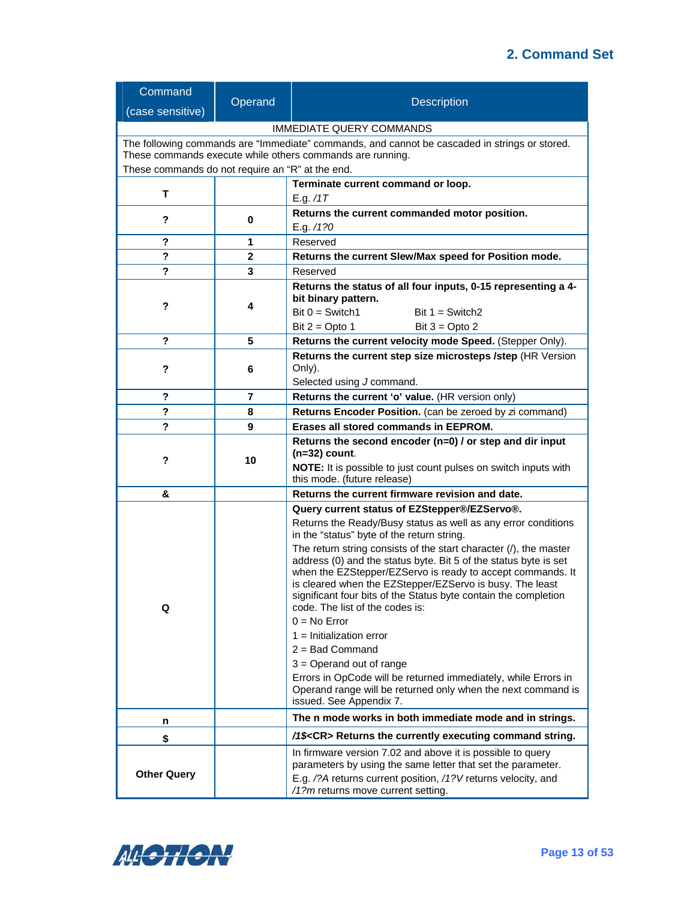| Command                                                                                       |                                                          | <b>Description</b>                                                                                                             |  |  |  |
|-----------------------------------------------------------------------------------------------|----------------------------------------------------------|--------------------------------------------------------------------------------------------------------------------------------|--|--|--|
| (case sensitive)                                                                              | Operand                                                  |                                                                                                                                |  |  |  |
| <b>IMMEDIATE QUERY COMMANDS</b>                                                               |                                                          |                                                                                                                                |  |  |  |
| The following commands are "Immediate" commands, and cannot be cascaded in strings or stored. |                                                          |                                                                                                                                |  |  |  |
| These commands execute while others commands are running.                                     |                                                          |                                                                                                                                |  |  |  |
| These commands do not require an "R" at the end.                                              |                                                          |                                                                                                                                |  |  |  |
| T                                                                                             |                                                          | Terminate current command or loop.                                                                                             |  |  |  |
|                                                                                               |                                                          | E.g. /1T                                                                                                                       |  |  |  |
| ?                                                                                             | 0                                                        | Returns the current commanded motor position.                                                                                  |  |  |  |
| ?                                                                                             | 1                                                        | E.g. /1?0<br>Reserved                                                                                                          |  |  |  |
| ?                                                                                             | $\mathbf{2}$                                             | Returns the current Slew/Max speed for Position mode.                                                                          |  |  |  |
| ?                                                                                             | 3                                                        | Reserved                                                                                                                       |  |  |  |
|                                                                                               |                                                          | Returns the status of all four inputs, 0-15 representing a 4-                                                                  |  |  |  |
|                                                                                               |                                                          | bit binary pattern.                                                                                                            |  |  |  |
| ?                                                                                             | 4                                                        | $Bit 0 = Switch1$<br>Bit $1 =$ Switch2                                                                                         |  |  |  |
|                                                                                               |                                                          | Bit $2 =$ Opto 1<br>Bit $3 =$ Opto 2                                                                                           |  |  |  |
| ?                                                                                             | 5                                                        | Returns the current velocity mode Speed. (Stepper Only).                                                                       |  |  |  |
|                                                                                               |                                                          | Returns the current step size microsteps /step (HR Version                                                                     |  |  |  |
| ?                                                                                             | 6                                                        | Only).                                                                                                                         |  |  |  |
|                                                                                               |                                                          | Selected using J command.                                                                                                      |  |  |  |
| ?                                                                                             | 7                                                        | Returns the current 'o' value. (HR version only)                                                                               |  |  |  |
| ?                                                                                             | 8                                                        | Returns Encoder Position. (can be zeroed by zi command)                                                                        |  |  |  |
| ?                                                                                             | 9                                                        | Erases all stored commands in EEPROM.                                                                                          |  |  |  |
|                                                                                               | Returns the second encoder (n=0) / or step and dir input |                                                                                                                                |  |  |  |
| ?                                                                                             | 10                                                       | $(n=32)$ count.                                                                                                                |  |  |  |
|                                                                                               |                                                          | NOTE: It is possible to just count pulses on switch inputs with<br>this mode. (future release)                                 |  |  |  |
| &                                                                                             |                                                          | Returns the current firmware revision and date.                                                                                |  |  |  |
|                                                                                               |                                                          | Query current status of EZStepper®/EZServo®.                                                                                   |  |  |  |
|                                                                                               |                                                          | Returns the Ready/Busy status as well as any error conditions                                                                  |  |  |  |
|                                                                                               |                                                          | in the "status" byte of the return string.                                                                                     |  |  |  |
|                                                                                               |                                                          | The return string consists of the start character $($ ), the master                                                            |  |  |  |
|                                                                                               |                                                          | address (0) and the status byte. Bit 5 of the status byte is set<br>when the EZStepper/EZServo is ready to accept commands. It |  |  |  |
|                                                                                               |                                                          | is cleared when the EZStepper/EZServo is busy. The least                                                                       |  |  |  |
|                                                                                               |                                                          | significant four bits of the Status byte contain the completion                                                                |  |  |  |
| Q                                                                                             |                                                          | code. The list of the codes is:                                                                                                |  |  |  |
|                                                                                               |                                                          | $0 = No Error$                                                                                                                 |  |  |  |
|                                                                                               |                                                          | $1 =$ Initialization error                                                                                                     |  |  |  |
|                                                                                               |                                                          | $2 =$ Bad Command                                                                                                              |  |  |  |
|                                                                                               |                                                          | $3 =$ Operand out of range                                                                                                     |  |  |  |
|                                                                                               |                                                          | Errors in OpCode will be returned immediately, while Errors in<br>Operand range will be returned only when the next command is |  |  |  |
|                                                                                               |                                                          | issued. See Appendix 7.                                                                                                        |  |  |  |
| n                                                                                             |                                                          | The n mode works in both immediate mode and in strings.                                                                        |  |  |  |
| \$                                                                                            |                                                          | /1\$ <cr> Returns the currently executing command string.</cr>                                                                 |  |  |  |
|                                                                                               |                                                          | In firmware version 7.02 and above it is possible to query                                                                     |  |  |  |
| <b>Other Query</b>                                                                            |                                                          | parameters by using the same letter that set the parameter.                                                                    |  |  |  |
|                                                                                               |                                                          | E.g. /?A returns current position, /1?V returns velocity, and<br>/1?m returns move current setting.                            |  |  |  |

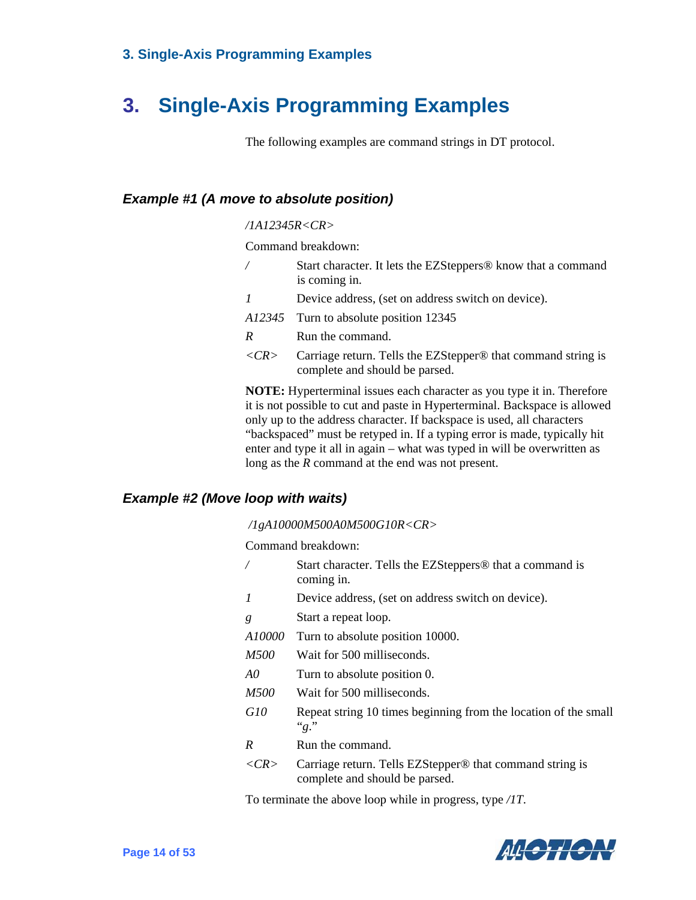# <span id="page-20-0"></span>**3. Single-Axis Programming Examples**

The following examples are command strings in DT protocol.

#### <span id="page-20-1"></span>*Example #1 (A move to absolute position)*

#### */1A12345R<CR>*

Command breakdown:

- *Start character.* It lets the EZSteppers<sup>®</sup> know that a command is coming in.
- *1* Device address, (set on address switch on device).
- *A12345* Turn to absolute position 12345
- *R* Run the command.
- *<CR>* Carriage return. Tells the EZStepper® that command string is complete and should be parsed.

**NOTE:** Hyperterminal issues each character as you type it in. Therefore it is not possible to cut and paste in Hyperterminal. Backspace is allowed only up to the address character. If backspace is used, all characters "backspaced" must be retyped in. If a typing error is made, typically hit enter and type it all in again – what was typed in will be overwritten as long as the *R* command at the end was not present.

#### <span id="page-20-2"></span>*Example #2 (Move loop with waits)*

*/1gA10000M500A0M500G10R<CR>* 

Command breakdown:

- Start character. Tells the EZSteppers<sup>®</sup> that a command is coming in.
- *1* Device address, (set on address switch on device).
- *g* Start a repeat loop.
- *A10000* Turn to absolute position 10000.
- *M500* Wait for 500 milliseconds.
- *A0* Turn to absolute position 0.
- *M500* Wait for 500 milliseconds.
- *G10* Repeat string 10 times beginning from the location of the small "*g*."
- *R* Run the command.
- *<CR>* Carriage return. Tells EZStepper® that command string is complete and should be parsed.

To terminate the above loop while in progress, type */1T*.

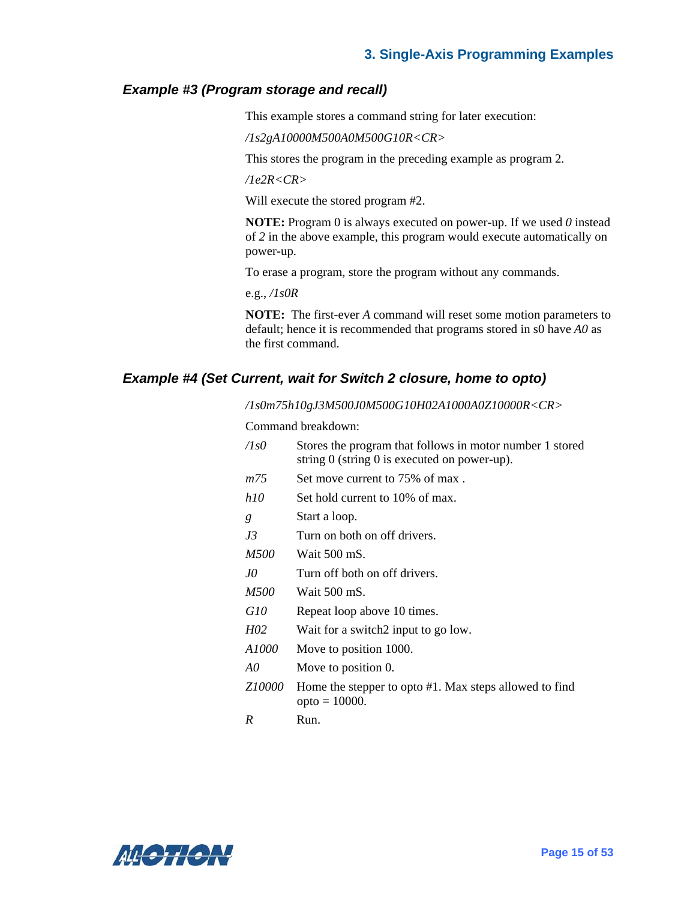#### <span id="page-21-0"></span>*Example #3 (Program storage and recall)*

This example stores a command string for later execution:

*/1s2gA10000M500A0M500G10R<CR>* 

This stores the program in the preceding example as program 2.

*/1e2R<CR>* 

Will execute the stored program #2.

**NOTE:** Program 0 is always executed on power-up. If we used *0* instead of *2* in the above example, this program would execute automatically on power-up.

To erase a program, store the program without any commands.

e.g., */1s0R*

**NOTE:** The first-ever *A* command will reset some motion parameters to default; hence it is recommended that programs stored in s0 have *A0* as the first command.

#### <span id="page-21-1"></span>*Example #4 (Set Current, wait for Switch 2 closure, home to opto)*

*/1s0m75h10gJ3M500J0M500G10H02A1000A0Z10000R<CR>* 

Command breakdown:

| /1s0   | Stores the program that follows in motor number 1 stored<br>string $0$ (string $0$ is executed on power-up). |
|--------|--------------------------------------------------------------------------------------------------------------|
| m75    | Set move current to 75% of max.                                                                              |
| h10    | Set hold current to 10% of max.                                                                              |
| g      | Start a loop.                                                                                                |
| J3     | Turn on both on off drivers.                                                                                 |
| M500   | Wait 500 mS.                                                                                                 |
| JO     | Turn off both on off drivers.                                                                                |
| M500   | Wait 500 mS.                                                                                                 |
| G10    | Repeat loop above 10 times.                                                                                  |
| H02    | Wait for a switch 2 input to go low.                                                                         |
| A1000  | Move to position 1000.                                                                                       |
| A0     | Move to position 0.                                                                                          |
| Z10000 | Home the stepper to opto #1. Max steps allowed to find<br>$opto = 10000$ .                                   |
| R      | Run.                                                                                                         |
|        |                                                                                                              |

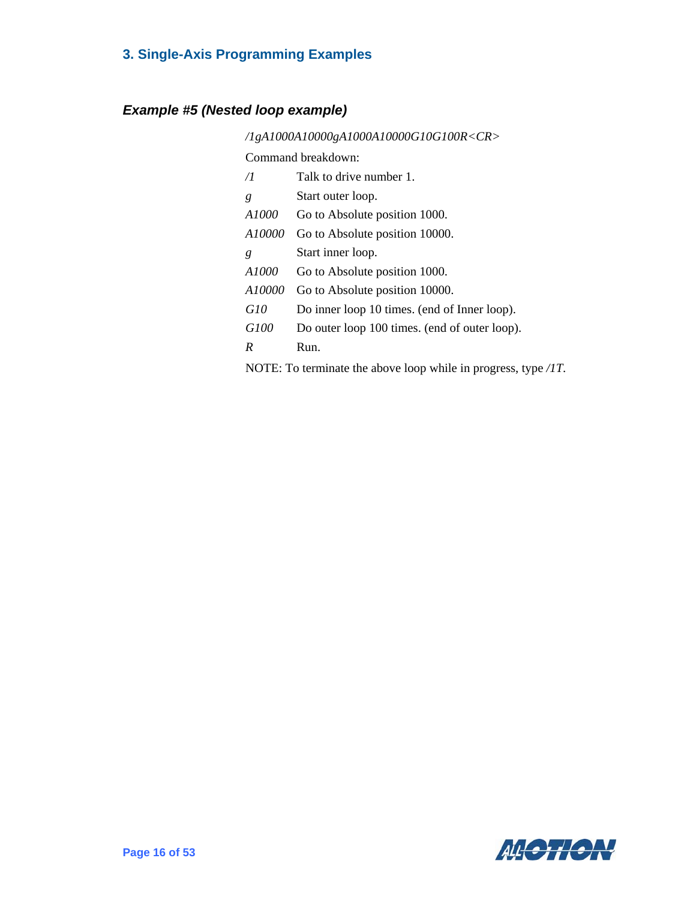#### <span id="page-22-0"></span>*Example #5 (Nested loop example)*

*/1gA1000A10000gA1000A10000G10G100R<CR>*  Command breakdown: */1* Talk to drive number 1. *g* Start outer loop. *A1000* Go to Absolute position 1000. *A10000* Go to Absolute position 10000. *g* Start inner loop. *A1000* Go to Absolute position 1000. *A10000* Go to Absolute position 10000. *G10* Do inner loop 10 times. (end of Inner loop). *G100* Do outer loop 100 times. (end of outer loop). *R* Run. NOTE: To terminate the above loop while in progress, type */1T.*

AGGTION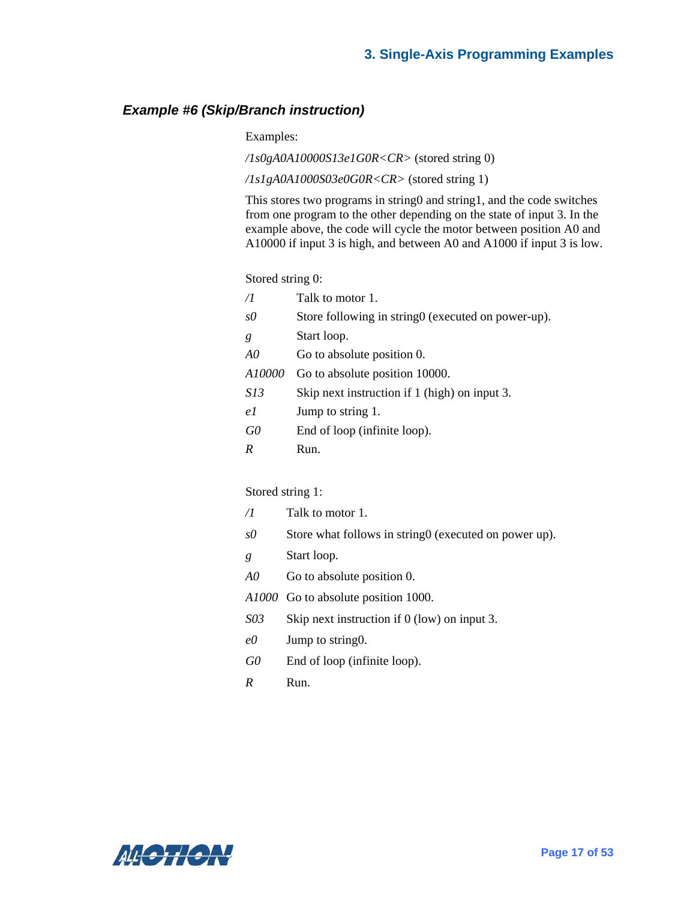#### <span id="page-23-0"></span>*Example #6 (Skip/Branch instruction)*

Examples:

*/1s0gA0A10000S13e1G0R<CR>* (stored string 0)

*/1s1gA0A1000S03e0G0R<CR>* (stored string 1)

This stores two programs in string0 and string1, and the code switches from one program to the other depending on the state of input 3. In the example above, the code will cycle the motor between position A0 and A10000 if input 3 is high, and between A0 and A1000 if input 3 is low.

Stored string 0:

| /1         | Talk to motor 1.                                    |
|------------|-----------------------------------------------------|
| sO         | Store following in string 0 (executed on power-up). |
| g          | Start loop.                                         |
| A0         | Go to absolute position 0.                          |
| A10000     | Go to absolute position 10000.                      |
| <i>S13</i> | Skip next instruction if 1 (high) on input 3.       |
| e 1        | Jump to string 1.                                   |
| G0         | End of loop (infinite loop).                        |
| R          | Run.                                                |

#### Stored string 1:

- */1* Talk to motor 1. *s0* Store what follows in string (executed on power up). *g* Start loop.
- *A0* Go to absolute position 0.
- *A1000* Go to absolute position 1000.
- *S03* Skip next instruction if 0 (low) on input 3.
- *e0* Jump to string0.
- *G0* End of loop (infinite loop).
- *R* Run.

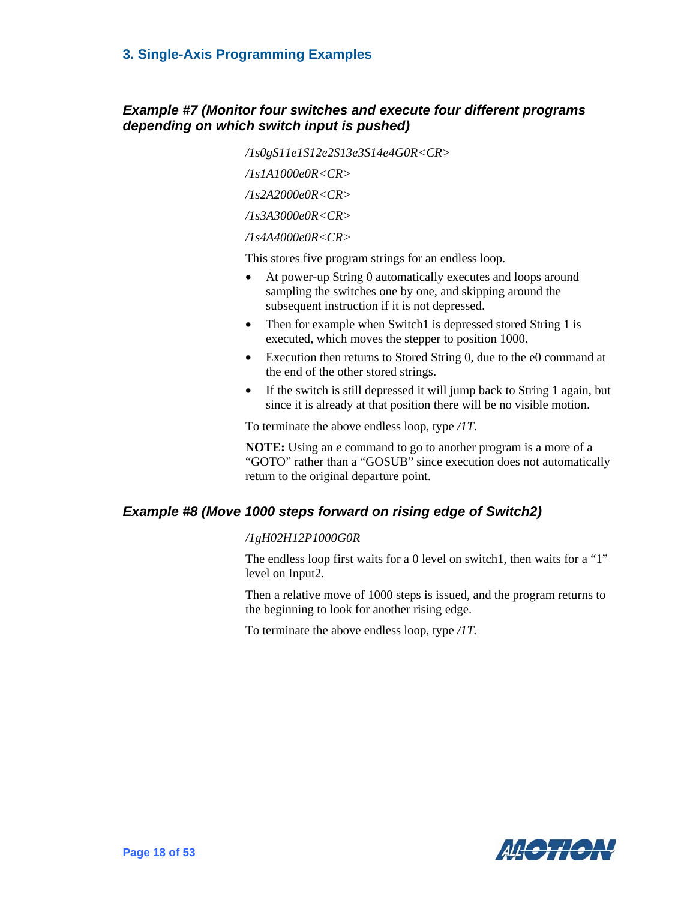#### <span id="page-24-0"></span>*Example #7 (Monitor four switches and execute four different programs depending on which switch input is pushed)*

*/1s0gS11e1S12e2S13e3S14e4G0R<CR> /1s1A1000e0R<CR> /1s2A2000e0R<CR> /1s3A3000e0R<CR> /1s4A4000e0R<CR>* 

This stores five program strings for an endless loop.

- At power-up String 0 automatically executes and loops around sampling the switches one by one, and skipping around the subsequent instruction if it is not depressed.
- Then for example when Switch1 is depressed stored String 1 is executed, which moves the stepper to position 1000.
- Execution then returns to Stored String 0, due to the e0 command at the end of the other stored strings.
- If the switch is still depressed it will jump back to String 1 again, but since it is already at that position there will be no visible motion.

To terminate the above endless loop, type */1T*.

**NOTE:** Using an *e* command to go to another program is a more of a "GOTO" rather than a "GOSUB" since execution does not automatically return to the original departure point.

#### <span id="page-24-1"></span>*Example #8 (Move 1000 steps forward on rising edge of Switch2)*

#### */1gH02H12P1000G0R*

The endless loop first waits for a 0 level on switch1, then waits for a "1" level on Input2.

Then a relative move of 1000 steps is issued, and the program returns to the beginning to look for another rising edge.

To terminate the above endless loop, type */1T.*

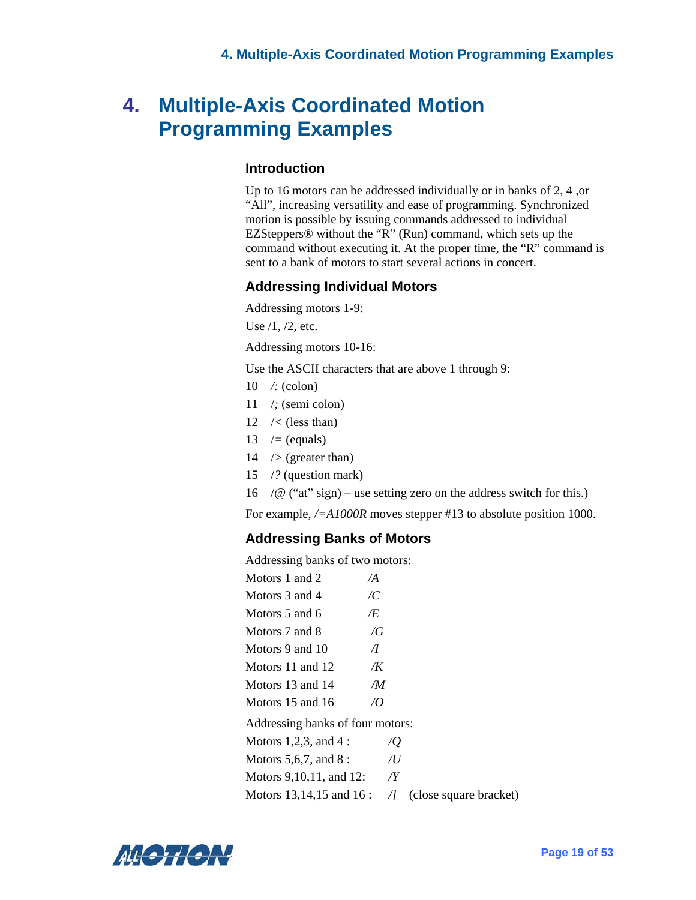## <span id="page-25-0"></span>**4. Multiple-Axis Coordinated Motion Programming Examples**

#### **Introduction**

Up to 16 motors can be addressed individually or in banks of 2, 4 ,or "All", increasing versatility and ease of programming. Synchronized motion is possible by issuing commands addressed to individual EZSteppers® without the "R" (Run) command, which sets up the command without executing it. At the proper time, the "R" command is sent to a bank of motors to start several actions in concert.

#### **Addressing Individual Motors**

Addressing motors 1-9:

Use /1, /2, etc.

Addressing motors 10-16:

Use the ASCII characters that are above 1 through 9:

- 10 */:* (colon)
- 11 /*;* (semi colon)
- 12 /*<* (less than)
- 13 /*=* (equals)
- 14 /*>* (greater than)
- 15 /*?* (question mark)
- 16 /*@* ("at" sign) use setting zero on the address switch for this.)

For example,  $\sqrt{\frac{2A1000R}{A}}$  moves stepper #13 to absolute position 1000.

#### **Addressing Banks of Motors**

Addressing banks of two motors:

| Motors 1 and 2   | $\overline{A}$ |
|------------------|----------------|
| Motors 3 and 4   | /C             |
| Motors 5 and 6   | Æ              |
| Motors 7 and 8   | $\sqrt{G}$     |
| Motors 9 and 10  | $\pi$          |
| Motors 11 and 12 | /K             |
| Motors 13 and 14 | /M             |
| Motors 15 and 16 | $\mathcal{U}$  |
|                  |                |

Addressing banks of four motors:

Motors 1,2,3, and 4 : */Q* 

Motors 5,6,7, and 8 : */U*

Motors 9,10,11, and 12: */Y*

Motors 13,14,15 and 16 : */]* (close square bracket)

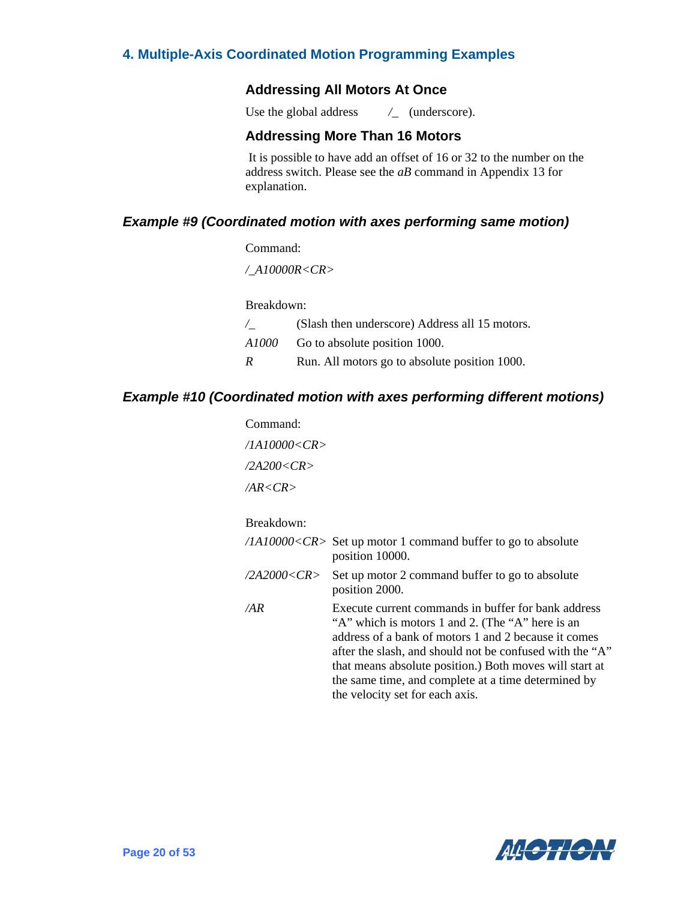#### **4. Multiple-Axis Coordinated Motion Programming Examples**

#### **Addressing All Motors At Once**

Use the global address  $/$  (underscore).

#### **Addressing More Than 16 Motors**

 It is possible to have add an offset of 16 or 32 to the number on the address switch. Please see the *aB* command in Appendix 13 for explanation.

#### <span id="page-26-0"></span>*Example #9 (Coordinated motion with axes performing same motion)*

#### Command:

*/\_A10000R<CR>*

Breakdown:

| $\sqrt{2}$ | (Slash then underscore) Address all 15 motors. |
|------------|------------------------------------------------|
| A1000 -    | Go to absolute position 1000.                  |
| R          | Run. All motors go to absolute position 1000.  |

#### <span id="page-26-1"></span>*Example #10 (Coordinated motion with axes performing different motions)*

| Command:           |                                                                                                                                                                                                                                                                                                                                                                                  |
|--------------------|----------------------------------------------------------------------------------------------------------------------------------------------------------------------------------------------------------------------------------------------------------------------------------------------------------------------------------------------------------------------------------|
| /1A10000 <cr></cr> |                                                                                                                                                                                                                                                                                                                                                                                  |
| /2A200 <cr></cr>   |                                                                                                                                                                                                                                                                                                                                                                                  |
| AR < CR            |                                                                                                                                                                                                                                                                                                                                                                                  |
| Breakdown:         |                                                                                                                                                                                                                                                                                                                                                                                  |
|                    | $/IA10000 < CR$ Set up motor 1 command buffer to go to absolute<br>position 10000.                                                                                                                                                                                                                                                                                               |
| /2A2000 <cr></cr>  | Set up motor 2 command buffer to go to absolute<br>position 2000.                                                                                                                                                                                                                                                                                                                |
| /AR                | Execute current commands in buffer for bank address<br>"A" which is motors 1 and 2. (The "A" here is an<br>address of a bank of motors 1 and 2 because it comes<br>after the slash, and should not be confused with the "A"<br>that means absolute position.) Both moves will start at<br>the same time, and complete at a time determined by<br>the velocity set for each axis. |

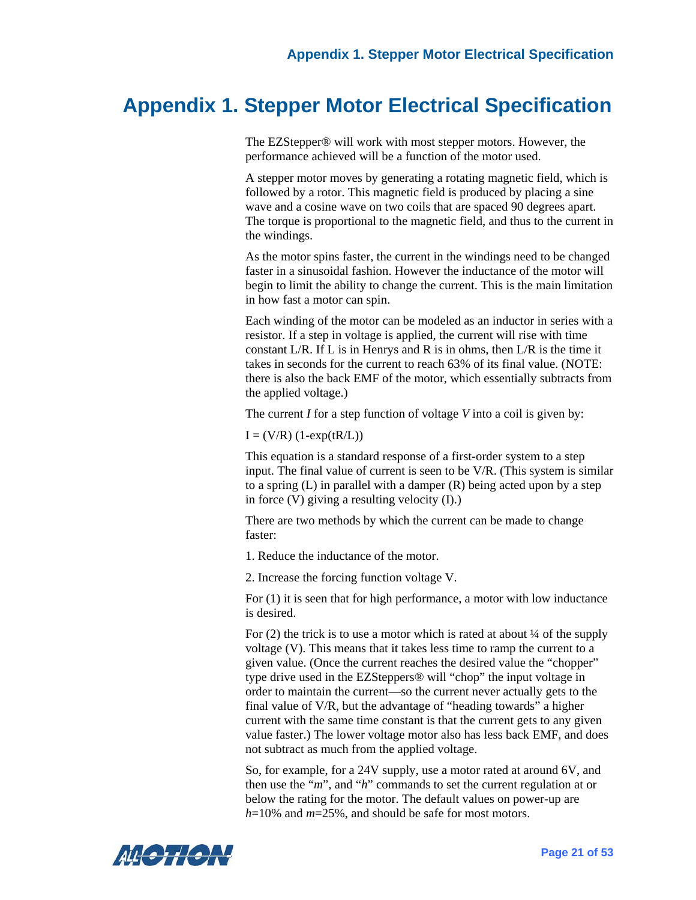# <span id="page-27-0"></span>**Appendix 1. Stepper Motor Electrical Specification**

The EZStepper® will work with most stepper motors. However, the performance achieved will be a function of the motor used.

A stepper motor moves by generating a rotating magnetic field, which is followed by a rotor. This magnetic field is produced by placing a sine wave and a cosine wave on two coils that are spaced 90 degrees apart. The torque is proportional to the magnetic field, and thus to the current in the windings.

As the motor spins faster, the current in the windings need to be changed faster in a sinusoidal fashion. However the inductance of the motor will begin to limit the ability to change the current. This is the main limitation in how fast a motor can spin.

Each winding of the motor can be modeled as an inductor in series with a resistor. If a step in voltage is applied, the current will rise with time constant L/R. If L is in Henrys and R is in ohms, then L/R is the time it takes in seconds for the current to reach 63% of its final value. (NOTE: there is also the back EMF of the motor, which essentially subtracts from the applied voltage.)

The current *I* for a step function of voltage *V* into a coil is given by:

 $I = (V/R) (1-exp(tR/L))$ 

This equation is a standard response of a first-order system to a step input. The final value of current is seen to be V/R. (This system is similar to a spring  $(L)$  in parallel with a damper  $(R)$  being acted upon by a step in force (V) giving a resulting velocity (I).)

There are two methods by which the current can be made to change faster:

1. Reduce the inductance of the motor.

2. Increase the forcing function voltage V.

For (1) it is seen that for high performance, a motor with low inductance is desired.

For  $(2)$  the trick is to use a motor which is rated at about  $\frac{1}{4}$  of the supply voltage (V). This means that it takes less time to ramp the current to a given value. (Once the current reaches the desired value the "chopper" type drive used in the EZSteppers® will "chop" the input voltage in order to maintain the current—so the current never actually gets to the final value of V/R, but the advantage of "heading towards" a higher current with the same time constant is that the current gets to any given value faster.) The lower voltage motor also has less back EMF, and does not subtract as much from the applied voltage.

So, for example, for a 24V supply, use a motor rated at around 6V, and then use the "*m*", and "*h*" commands to set the current regulation at or below the rating for the motor. The default values on power-up are *h*=10% and *m*=25%, and should be safe for most motors.

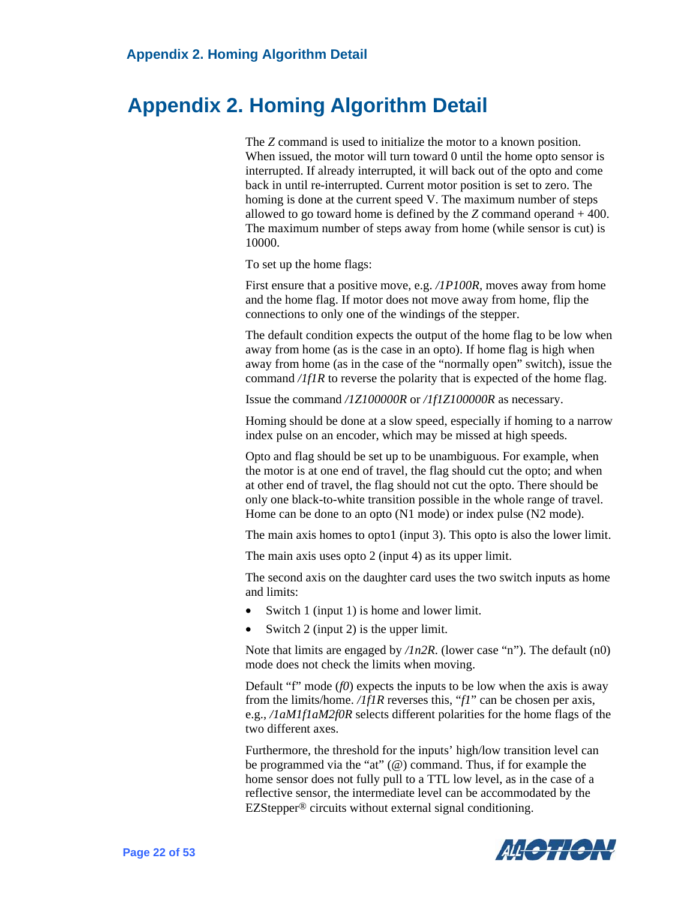### <span id="page-28-0"></span> **Appendix 2. Homing Algorithm Detail**

The *Z* command is used to initialize the motor to a known position. When issued, the motor will turn toward 0 until the home opto sensor is interrupted. If already interrupted, it will back out of the opto and come back in until re-interrupted. Current motor position is set to zero. The homing is done at the current speed V. The maximum number of steps allowed to go toward home is defined by the  $Z$  command operand  $+400$ . The maximum number of steps away from home (while sensor is cut) is 10000.

To set up the home flags:

First ensure that a positive move, e.g. */1P100R,* moves away from home and the home flag. If motor does not move away from home, flip the connections to only one of the windings of the stepper.

The default condition expects the output of the home flag to be low when away from home (as is the case in an opto). If home flag is high when away from home (as in the case of the "normally open" switch), issue the command */1f1R* to reverse the polarity that is expected of the home flag.

Issue the command */1Z100000R* or */1f1Z100000R* as necessary.

Homing should be done at a slow speed, especially if homing to a narrow index pulse on an encoder, which may be missed at high speeds.

Opto and flag should be set up to be unambiguous. For example, when the motor is at one end of travel, the flag should cut the opto; and when at other end of travel, the flag should not cut the opto. There should be only one black-to-white transition possible in the whole range of travel. Home can be done to an opto (N1 mode) or index pulse (N2 mode).

The main axis homes to opto1 (input 3). This opto is also the lower limit.

The main axis uses opto 2 (input 4) as its upper limit.

The second axis on the daughter card uses the two switch inputs as home and limits:

- Switch 1 (input 1) is home and lower limit.
- Switch 2 (input 2) is the upper limit.

Note that limits are engaged by */1n2R*. (lower case "n"). The default (n0) mode does not check the limits when moving.

Default "f" mode  $(f0)$  expects the inputs to be low when the axis is away from the limits/home. */1f1R* reverses this, "*f1*" can be chosen per axis, e.g., */1aM1f1aM2f0R* selects different polarities for the home flags of the two different axes.

Furthermore, the threshold for the inputs' high/low transition level can be programmed via the "at" (@) command. Thus, if for example the home sensor does not fully pull to a TTL low level, as in the case of a reflective sensor, the intermediate level can be accommodated by the EZStepper® circuits without external signal conditioning.

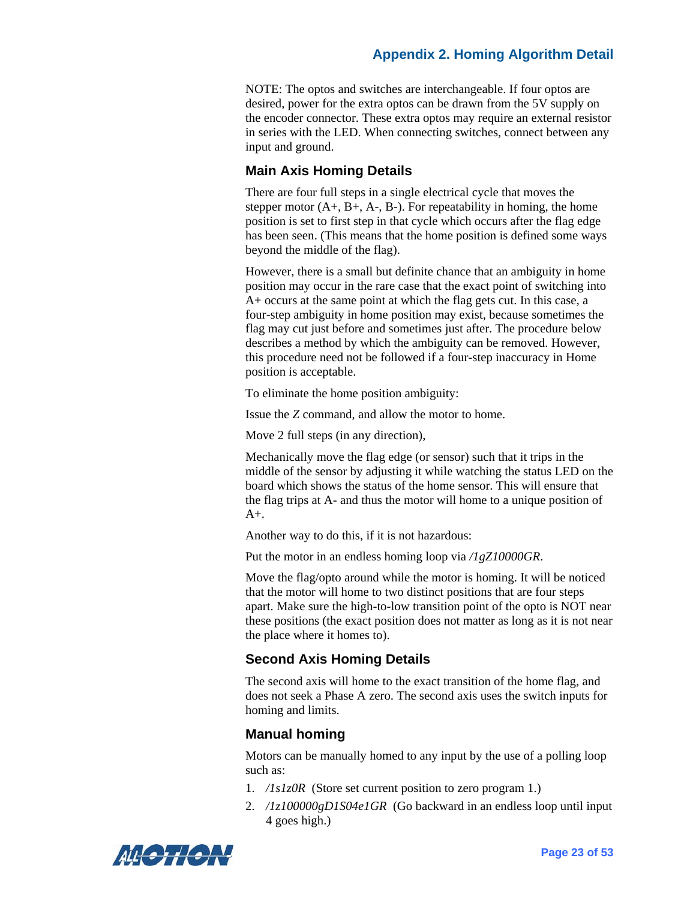#### **Appendix 2. Homing Algorithm Detail**

NOTE: The optos and switches are interchangeable. If four optos are desired, power for the extra optos can be drawn from the 5V supply on the encoder connector. These extra optos may require an external resistor in series with the LED. When connecting switches, connect between any input and ground.

#### **Main Axis Homing Details**

There are four full steps in a single electrical cycle that moves the stepper motor  $(A_+, B_+, A_-, B_-)$ . For repeatability in homing, the home position is set to first step in that cycle which occurs after the flag edge has been seen. (This means that the home position is defined some ways beyond the middle of the flag).

However, there is a small but definite chance that an ambiguity in home position may occur in the rare case that the exact point of switching into A+ occurs at the same point at which the flag gets cut. In this case, a four-step ambiguity in home position may exist, because sometimes the flag may cut just before and sometimes just after. The procedure below describes a method by which the ambiguity can be removed. However, this procedure need not be followed if a four-step inaccuracy in Home position is acceptable.

To eliminate the home position ambiguity:

Issue the *Z* command, and allow the motor to home.

Move 2 full steps (in any direction),

Mechanically move the flag edge (or sensor) such that it trips in the middle of the sensor by adjusting it while watching the status LED on the board which shows the status of the home sensor. This will ensure that the flag trips at A- and thus the motor will home to a unique position of  $A+$ .

Another way to do this, if it is not hazardous:

Put the motor in an endless homing loop via */1gZ10000GR*.

Move the flag/opto around while the motor is homing. It will be noticed that the motor will home to two distinct positions that are four steps apart. Make sure the high-to-low transition point of the opto is NOT near these positions (the exact position does not matter as long as it is not near the place where it homes to).

#### **Second Axis Homing Details**

The second axis will home to the exact transition of the home flag, and does not seek a Phase A zero. The second axis uses the switch inputs for homing and limits.

#### **Manual homing**

Motors can be manually homed to any input by the use of a polling loop such as:

- 1. */1s1z0R* (Store set current position to zero program 1.)
- 2. */1z100000gD1S04e1GR* (Go backward in an endless loop until input 4 goes high.)

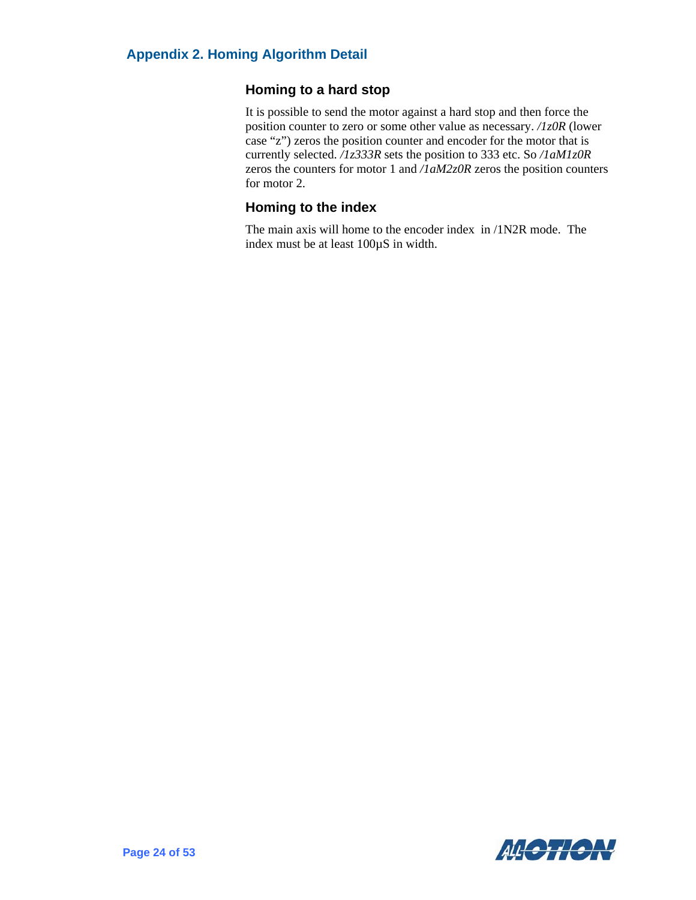#### **Homing to a hard stop**

It is possible to send the motor against a hard stop and then force the position counter to zero or some other value as necessary. */1z0R* (lower case "z") zeros the position counter and encoder for the motor that is currently selected. */1z333R* sets the position to 333 etc. So */1aM1z0R* zeros the counters for motor 1 and */1aM2z0R* zeros the position counters for motor 2.

#### **Homing to the index**

The main axis will home to the encoder index in /1N2R mode. The index must be at least 100µS in width.

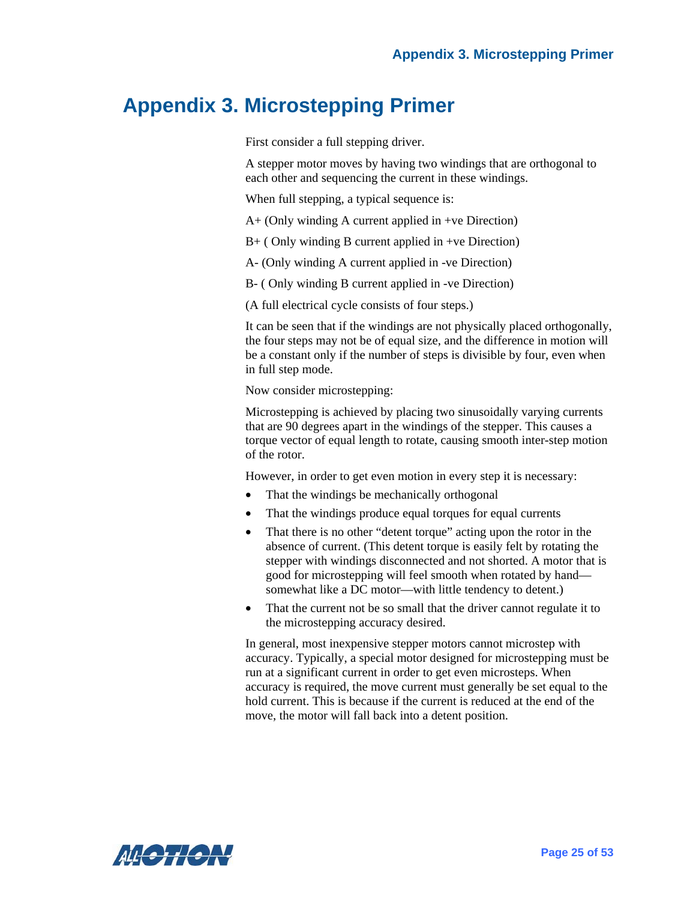### <span id="page-31-0"></span>**Appendix 3. Microstepping Primer**

First consider a full stepping driver.

A stepper motor moves by having two windings that are orthogonal to each other and sequencing the current in these windings.

When full stepping, a typical sequence is:

A+ (Only winding A current applied in +ve Direction)

B+ ( Only winding B current applied in +ve Direction)

A- (Only winding A current applied in -ve Direction)

B- ( Only winding B current applied in -ve Direction)

(A full electrical cycle consists of four steps.)

It can be seen that if the windings are not physically placed orthogonally, the four steps may not be of equal size, and the difference in motion will be a constant only if the number of steps is divisible by four, even when in full step mode.

Now consider microstepping:

Microstepping is achieved by placing two sinusoidally varying currents that are 90 degrees apart in the windings of the stepper. This causes a torque vector of equal length to rotate, causing smooth inter-step motion of the rotor.

However, in order to get even motion in every step it is necessary:

- That the windings be mechanically orthogonal
- That the windings produce equal torques for equal currents
- That there is no other "detent torque" acting upon the rotor in the absence of current. (This detent torque is easily felt by rotating the stepper with windings disconnected and not shorted. A motor that is good for microstepping will feel smooth when rotated by hand somewhat like a DC motor—with little tendency to detent.)
- That the current not be so small that the driver cannot regulate it to the microstepping accuracy desired.

In general, most inexpensive stepper motors cannot microstep with accuracy. Typically, a special motor designed for microstepping must be run at a significant current in order to get even microsteps. When accuracy is required, the move current must generally be set equal to the hold current. This is because if the current is reduced at the end of the move, the motor will fall back into a detent position.

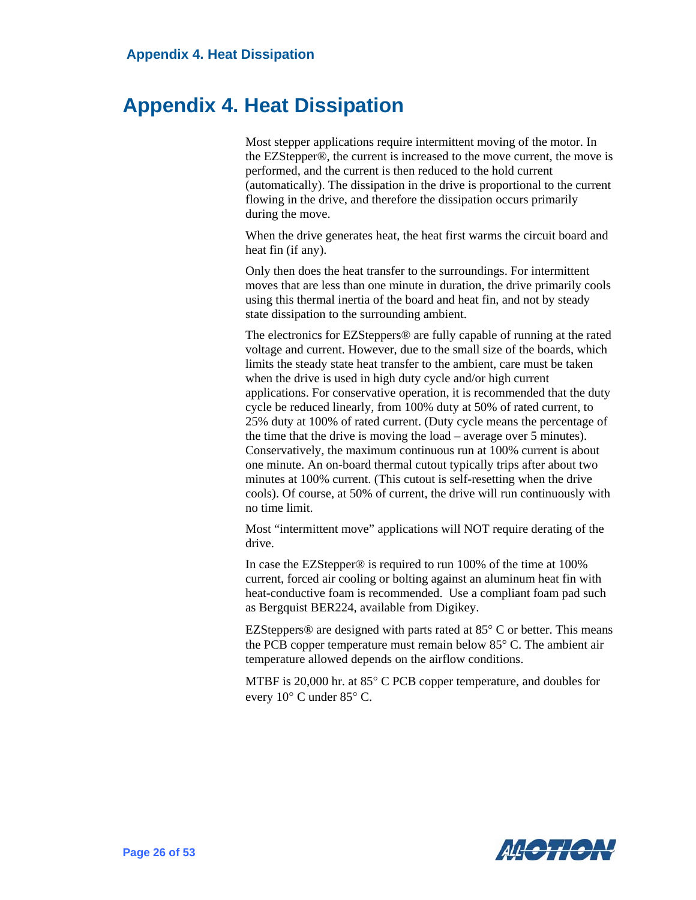# <span id="page-32-0"></span>**Appendix 4. Heat Dissipation**

Most stepper applications require intermittent moving of the motor. In the EZStepper®, the current is increased to the move current, the move is performed, and the current is then reduced to the hold current (automatically). The dissipation in the drive is proportional to the current flowing in the drive, and therefore the dissipation occurs primarily during the move.

When the drive generates heat, the heat first warms the circuit board and heat fin (if any).

Only then does the heat transfer to the surroundings. For intermittent moves that are less than one minute in duration, the drive primarily cools using this thermal inertia of the board and heat fin, and not by steady state dissipation to the surrounding ambient.

The electronics for EZSteppers® are fully capable of running at the rated voltage and current. However, due to the small size of the boards, which limits the steady state heat transfer to the ambient, care must be taken when the drive is used in high duty cycle and/or high current applications. For conservative operation, it is recommended that the duty cycle be reduced linearly, from 100% duty at 50% of rated current, to 25% duty at 100% of rated current. (Duty cycle means the percentage of the time that the drive is moving the load – average over 5 minutes). Conservatively, the maximum continuous run at 100% current is about one minute. An on-board thermal cutout typically trips after about two minutes at 100% current. (This cutout is self-resetting when the drive cools). Of course, at 50% of current, the drive will run continuously with no time limit.

Most "intermittent move" applications will NOT require derating of the drive.

In case the EZStepper® is required to run 100% of the time at 100% current, forced air cooling or bolting against an aluminum heat fin with heat-conductive foam is recommended. Use a compliant foam pad such as Bergquist BER224, available from Digikey.

EZSteppers<sup>®</sup> are designed with parts rated at  $85^{\circ}$  C or better. This means the PCB copper temperature must remain below 85° C. The ambient air temperature allowed depends on the airflow conditions.

MTBF is 20,000 hr. at 85° C PCB copper temperature, and doubles for every 10° C under 85° C.

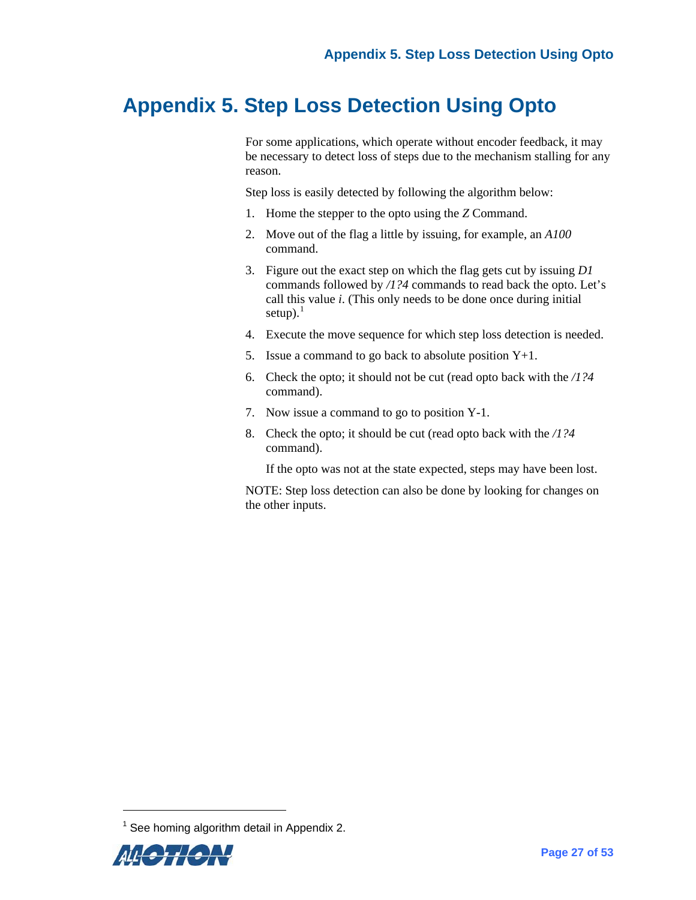### <span id="page-33-0"></span>**Appendix 5. Step Loss Detection Using Opto**

For some applications, which operate without encoder feedback, it may be necessary to detect loss of steps due to the mechanism stalling for any reason.

Step loss is easily detected by following the algorithm below:

- 1. Home the stepper to the opto using the *Z* Command.
- 2. Move out of the flag a little by issuing, for example, an *A100* command.
- 3. Figure out the exact step on which the flag gets cut by issuing *D1* commands followed by */1?4* commands to read back the opto. Let's call this value *i*. (This only needs to be done once during initial setup). $<sup>1</sup>$  $<sup>1</sup>$  $<sup>1</sup>$ </sup>
- 4. Execute the move sequence for which step loss detection is needed.
- 5. Issue a command to go back to absolute position  $Y+1$ .
- 6. Check the opto; it should not be cut (read opto back with the */1?4* command).
- 7. Now issue a command to go to position Y-1.
- 8. Check the opto; it should be cut (read opto back with the */1?4* command).

If the opto was not at the state expected, steps may have been lost.

NOTE: Step loss detection can also be done by looking for changes on the other inputs.

<span id="page-33-1"></span> $1$  See homing algorithm detail in Appendix 2.



l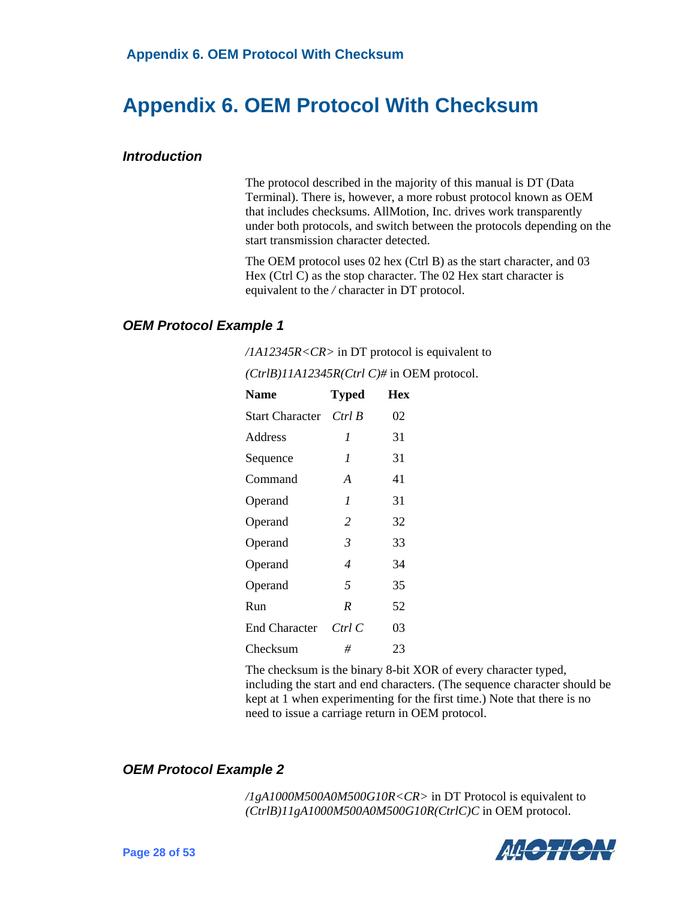# <span id="page-34-0"></span>**Appendix 6. OEM Protocol With Checksum**

#### <span id="page-34-1"></span>*Introduction*

The protocol described in the majority of this manual is DT (Data Terminal). There is, however, a more robust protocol known as OEM that includes checksums. AllMotion, Inc. drives work transparently under both protocols, and switch between the protocols depending on the start transmission character detected.

The OEM protocol uses 02 hex (Ctrl B) as the start character, and 03 Hex (Ctrl C) as the stop character. The 02 Hex start character is equivalent to the */* character in DT protocol.

#### <span id="page-34-2"></span>*OEM Protocol Example 1*

*/1A12345R<CR>* in DT protocol is equivalent to

| <b>Name</b>          | <b>Typed</b>   | Hex |
|----------------------|----------------|-----|
| Start Character      | Ctrl B         | 02  |
| Address              | 1              | 31  |
| Sequence             | 1              | 31  |
| Command              | A              | 41  |
| Operand              | $\mathcal I$   | 31  |
| Operand              | $\overline{c}$ | 32  |
| Operand              | $\mathcal{E}$  | 33  |
| Operand              | $\overline{4}$ | 34  |
| Operand              | 5              | 35  |
| Run                  | R              | 52  |
| <b>End Character</b> | Ctrl C         | 03  |
| Checksum             | #              | 23  |

*(CtrlB)11A12345R(Ctrl C)#* in OEM protocol.

The checksum is the binary 8-bit XOR of every character typed, including the start and end characters. (The sequence character should be kept at 1 when experimenting for the first time.) Note that there is no need to issue a carriage return in OEM protocol.

#### <span id="page-34-3"></span>*OEM Protocol Example 2*

*/1gA1000M500A0M500G10R<CR>* in DT Protocol is equivalent to *(CtrlB)11gA1000M500A0M500G10R(CtrlC)C* in OEM protocol.

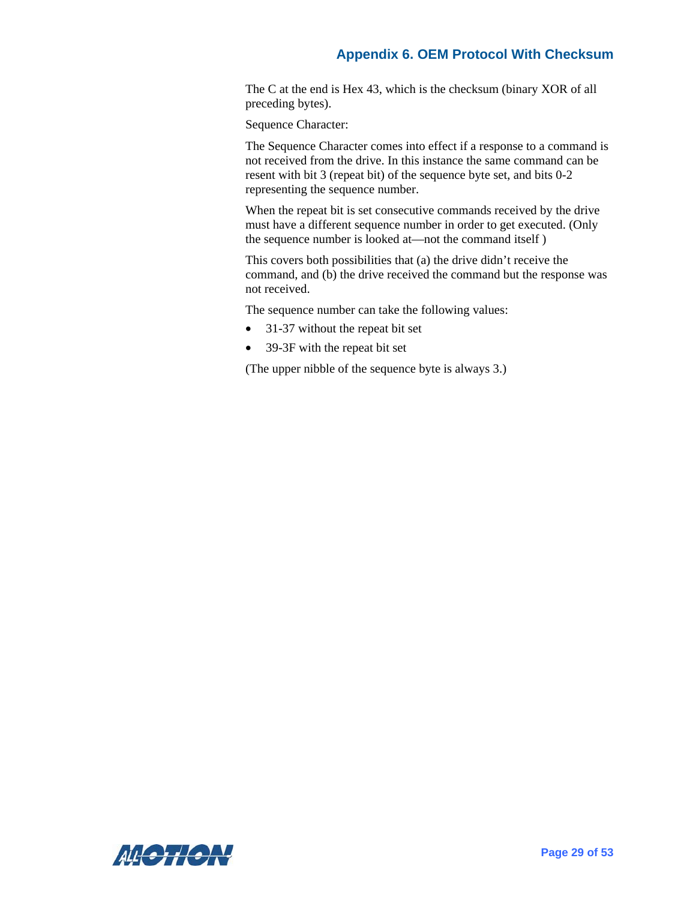The C at the end is Hex 43, which is the checksum (binary XOR of all preceding bytes).

Sequence Character:

The Sequence Character comes into effect if a response to a command is not received from the drive. In this instance the same command can be resent with bit 3 (repeat bit) of the sequence byte set, and bits 0-2 representing the sequence number.

When the repeat bit is set consecutive commands received by the drive must have a different sequence number in order to get executed. (Only the sequence number is looked at—not the command itself )

This covers both possibilities that (a) the drive didn't receive the command, and (b) the drive received the command but the response was not received.

The sequence number can take the following values:

- 31-37 without the repeat bit set
- 39-3F with the repeat bit set

(The upper nibble of the sequence byte is always 3.)

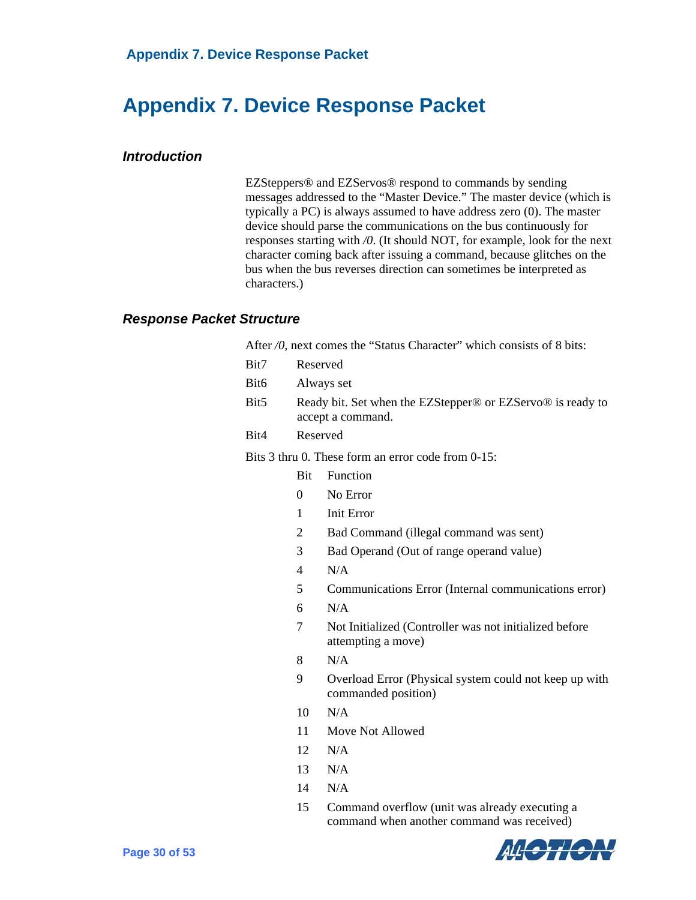# <span id="page-36-0"></span>**Appendix 7. Device Response Packet**

#### <span id="page-36-1"></span>*Introduction*

EZSteppers® and EZServos® respond to commands by sending messages addressed to the "Master Device." The master device (which is typically a PC) is always assumed to have address zero (0). The master device should parse the communications on the bus continuously for responses starting with */0*. (It should NOT, for example, look for the next character coming back after issuing a command, because glitches on the bus when the bus reverses direction can sometimes be interpreted as characters.)

#### <span id="page-36-2"></span>*Response Packet Structure*

|  | After /0, next comes the "Status Character" which consists of 8 bits: |  |  |  |  |  |
|--|-----------------------------------------------------------------------|--|--|--|--|--|
|--|-----------------------------------------------------------------------|--|--|--|--|--|

- Bit7 Reserved
- Bit6 Always set
- Bit5 Ready bit. Set when the EZStepper® or EZServo® is ready to accept a command.
- Bit4 Reserved

Bits 3 thru 0. These form an error code from 0-15:

- Bit Function
- 0 No Error
- 1 Init Error
- 2 Bad Command (illegal command was sent)
- 3 Bad Operand (Out of range operand value)
- 4 N/A
- 5 Communications Error (Internal communications error)
- 6 N/A
- 7 Not Initialized (Controller was not initialized before attempting a move)
- 8 N/A
- 9 Overload Error (Physical system could not keep up with commanded position)
- 10 N/A
- 11 Move Not Allowed
- 12 N/A
- 13 N/A
- 14 N/A
- 15 Command overflow (unit was already executing a command when another command was received)

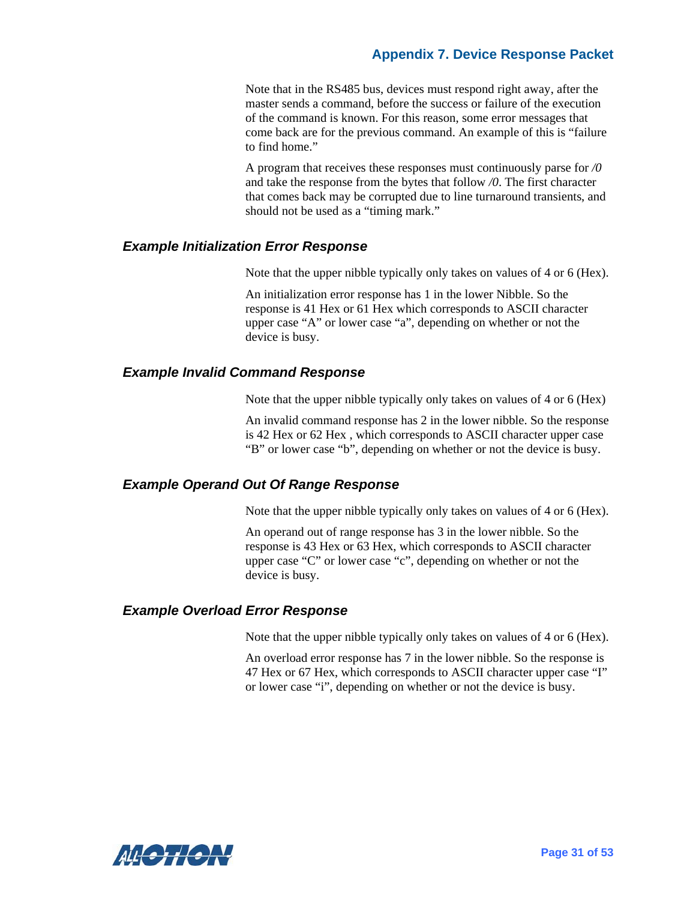#### **Appendix 7. Device Response Packet**

Note that in the RS485 bus, devices must respond right away, after the master sends a command, before the success or failure of the execution of the command is known. For this reason, some error messages that come back are for the previous command. An example of this is "failure to find home."

A program that receives these responses must continuously parse for */0*  and take the response from the bytes that follow */0*. The first character that comes back may be corrupted due to line turnaround transients, and should not be used as a "timing mark."

#### <span id="page-37-0"></span>*Example Initialization Error Response*

Note that the upper nibble typically only takes on values of 4 or 6 (Hex).

An initialization error response has 1 in the lower Nibble. So the response is 41 Hex or 61 Hex which corresponds to ASCII character upper case "A" or lower case "a", depending on whether or not the device is busy.

#### <span id="page-37-1"></span>*Example Invalid Command Response*

Note that the upper nibble typically only takes on values of 4 or 6 (Hex)

An invalid command response has 2 in the lower nibble. So the response is 42 Hex or 62 Hex , which corresponds to ASCII character upper case "B" or lower case "b", depending on whether or not the device is busy.

#### <span id="page-37-2"></span>*Example Operand Out Of Range Response*

Note that the upper nibble typically only takes on values of 4 or 6 (Hex).

An operand out of range response has 3 in the lower nibble. So the response is 43 Hex or 63 Hex, which corresponds to ASCII character upper case "C" or lower case "c", depending on whether or not the device is busy.

#### <span id="page-37-3"></span>*Example Overload Error Response*

Note that the upper nibble typically only takes on values of 4 or 6 (Hex).

An overload error response has 7 in the lower nibble. So the response is 47 Hex or 67 Hex, which corresponds to ASCII character upper case "I" or lower case "i", depending on whether or not the device is busy.

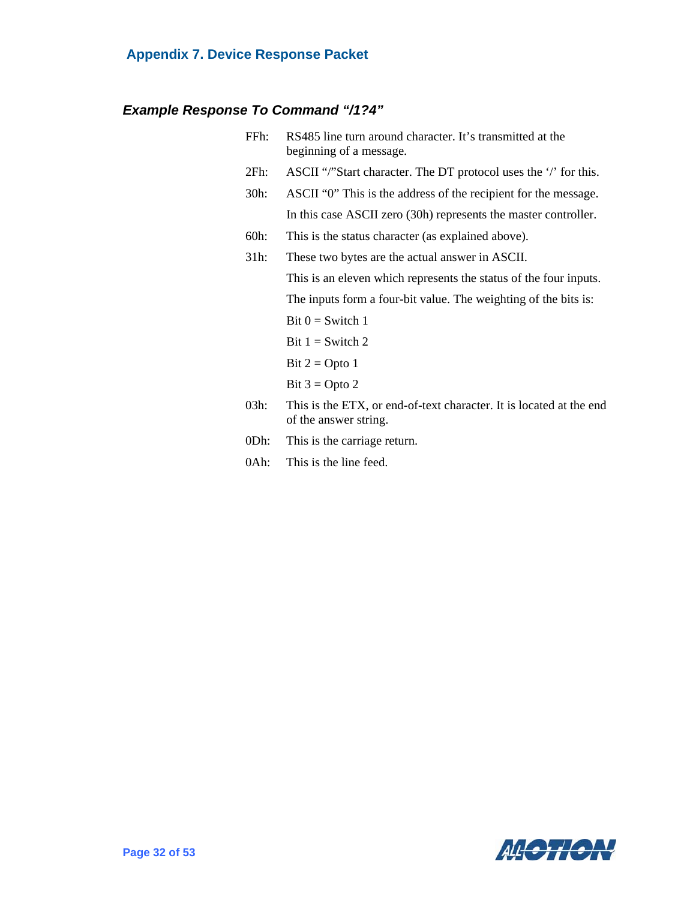### **Appendix 7. Device Response Packet**

### <span id="page-38-0"></span>*Example Response To Command "/1?4"*

| FFh:    | RS485 line turn around character. It's transmitted at the<br>beginning of a message.         |
|---------|----------------------------------------------------------------------------------------------|
| $2Fh$ : | ASCII "/"Start character. The DT protocol uses the '/' for this.                             |
| $30h$ : | ASCII "0" This is the address of the recipient for the message.                              |
|         | In this case ASCII zero (30h) represents the master controller.                              |
| $60h$ : | This is the status character (as explained above).                                           |
| 31h:    | These two bytes are the actual answer in ASCII.                                              |
|         | This is an eleven which represents the status of the four inputs.                            |
|         | The inputs form a four-bit value. The weighting of the bits is:                              |
|         | Bit $0 =$ Switch 1                                                                           |
|         | Bit $1 =$ Switch 2                                                                           |
|         | Bit $2 =$ Opto 1                                                                             |
|         | Bit $3 =$ Opto 2                                                                             |
| $03h$ : | This is the ETX, or end-of-text character. It is located at the end<br>of the answer string. |
| 0Dh:    | This is the carriage return.                                                                 |

0Ah: This is the line feed.

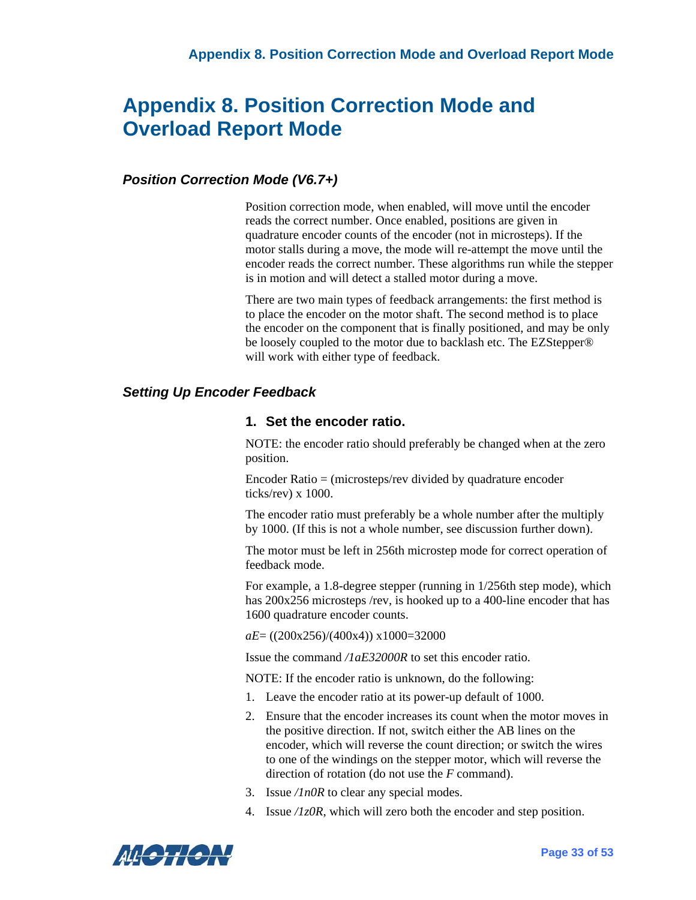#### <span id="page-39-1"></span><span id="page-39-0"></span>*Position Correction Mode (V6.7+)*

Position correction mode, when enabled, will move until the encoder reads the correct number. Once enabled, positions are given in quadrature encoder counts of the encoder (not in microsteps). If the motor stalls during a move, the mode will re-attempt the move until the encoder reads the correct number. These algorithms run while the stepper is in motion and will detect a stalled motor during a move.

There are two main types of feedback arrangements: the first method is to place the encoder on the motor shaft. The second method is to place the encoder on the component that is finally positioned, and may be only be loosely coupled to the motor due to backlash etc. The EZStepper® will work with either type of feedback.

#### <span id="page-39-2"></span>*Setting Up Encoder Feedback*

#### **1. Set the encoder ratio.**

NOTE: the encoder ratio should preferably be changed when at the zero position.

Encoder Ratio = (microsteps/rev divided by quadrature encoder ticks/rev) x 1000.

The encoder ratio must preferably be a whole number after the multiply by 1000. (If this is not a whole number, see discussion further down).

The motor must be left in 256th microstep mode for correct operation of feedback mode.

For example, a 1.8-degree stepper (running in 1/256th step mode), which has 200x256 microsteps /rev, is hooked up to a 400-line encoder that has 1600 quadrature encoder counts.

*aE*= ((200x256)/(400x4)) x1000=32000

Issue the command */1aE32000R* to set this encoder ratio.

NOTE: If the encoder ratio is unknown, do the following:

- 1. Leave the encoder ratio at its power-up default of 1000.
- 2. Ensure that the encoder increases its count when the motor moves in the positive direction. If not, switch either the AB lines on the encoder, which will reverse the count direction; or switch the wires to one of the windings on the stepper motor, which will reverse the direction of rotation (do not use the *F* command).
- 3. Issue */1n0R* to clear any special modes.
- 4. Issue */1z0R*, which will zero both the encoder and step position.

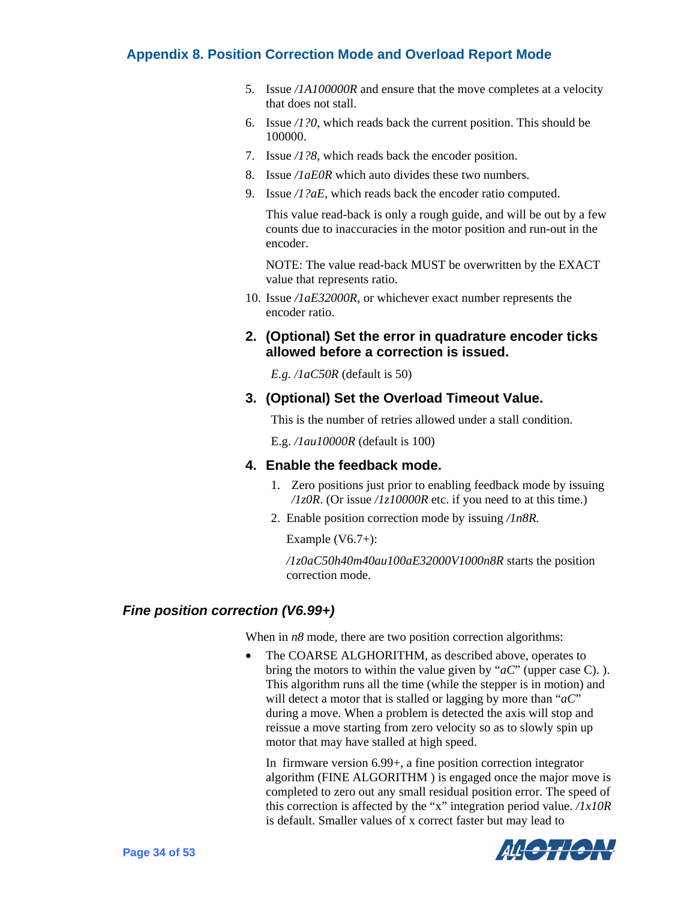- 5. Issue */1A100000R* and ensure that the move completes at a velocity that does not stall.
- 6. Issue */1?0*, which reads back the current position. This should be 100000.
- 7. Issue */1?8*, which reads back the encoder position.
- 8. Issue */1aE0R* which auto divides these two numbers.
- 9. Issue */1?aE*, which reads back the encoder ratio computed.

This value read-back is only a rough guide, and will be out by a few counts due to inaccuracies in the motor position and run-out in the encoder.

NOTE: The value read-back MUST be overwritten by the EXACT value that represents ratio.

10. Issue */1aE32000R*, or whichever exact number represents the encoder ratio.

#### **2. (Optional) Set the error in quadrature encoder ticks allowed before a correction is issued.**

*E.g. /1aC50R* (default is 50)

#### **3. (Optional) Set the Overload Timeout Value.**

This is the number of retries allowed under a stall condition.

E.g. */1au10000R* (default is 100)

#### **4. Enable the feedback mode.**

- 1. Zero positions just prior to enabling feedback mode by issuing */1z0R*. (Or issue */1z10000R* etc. if you need to at this time.)
- 2. Enable position correction mode by issuing */1n8R.*

Example  $(V6.7+)$ :

*/1z0aC50h40m40au100aE32000V1000n8R* starts the position correction mode.

#### <span id="page-40-0"></span>*Fine position correction (V6.99+)*

When in  $n8$  mode, there are two position correction algorithms:

• The COARSE ALGHORITHM, as described above, operates to bring the motors to within the value given by "*aC*" (upper case C). ). This algorithm runs all the time (while the stepper is in motion) and will detect a motor that is stalled or lagging by more than "*aC*" during a move. When a problem is detected the axis will stop and reissue a move starting from zero velocity so as to slowly spin up motor that may have stalled at high speed.

In firmware version 6.99+, a fine position correction integrator algorithm (FINE ALGORITHM ) is engaged once the major move is completed to zero out any small residual position error. The speed of this correction is affected by the "x" integration period value. */1x10R*  is default. Smaller values of x correct faster but may lead to

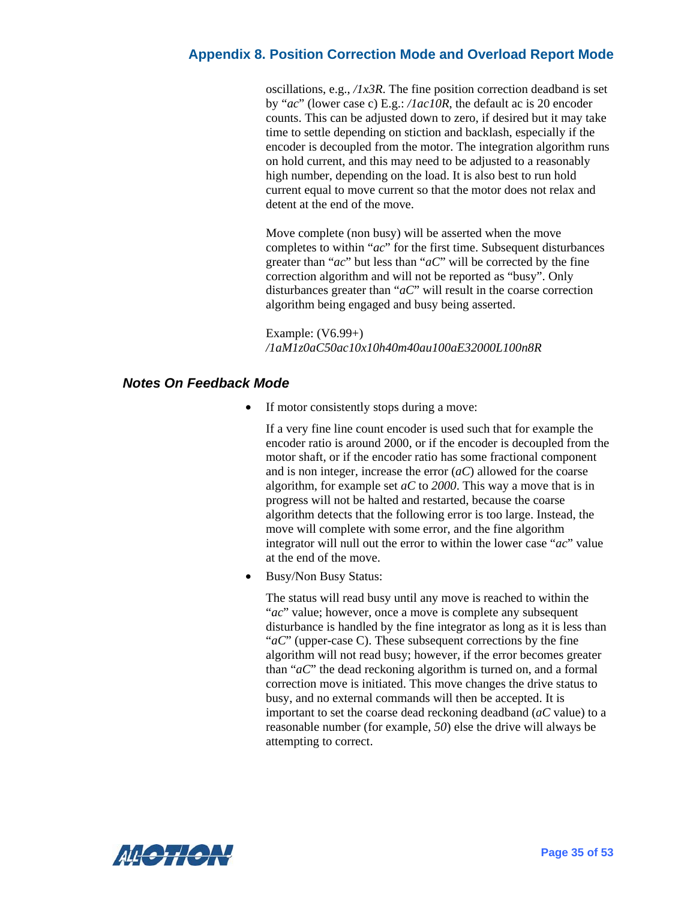oscillations, e.g., */1x3R*. The fine position correction deadband is set by "*ac*" (lower case c) E.g.: */1ac10R*, the default ac is 20 encoder counts. This can be adjusted down to zero, if desired but it may take time to settle depending on stiction and backlash, especially if the encoder is decoupled from the motor. The integration algorithm runs on hold current, and this may need to be adjusted to a reasonably high number, depending on the load. It is also best to run hold current equal to move current so that the motor does not relax and detent at the end of the move.

Move complete (non busy) will be asserted when the move completes to within "*ac*" for the first time. Subsequent disturbances greater than "*ac*" but less than "*aC*" will be corrected by the fine correction algorithm and will not be reported as "busy". Only disturbances greater than "*aC*" will result in the coarse correction algorithm being engaged and busy being asserted.

Example: (V6.99+) */1aM1z0aC50ac10x10h40m40au100aE32000L100n8R*

#### <span id="page-41-0"></span>*Notes On Feedback Mode*

If motor consistently stops during a move:

If a very fine line count encoder is used such that for example the encoder ratio is around 2000, or if the encoder is decoupled from the motor shaft, or if the encoder ratio has some fractional component and is non integer, increase the error (*aC*) allowed for the coarse algorithm, for example set *aC* to *2000*. This way a move that is in progress will not be halted and restarted, because the coarse algorithm detects that the following error is too large. Instead, the move will complete with some error, and the fine algorithm integrator will null out the error to within the lower case "*ac*" value at the end of the move.

• Busy/Non Busy Status:

The status will read busy until any move is reached to within the "*ac*" value; however, once a move is complete any subsequent disturbance is handled by the fine integrator as long as it is less than "*aC*" (upper-case C). These subsequent corrections by the fine algorithm will not read busy; however, if the error becomes greater than "*aC*" the dead reckoning algorithm is turned on, and a formal correction move is initiated. This move changes the drive status to busy, and no external commands will then be accepted. It is important to set the coarse dead reckoning deadband (*aC* value) to a reasonable number (for example, *50*) else the drive will always be attempting to correct.

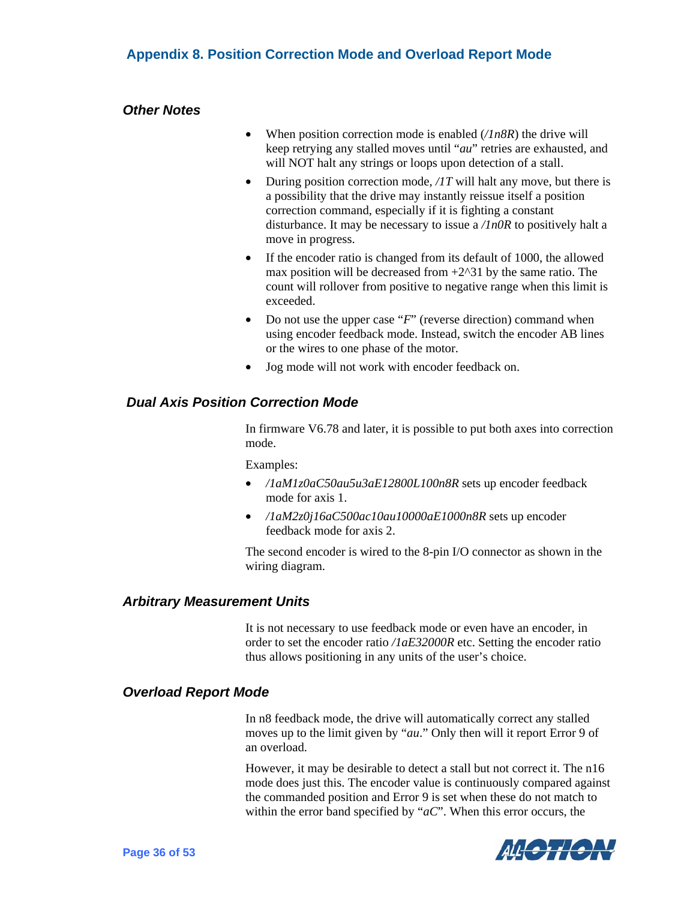#### <span id="page-42-0"></span>*Other Notes*

- When position correction mode is enabled (*/1n8R*) the drive will keep retrying any stalled moves until "*au*" retries are exhausted, and will NOT halt any strings or loops upon detection of a stall.
- During position correction mode, */1T* will halt any move, but there is a possibility that the drive may instantly reissue itself a position correction command, especially if it is fighting a constant disturbance. It may be necessary to issue a */1n0R* to positively halt a move in progress.
- If the encoder ratio is changed from its default of 1000, the allowed max position will be decreased from  $+2^{\wedge}31$  by the same ratio. The count will rollover from positive to negative range when this limit is exceeded.
- Do not use the upper case "*F*" (reverse direction) command when using encoder feedback mode. Instead, switch the encoder AB lines or the wires to one phase of the motor.
- Jog mode will not work with encoder feedback on.

#### <span id="page-42-1"></span> *Dual Axis Position Correction Mode*

In firmware V6.78 and later, it is possible to put both axes into correction mode.

Examples:

- */1aM1z0aC50au5u3aE12800L100n8R* sets up encoder feedback mode for axis 1.
- */1aM2z0j16aC500ac10au10000aE1000n8R* sets up encoder feedback mode for axis 2.

The second encoder is wired to the 8-pin I/O connector as shown in the wiring diagram.

#### <span id="page-42-2"></span>*Arbitrary Measurement Units*

It is not necessary to use feedback mode or even have an encoder, in order to set the encoder ratio */1aE32000R* etc. Setting the encoder ratio thus allows positioning in any units of the user's choice.

#### <span id="page-42-3"></span>*Overload Report Mode*

In n8 feedback mode, the drive will automatically correct any stalled moves up to the limit given by "*au*." Only then will it report Error 9 of an overload.

However, it may be desirable to detect a stall but not correct it. The n16 mode does just this. The encoder value is continuously compared against the commanded position and Error 9 is set when these do not match to within the error band specified by "*aC*". When this error occurs, the

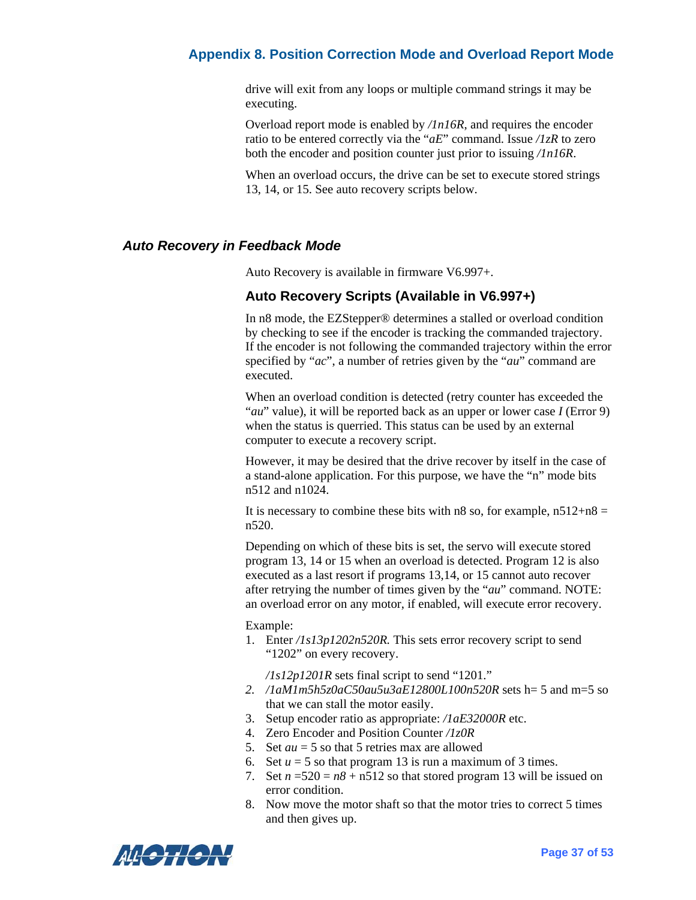drive will exit from any loops or multiple command strings it may be executing.

Overload report mode is enabled by */1n16R*, and requires the encoder ratio to be entered correctly via the "*aE*" command. Issue */1zR* to zero both the encoder and position counter just prior to issuing */1n16R*.

When an overload occurs, the drive can be set to execute stored strings 13, 14, or 15. See auto recovery scripts below.

#### <span id="page-43-0"></span>*Auto Recovery in Feedback Mode*

Auto Recovery is available in firmware V6.997+.

#### **Auto Recovery Scripts (Available in V6.997+)**

In n8 mode, the EZStepper® determines a stalled or overload condition by checking to see if the encoder is tracking the commanded trajectory. If the encoder is not following the commanded trajectory within the error specified by "*ac*", a number of retries given by the "*au*" command are executed.

When an overload condition is detected (retry counter has exceeded the "*au*" value), it will be reported back as an upper or lower case *I* (Error 9) when the status is querried. This status can be used by an external computer to execute a recovery script.

However, it may be desired that the drive recover by itself in the case of a stand-alone application. For this purpose, we have the "n" mode bits n512 and n1024.

It is necessary to combine these bits with n8 so, for example,  $n512+n8 =$ n520.

Depending on which of these bits is set, the servo will execute stored program 13, 14 or 15 when an overload is detected. Program 12 is also executed as a last resort if programs 13,14, or 15 cannot auto recover after retrying the number of times given by the "*au*" command. NOTE: an overload error on any motor, if enabled, will execute error recovery.

Example:

1. Enter */1s13p1202n520R.* This sets error recovery script to send "1202" on every recovery.

*/1s12p1201R* sets final script to send "1201."

- *2. /1aM1m5h5z0aC50au5u3aE12800L100n520R* sets h= 5 and m=5 so that we can stall the motor easily.
- 3. Setup encoder ratio as appropriate: */1aE32000R* etc.
- 4. Zero Encoder and Position Counter */1z0R*
- 5. Set *au* = 5 so that 5 retries max are allowed
- 6. Set  $u = 5$  so that program 13 is run a maximum of 3 times.
- 7. Set  $n = 520 = n8 + n512$  so that stored program 13 will be issued on error condition.
- 8. Now move the motor shaft so that the motor tries to correct 5 times and then gives up.

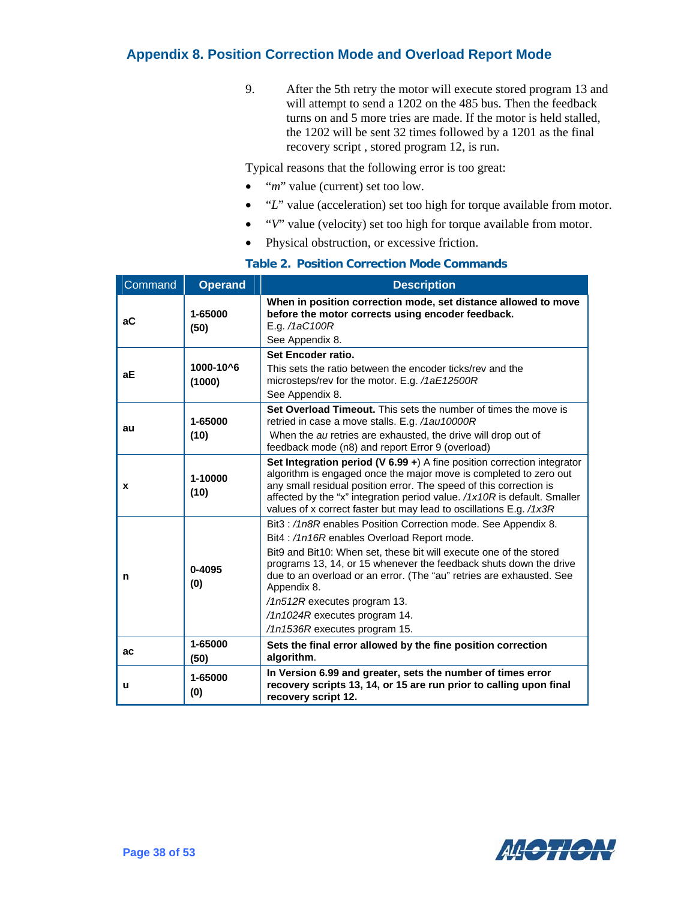9. After the 5th retry the motor will execute stored program 13 and will attempt to send a 1202 on the 485 bus. Then the feedback turns on and 5 more tries are made. If the motor is held stalled, the 1202 will be sent 32 times followed by a 1201 as the final recovery script , stored program 12, is run.

Typical reasons that the following error is too great:

- *"m"* value (current) set too low.
- "*L*" value (acceleration) set too high for torque available from motor.
- "*V*" value (velocity) set too high for torque available from motor.
- Physical obstruction, or excessive friction.

| Command | <b>Operand</b>      | <b>Description</b>                                                                                                                                                                                                                                                                                                                                                                                                                            |
|---------|---------------------|-----------------------------------------------------------------------------------------------------------------------------------------------------------------------------------------------------------------------------------------------------------------------------------------------------------------------------------------------------------------------------------------------------------------------------------------------|
| аC      | 1-65000<br>(50)     | When in position correction mode, set distance allowed to move<br>before the motor corrects using encoder feedback.<br>E.g. /1aC100R<br>See Appendix 8.                                                                                                                                                                                                                                                                                       |
| aЕ      | 1000-10^6<br>(1000) | Set Encoder ratio.<br>This sets the ratio between the encoder ticks/rey and the<br>microsteps/rev for the motor. E.g. /1aE12500R<br>See Appendix 8.                                                                                                                                                                                                                                                                                           |
| au      | 1-65000<br>(10)     | Set Overload Timeout. This sets the number of times the move is<br>retried in case a move stalls. E.g. /1au10000R<br>When the au retries are exhausted, the drive will drop out of<br>feedback mode (n8) and report Error 9 (overload)                                                                                                                                                                                                        |
| X       | 1-10000<br>(10)     | Set Integration period (V 6.99 $\div$ ) A fine position correction integrator<br>algorithm is engaged once the major move is completed to zero out<br>any small residual position error. The speed of this correction is<br>affected by the "x" integration period value. /1x10R is default. Smaller<br>values of x correct faster but may lead to oscillations E.g. /1x3R                                                                    |
| n       | $0 - 4095$<br>(0)   | Bit3:/1n8R enables Position Correction mode. See Appendix 8.<br>Bit4:/1n16R enables Overload Report mode.<br>Bit9 and Bit10: When set, these bit will execute one of the stored<br>programs 13, 14, or 15 whenever the feedback shuts down the drive<br>due to an overload or an error. (The "au" retries are exhausted. See<br>Appendix 8.<br>/1n512R executes program 13.<br>/1n1024R executes program 14.<br>/1n1536R executes program 15. |
| ac      | 1-65000<br>(50)     | Sets the final error allowed by the fine position correction<br>algorithm.                                                                                                                                                                                                                                                                                                                                                                    |
| u       | 1-65000<br>(0)      | In Version 6.99 and greater, sets the number of times error<br>recovery scripts 13, 14, or 15 are run prior to calling upon final<br>recovery script 12.                                                                                                                                                                                                                                                                                      |

#### **Table 2. Position Correction Mode Commands**

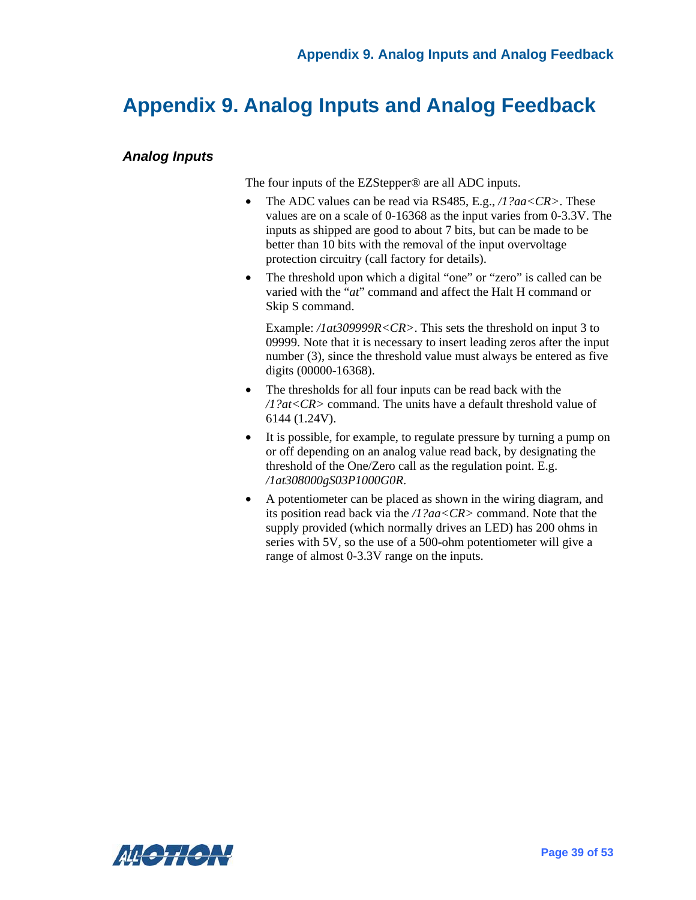# <span id="page-45-0"></span>**Appendix 9. Analog Inputs and Analog Feedback**

#### <span id="page-45-1"></span>*Analog Inputs*

The four inputs of the EZStepper® are all ADC inputs.

- The ADC values can be read via RS485, E.g., */1?aa<CR>*. These values are on a scale of 0-16368 as the input varies from 0-3.3V. The inputs as shipped are good to about 7 bits, but can be made to be better than 10 bits with the removal of the input overvoltage protection circuitry (call factory for details).
- The threshold upon which a digital "one" or "zero" is called can be varied with the "*at*" command and affect the Halt H command or Skip S command.

Example: */1at309999R<CR>*. This sets the threshold on input 3 to 09999. Note that it is necessary to insert leading zeros after the input number (3), since the threshold value must always be entered as five digits (00000-16368).

- The thresholds for all four inputs can be read back with the */1?at<CR>* command. The units have a default threshold value of 6144 (1.24V).
- It is possible, for example, to regulate pressure by turning a pump on or off depending on an analog value read back, by designating the threshold of the One/Zero call as the regulation point. E.g. */1at308000gS03P1000G0R*.
- A potentiometer can be placed as shown in the wiring diagram, and its position read back via the */1?aa<CR>* command. Note that the supply provided (which normally drives an LED) has 200 ohms in series with 5V, so the use of a 500-ohm potentiometer will give a range of almost 0-3.3V range on the inputs.

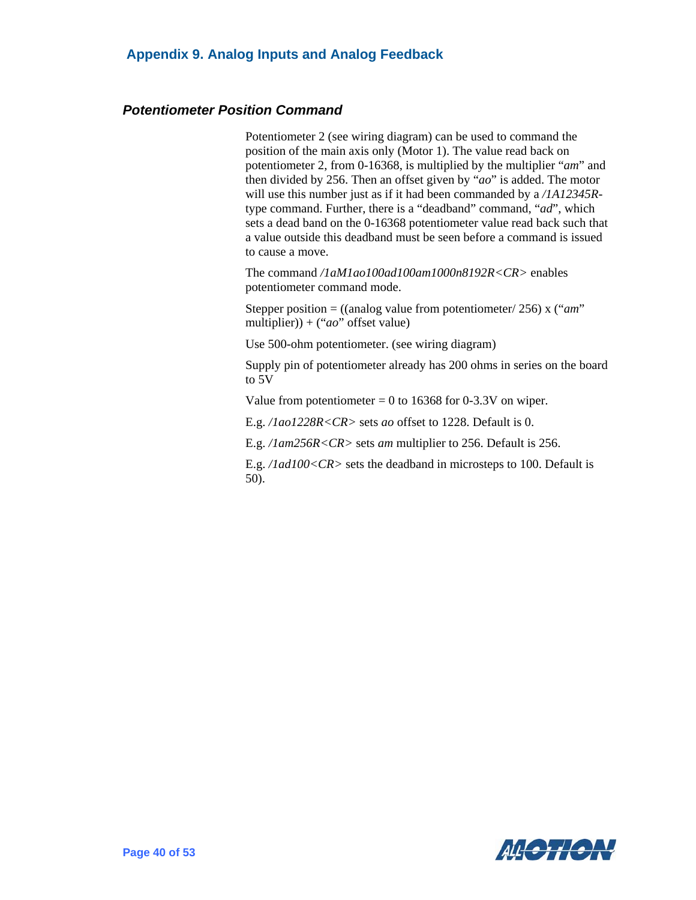#### <span id="page-46-0"></span>*Potentiometer Position Command*

Potentiometer 2 (see wiring diagram) can be used to command the position of the main axis only (Motor 1). The value read back on potentiometer 2, from 0-16368, is multiplied by the multiplier "*am*" and then divided by 256. Then an offset given by "*ao*" is added. The motor will use this number just as if it had been commanded by a */1A12345R*type command. Further, there is a "deadband" command, "*ad*", which sets a dead band on the 0-16368 potentiometer value read back such that a value outside this deadband must be seen before a command is issued to cause a move.

The command */1aM1ao100ad100am1000n8192R<CR>* enables potentiometer command mode.

Stepper position = ((analog value from potentiometer/ 256) x ("*am*" multiplier)) + ("*ao*" offset value)

Use 500-ohm potentiometer. (see wiring diagram)

Supply pin of potentiometer already has 200 ohms in series on the board to 5V

Value from potentiometer  $= 0$  to 16368 for 0-3.3V on wiper.

E.g. */1ao1228R<CR>* sets *ao* offset to 1228. Default is 0.

E.g. */1am256R<CR>* sets *am* multiplier to 256. Default is 256.

E.g. */1ad100<CR>* sets the deadband in microsteps to 100. Default is 50).

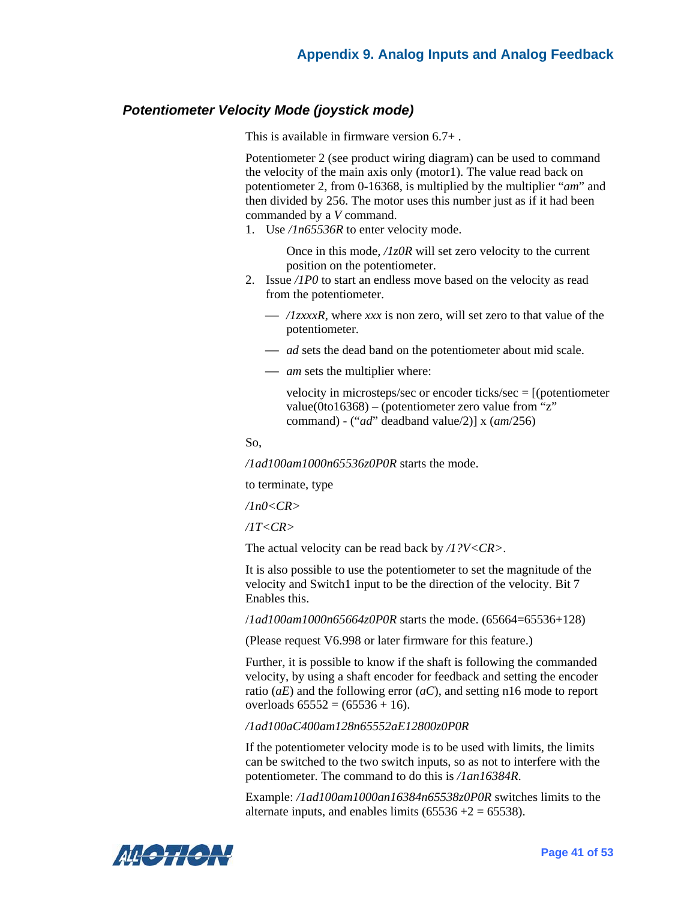#### <span id="page-47-0"></span>*Potentiometer Velocity Mode (joystick mode)*

This is available in firmware version 6.7+ .

Potentiometer 2 (see product wiring diagram) can be used to command the velocity of the main axis only (motor1). The value read back on potentiometer 2, from 0-16368, is multiplied by the multiplier "*am*" and then divided by 256. The motor uses this number just as if it had been commanded by a *V* command.

1. Use */1n65536R* to enter velocity mode.

Once in this mode, */1z0R* will set zero velocity to the current position on the potentiometer.

- 2. Issue */1P0* to start an endless move based on the velocity as read from the potentiometer.
	- ⎯ */1zxxxR,* where *xxx* is non zero, will set zero to that value of the potentiometer.
	- *ad* sets the dead band on the potentiometer about mid scale.
	- *am* sets the multiplier where:

velocity in microsteps/sec or encoder ticks/sec = [(potentiometer value(0to16368) – (potentiometer zero value from "z" command) - ("*ad*" deadband value/2)] x (*am*/256)

So,

*/1ad100am1000n65536z0P0R* starts the mode.

to terminate, type

*/1n0<CR>* 

*/1T<CR>* 

The actual velocity can be read back by */1?V<CR>*.

It is also possible to use the potentiometer to set the magnitude of the velocity and Switch1 input to be the direction of the velocity. Bit 7 Enables this.

/*1ad100am1000n65664z0P0R* starts the mode. (65664=65536+128)

(Please request V6.998 or later firmware for this feature.)

Further, it is possible to know if the shaft is following the commanded velocity, by using a shaft encoder for feedback and setting the encoder ratio (*aE*) and the following error (*aC*), and setting n16 mode to report overloads  $65552 = (65536 + 16)$ .

*/1ad100aC400am128n65552aE12800z0P0R* 

If the potentiometer velocity mode is to be used with limits, the limits can be switched to the two switch inputs, so as not to interfere with the potentiometer. The command to do this is */1an16384R*.

Example: */1ad100am1000an16384n65538z0P0R* switches limits to the alternate inputs, and enables limits  $(65536 + 2) = 65538$ .

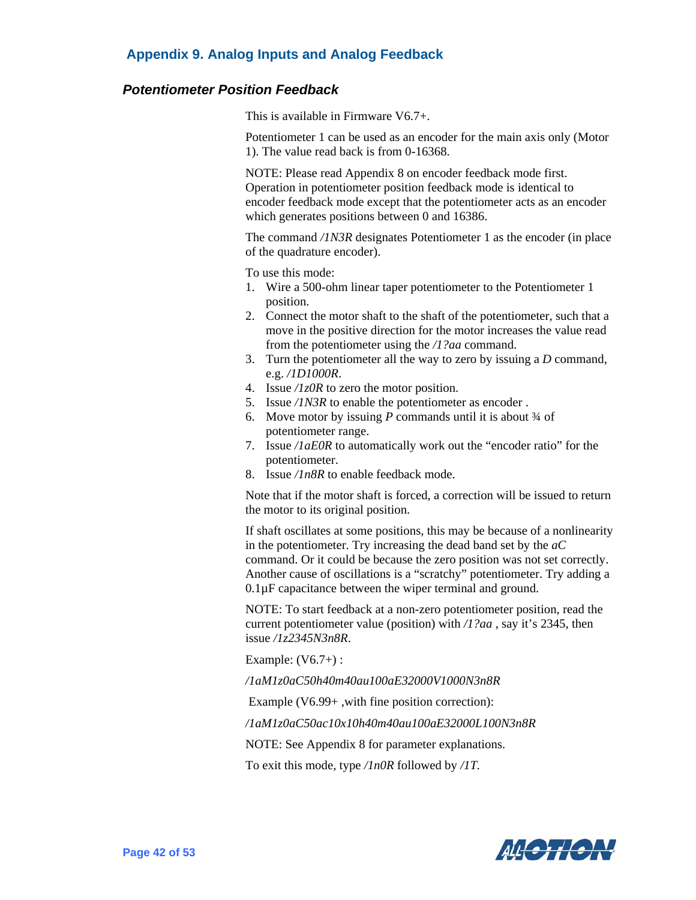#### **Appendix 9. Analog Inputs and Analog Feedback**

#### <span id="page-48-0"></span>*Potentiometer Position Feedback*

This is available in Firmware V6.7+.

Potentiometer 1 can be used as an encoder for the main axis only (Motor 1). The value read back is from 0-16368.

NOTE: Please read Appendix 8 on encoder feedback mode first. Operation in potentiometer position feedback mode is identical to encoder feedback mode except that the potentiometer acts as an encoder which generates positions between 0 and 16386.

The command */1N3R* designates Potentiometer 1 as the encoder (in place of the quadrature encoder).

To use this mode:

- 1. Wire a 500-ohm linear taper potentiometer to the Potentiometer 1 position.
- 2. Connect the motor shaft to the shaft of the potentiometer, such that a move in the positive direction for the motor increases the value read from the potentiometer using the */1?aa* command.
- 3. Turn the potentiometer all the way to zero by issuing a *D* command, e.g. */1D1000R*.
- 4. Issue */1z0R* to zero the motor position.
- 5. Issue */1N3R* to enable the potentiometer as encoder .
- 6. Move motor by issuing *P* commands until it is about ¾ of potentiometer range.
- 7. Issue */1aE0R* to automatically work out the "encoder ratio" for the potentiometer.
- 8. Issue */1n8R* to enable feedback mode.

Note that if the motor shaft is forced, a correction will be issued to return the motor to its original position.

If shaft oscillates at some positions, this may be because of a nonlinearity in the potentiometer. Try increasing the dead band set by the *aC* command. Or it could be because the zero position was not set correctly. Another cause of oscillations is a "scratchy" potentiometer. Try adding a 0.1µF capacitance between the wiper terminal and ground.

NOTE: To start feedback at a non-zero potentiometer position, read the current potentiometer value (position) with */1?aa* , say it's 2345, then issue */1z2345N3n8R*.

Example: (V6.7+) :

*/1aM1z0aC50h40m40au100aE32000V1000N3n8R* 

Example (V6.99+ ,with fine position correction):

*/1aM1z0aC50ac10x10h40m40au100aE32000L100N3n8R* 

NOTE: See Appendix 8 for parameter explanations.

To exit this mode, type */1n0R* followed by */1T.*

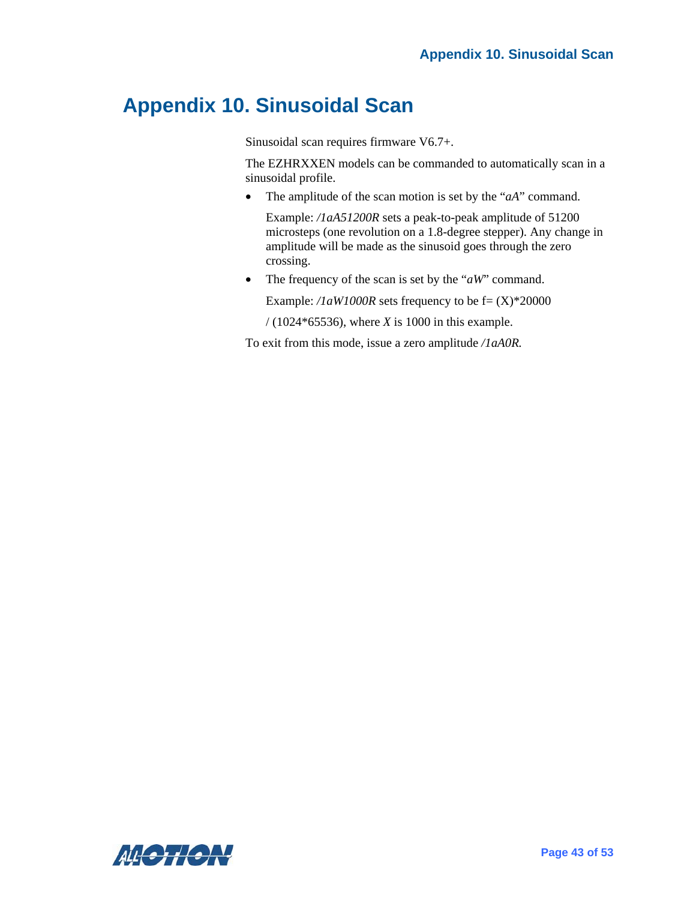## <span id="page-49-0"></span>**Appendix 10. Sinusoidal Scan**

Sinusoidal scan requires firmware V6.7+.

The EZHRXXEN models can be commanded to automatically scan in a sinusoidal profile.

• The amplitude of the scan motion is set by the "*aA*" command.

Example: */1aA51200R* sets a peak-to-peak amplitude of 51200 microsteps (one revolution on a 1.8-degree stepper). Any change in amplitude will be made as the sinusoid goes through the zero crossing.

• The frequency of the scan is set by the "*aW*" command.

Example:  $\ell IaW1000R$  sets frequency to be  $f = (X) * 20000$ 

/ (1024\*65536), where *X* is 1000 in this example.

To exit from this mode, issue a zero amplitude */1aA0R.*

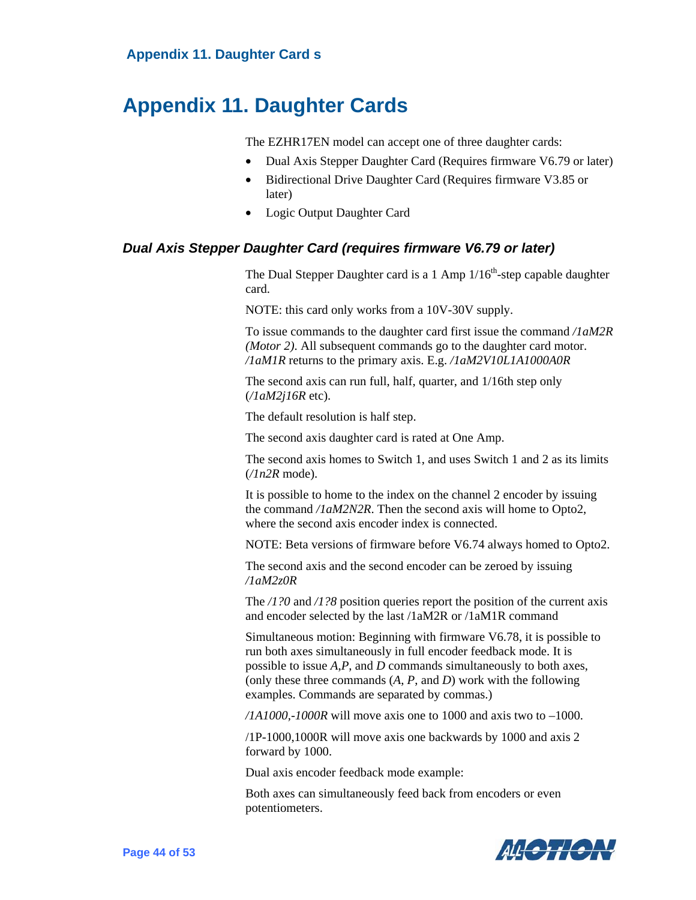### <span id="page-50-0"></span>**Appendix 11. Daughter Cards**

The EZHR17EN model can accept one of three daughter cards:

- Dual Axis Stepper Daughter Card (Requires firmware V6.79 or later)
- Bidirectional Drive Daughter Card (Requires firmware V3.85 or later)
- Logic Output Daughter Card

#### <span id="page-50-1"></span>*Dual Axis Stepper Daughter Card (requires firmware V6.79 or later)*

The Dual Stepper Daughter card is a 1 Amp  $1/16^{th}$ -step capable daughter card.

NOTE: this card only works from a 10V-30V supply.

To issue commands to the daughter card first issue the command */1aM2R (Motor 2)*. All subsequent commands go to the daughter card motor. */1aM1R* returns to the primary axis. E.g. */1aM2V10L1A1000A0R*

The second axis can run full, half, quarter, and 1/16th step only (*/1aM2j16R* etc).

The default resolution is half step.

The second axis daughter card is rated at One Amp.

The second axis homes to Switch 1, and uses Switch 1 and 2 as its limits (*/1n2R* mode).

It is possible to home to the index on the channel 2 encoder by issuing the command */1aM2N2R*. Then the second axis will home to Opto2, where the second axis encoder index is connected.

NOTE: Beta versions of firmware before V6.74 always homed to Opto2.

The second axis and the second encoder can be zeroed by issuing */1aM2z0R*

The */1?0* and */1?8* position queries report the position of the current axis and encoder selected by the last /1aM2R or /1aM1R command

Simultaneous motion: Beginning with firmware V6.78, it is possible to run both axes simultaneously in full encoder feedback mode. It is possible to issue *A*,*P*, and *D* commands simultaneously to both axes, (only these three commands (*A*, *P*, and *D*) work with the following examples. Commands are separated by commas.)

*/1A1000,-1000R* will move axis one to 1000 and axis two to –1000.

/1P-1000,1000R will move axis one backwards by 1000 and axis 2 forward by 1000.

Dual axis encoder feedback mode example:

Both axes can simultaneously feed back from encoders or even potentiometers.

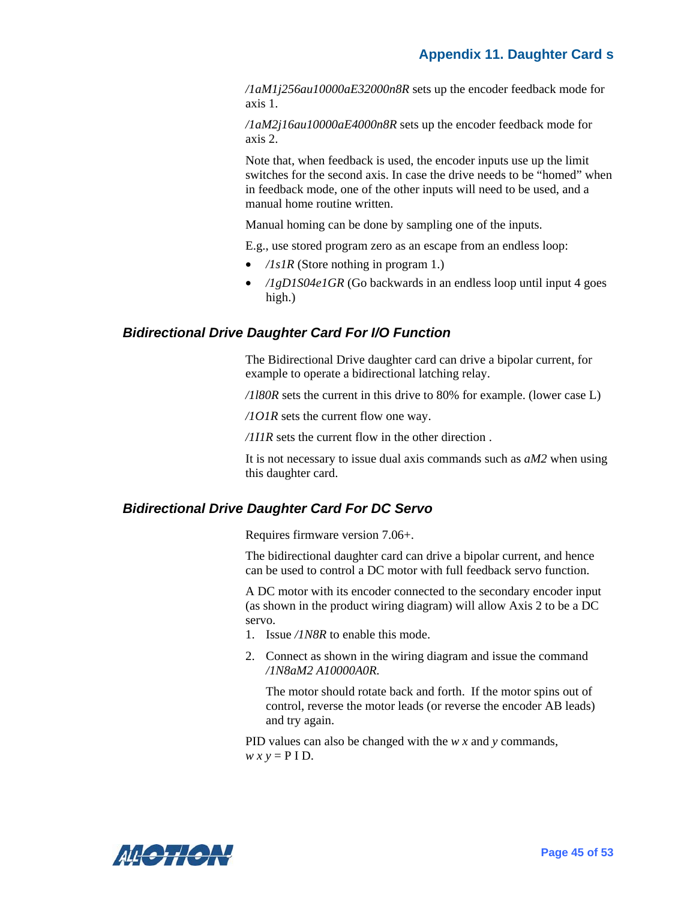*/1aM1j256au10000aE32000n8R* sets up the encoder feedback mode for axis 1.

*/1aM2j16au10000aE4000n8R* sets up the encoder feedback mode for axis 2.

Note that, when feedback is used, the encoder inputs use up the limit switches for the second axis. In case the drive needs to be "homed" when in feedback mode, one of the other inputs will need to be used, and a manual home routine written.

Manual homing can be done by sampling one of the inputs.

E.g., use stored program zero as an escape from an endless loop:

- */1s1R* (Store nothing in program 1.)
- */1gD1S04e1GR* (Go backwards in an endless loop until input 4 goes high.)

#### <span id="page-51-0"></span>*Bidirectional Drive Daughter Card For I/O Function*

The Bidirectional Drive daughter card can drive a bipolar current, for example to operate a bidirectional latching relay.

*/1l80R* sets the current in this drive to 80% for example. (lower case L)

*/1O1R* sets the current flow one way.

*/1I1R* sets the current flow in the other direction .

It is not necessary to issue dual axis commands such as *aM2* when using this daughter card.

#### <span id="page-51-1"></span>*Bidirectional Drive Daughter Card For DC Servo*

Requires firmware version 7.06+.

The bidirectional daughter card can drive a bipolar current, and hence can be used to control a DC motor with full feedback servo function.

A DC motor with its encoder connected to the secondary encoder input (as shown in the product wiring diagram) will allow Axis 2 to be a DC servo.

- 1. Issue */1N8R* to enable this mode.
- 2. Connect as shown in the wiring diagram and issue the command */1N8aM2 A10000A0R.*

The motor should rotate back and forth. If the motor spins out of control, reverse the motor leads (or reverse the encoder AB leads) and try again.

PID values can also be changed with the *w x* and *y* commands,  $w x y = P I D$ .

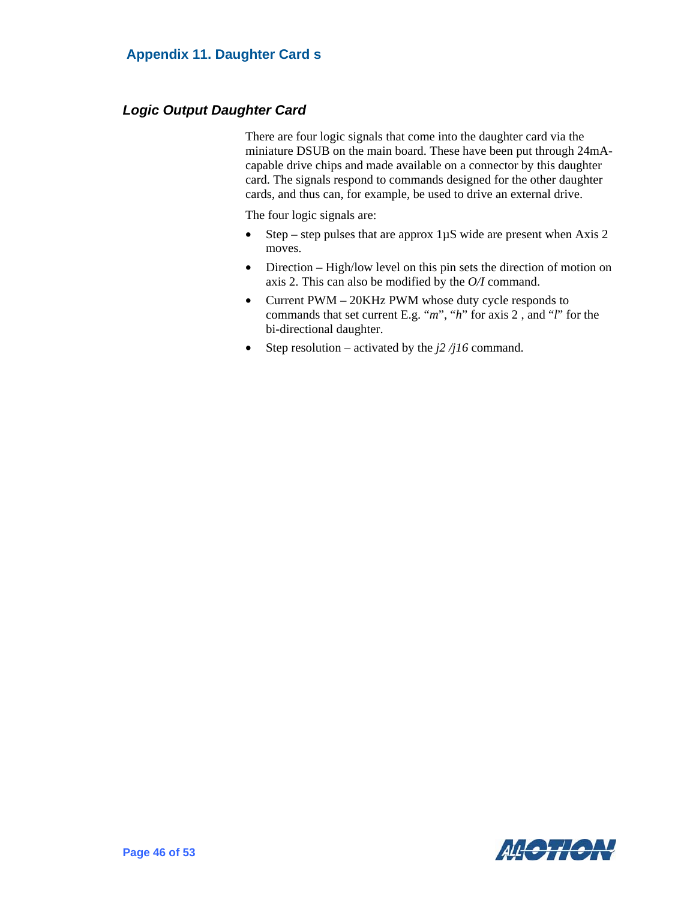#### <span id="page-52-0"></span>*Logic Output Daughter Card*

There are four logic signals that come into the daughter card via the miniature DSUB on the main board. These have been put through 24mAcapable drive chips and made available on a connector by this daughter card. The signals respond to commands designed for the other daughter cards, and thus can, for example, be used to drive an external drive.

The four logic signals are:

- Step step pulses that are approx  $1\mu$ S wide are present when Axis 2 moves.
- Direction High/low level on this pin sets the direction of motion on axis 2. This can also be modified by the *O/I* command.
- Current PWM 20KHz PWM whose duty cycle responds to commands that set current E.g. "*m*", "*h*" for axis 2 , and "*l*" for the bi-directional daughter.
- Step resolution activated by the *j2 /j16* command.

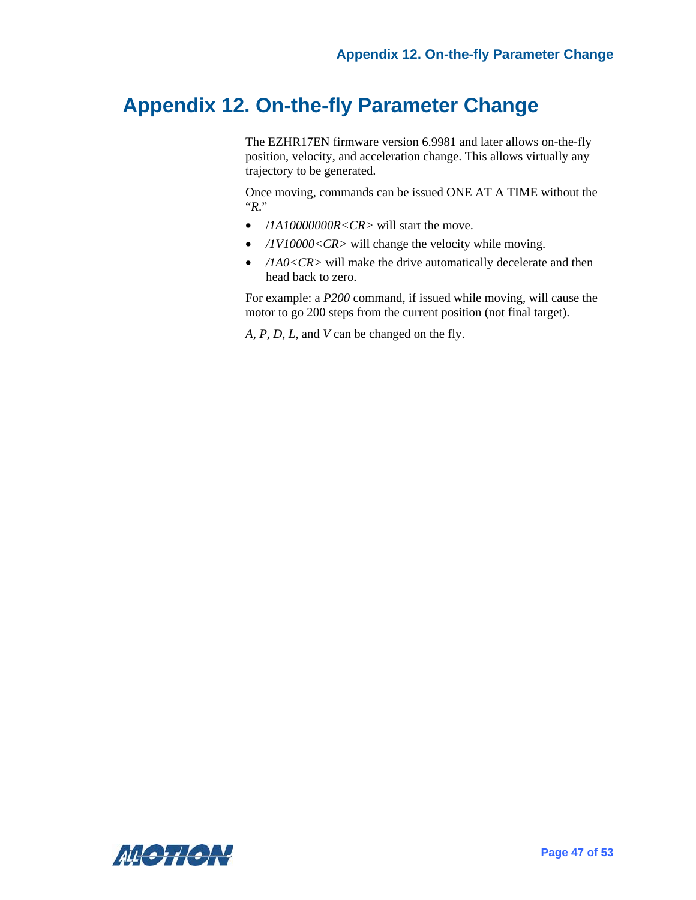# <span id="page-53-0"></span>**Appendix 12. On-the-fly Parameter Change**

The EZHR17EN firmware version 6.9981 and later allows on-the-fly position, velocity, and acceleration change. This allows virtually any trajectory to be generated.

Once moving, commands can be issued ONE AT A TIME without the "*R*."

- /*1A10000000R<CR>* will start the move.
- */1V10000<CR>* will change the velocity while moving.
- */1A0<CR>* will make the drive automatically decelerate and then head back to zero.

For example: a *P200* command, if issued while moving, will cause the motor to go 200 steps from the current position (not final target).

*A, P, D, L*, and *V* can be changed on the fly.

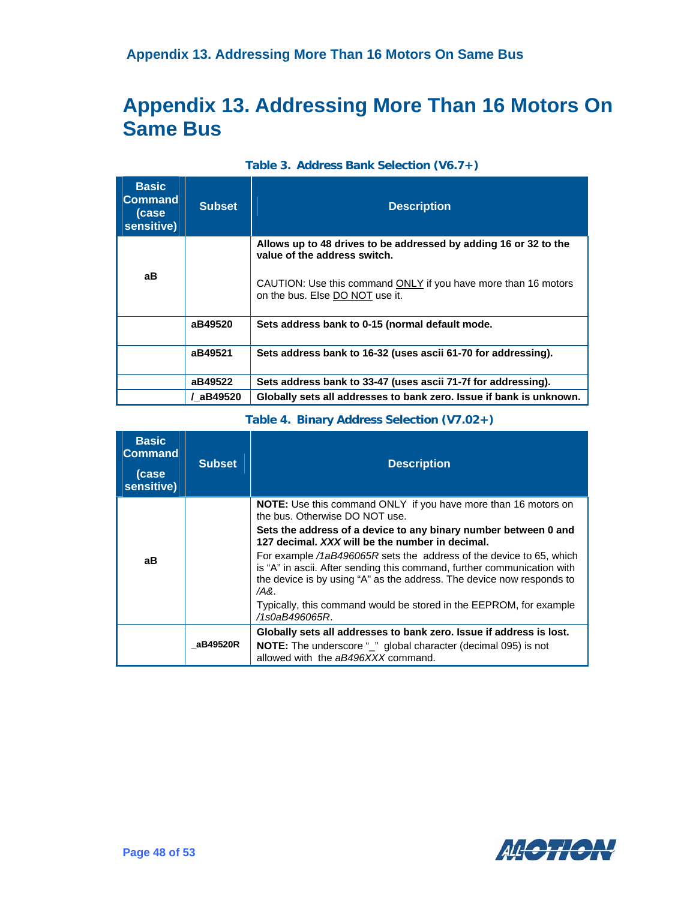# <span id="page-54-0"></span>**Appendix 13. Addressing More Than 16 Motors On Same Bus**

| <b>Basic</b><br><b>Command</b><br>(case<br>sensitive) | <b>Subset</b> | <b>Description</b>                                                                                                                                                                                    |
|-------------------------------------------------------|---------------|-------------------------------------------------------------------------------------------------------------------------------------------------------------------------------------------------------|
| aВ                                                    |               | Allows up to 48 drives to be addressed by adding 16 or 32 to the<br>value of the address switch.<br>CAUTION: Use this command ONLY if you have more than 16 motors<br>on the bus. Else DO NOT use it. |
|                                                       | aB49520       | Sets address bank to 0-15 (normal default mode.                                                                                                                                                       |
|                                                       | aB49521       | Sets address bank to 16-32 (uses ascii 61-70 for addressing).                                                                                                                                         |
|                                                       | aB49522       | Sets address bank to 33-47 (uses ascii 71-7f for addressing).                                                                                                                                         |
|                                                       | / aB49520     | Globally sets all addresses to bank zero. Issue if bank is unknown.                                                                                                                                   |

| <b>Basic</b><br><b>Command</b><br>(case<br>sensitive) | <b>Subset</b> | <b>Description</b>                                                                                                                                                                                                                 |
|-------------------------------------------------------|---------------|------------------------------------------------------------------------------------------------------------------------------------------------------------------------------------------------------------------------------------|
|                                                       |               | <b>NOTE:</b> Use this command ONLY if you have more than 16 motors on<br>the bus. Otherwise DO NOT use.                                                                                                                            |
|                                                       |               | Sets the address of a device to any binary number between 0 and<br>127 decimal. XXX will be the number in decimal.                                                                                                                 |
| aВ                                                    |               | For example /1aB496065R sets the address of the device to 65, which<br>is "A" in ascii. After sending this command, further communication with<br>the device is by using "A" as the address. The device now responds to<br>$/AA$ . |
|                                                       |               | Typically, this command would be stored in the EEPROM, for example<br>/1s0aB496065R.                                                                                                                                               |
|                                                       |               | Globally sets all addresses to bank zero. Issue if address is lost.                                                                                                                                                                |
|                                                       | aB49520R      | <b>NOTE:</b> The underscore "_" global character (decimal 095) is not<br>allowed with the aB496XXX command.                                                                                                                        |

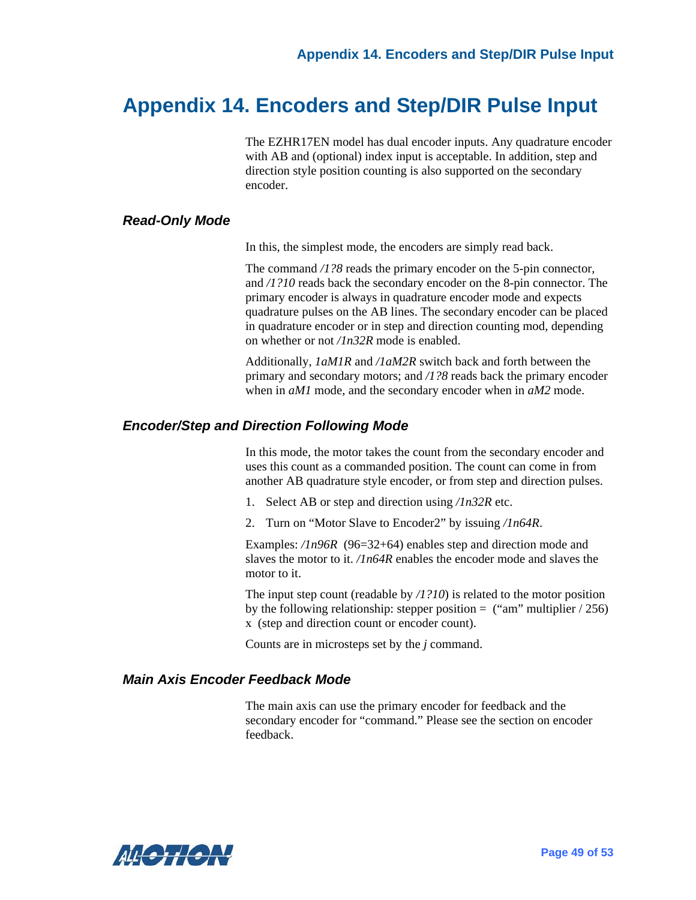### <span id="page-55-0"></span>**Appendix 14. Encoders and Step/DIR Pulse Input**

The EZHR17EN model has dual encoder inputs. Any quadrature encoder with AB and (optional) index input is acceptable. In addition, step and direction style position counting is also supported on the secondary encoder.

#### <span id="page-55-1"></span>*Read-Only Mode*

In this, the simplest mode, the encoders are simply read back.

The command /1?8 reads the primary encoder on the 5-pin connector, and */1?10* reads back the secondary encoder on the 8-pin connector. The primary encoder is always in quadrature encoder mode and expects quadrature pulses on the AB lines. The secondary encoder can be placed in quadrature encoder or in step and direction counting mod, depending on whether or not */1n32R* mode is enabled.

Additionally, *1aM1R* and */1aM2R* switch back and forth between the primary and secondary motors; and */1?8* reads back the primary encoder when in *aM1* mode, and the secondary encoder when in *aM2* mode.

#### <span id="page-55-2"></span>*Encoder/Step and Direction Following Mode*

In this mode, the motor takes the count from the secondary encoder and uses this count as a commanded position. The count can come in from another AB quadrature style encoder, or from step and direction pulses.

- 1. Select AB or step and direction using */1n32R* etc.
- 2. Turn on "Motor Slave to Encoder2" by issuing */1n64R*.

Examples: */1n96R* (96=32+64) enables step and direction mode and slaves the motor to it. */1n64R* enables the encoder mode and slaves the motor to it.

The input step count (readable by */1?10*) is related to the motor position by the following relationship: stepper position  $=$  ("am" multiplier / 256) x (step and direction count or encoder count).

Counts are in microsteps set by the *j* command.

#### <span id="page-55-3"></span>*Main Axis Encoder Feedback Mode*

The main axis can use the primary encoder for feedback and the secondary encoder for "command." Please see the section on encoder feedback.

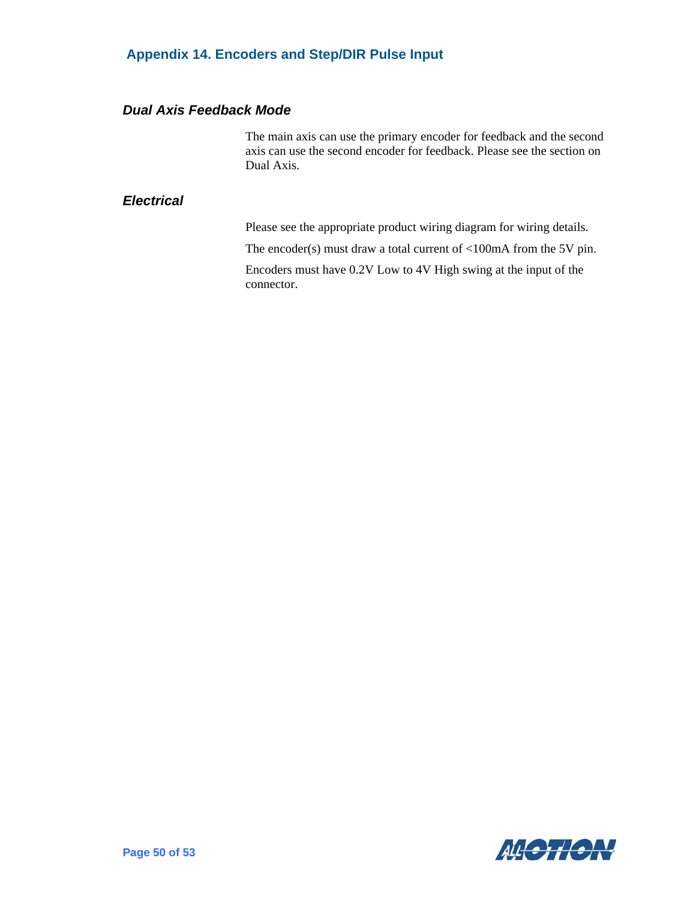#### **Appendix 14. Encoders and Step/DIR Pulse Input**

#### <span id="page-56-0"></span>*Dual Axis Feedback Mode*

The main axis can use the primary encoder for feedback and the second axis can use the second encoder for feedback. Please see the section on Dual Axis.

#### <span id="page-56-1"></span>*Electrical*

Please see the appropriate product wiring diagram for wiring details.

The encoder(s) must draw a total current of <100mA from the 5V pin.

Encoders must have 0.2V Low to 4V High swing at the input of the connector.

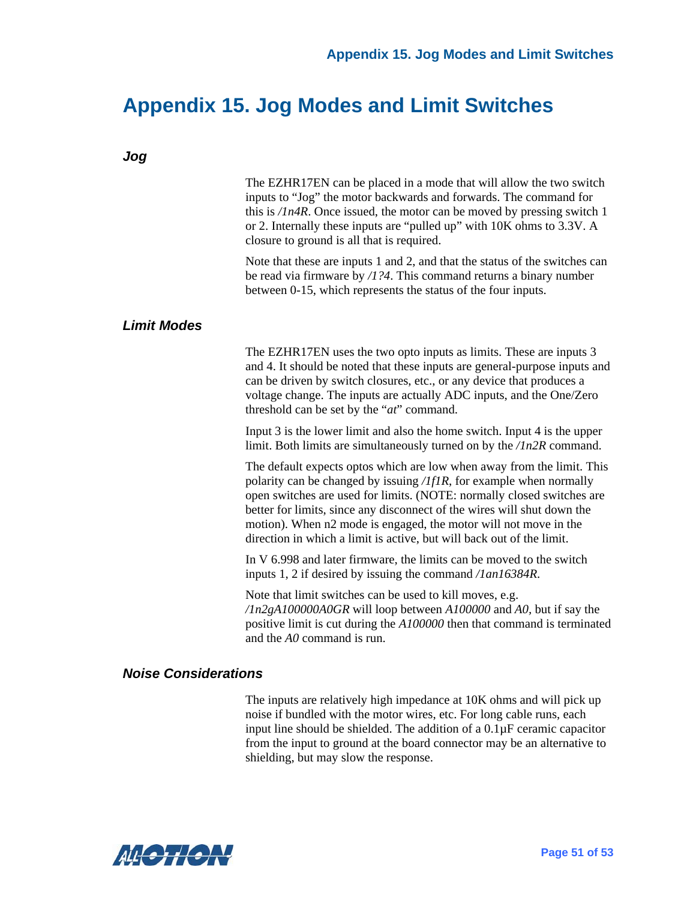# **Appendix 15. Jog Modes and Limit Switches**

<span id="page-57-2"></span><span id="page-57-1"></span><span id="page-57-0"></span>

| Jog                |                                                                                                                                                                                                                                                                                                                                                                                                                                                     |
|--------------------|-----------------------------------------------------------------------------------------------------------------------------------------------------------------------------------------------------------------------------------------------------------------------------------------------------------------------------------------------------------------------------------------------------------------------------------------------------|
|                    | The EZHR17EN can be placed in a mode that will allow the two switch<br>inputs to "Jog" the motor backwards and forwards. The command for<br>this is $/1n4R$ . Once issued, the motor can be moved by pressing switch 1<br>or 2. Internally these inputs are "pulled up" with 10K ohms to 3.3V. A<br>closure to ground is all that is required.                                                                                                      |
|                    | Note that these are inputs 1 and 2, and that the status of the switches can<br>be read via firmware by $/1$ ?4. This command returns a binary number<br>between 0-15, which represents the status of the four inputs.                                                                                                                                                                                                                               |
| <b>Limit Modes</b> |                                                                                                                                                                                                                                                                                                                                                                                                                                                     |
|                    | The EZHR17EN uses the two opto inputs as limits. These are inputs 3<br>and 4. It should be noted that these inputs are general-purpose inputs and<br>can be driven by switch closures, etc., or any device that produces a<br>voltage change. The inputs are actually ADC inputs, and the One/Zero<br>threshold can be set by the " <i>at</i> " command.                                                                                            |
|                    | Input 3 is the lower limit and also the home switch. Input 4 is the upper<br>limit. Both limits are simultaneously turned on by the $/ln2R$ command.                                                                                                                                                                                                                                                                                                |
|                    | The default expects optos which are low when away from the limit. This<br>polarity can be changed by issuing $/If IR$ , for example when normally<br>open switches are used for limits. (NOTE: normally closed switches are<br>better for limits, since any disconnect of the wires will shut down the<br>motion). When n2 mode is engaged, the motor will not move in the<br>direction in which a limit is active, but will back out of the limit. |
|                    | In V 6.998 and later firmware, the limits can be moved to the switch<br>inputs 1, 2 if desired by issuing the command $/Jan16384R$ .                                                                                                                                                                                                                                                                                                                |
|                    | Note that limit switches can be used to kill moves, e.g.<br>$\pi$ /1n2gA100000A0GR will loop between A100000 and A0, but if say the<br>positive limit is cut during the A100000 then that command is terminated<br>and the $AO$ command is run.                                                                                                                                                                                                     |

#### <span id="page-57-3"></span>*Noise Considerations*

The inputs are relatively high impedance at 10K ohms and will pick up noise if bundled with the motor wires, etc. For long cable runs, each input line should be shielded. The addition of a 0.1µF ceramic capacitor from the input to ground at the board connector may be an alternative to shielding, but may slow the response.

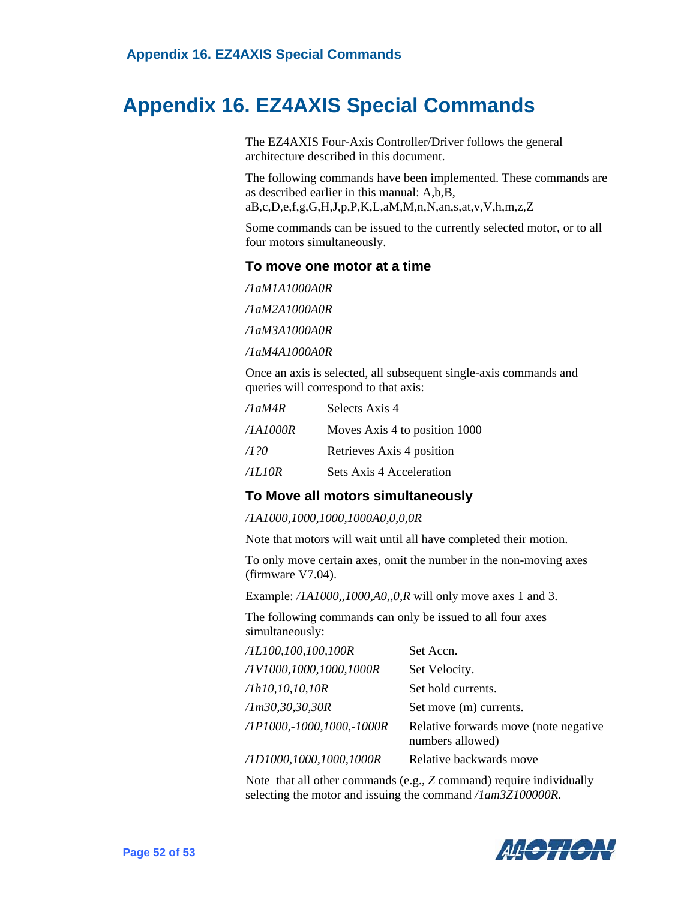# <span id="page-58-0"></span>**Appendix 16. EZ4AXIS Special Commands**

The EZ4AXIS Four-Axis Controller/Driver follows the general architecture described in this document.

The following commands have been implemented. These commands are as described earlier in this manual: A,b,B, aB,c,D,e,f,g,G,H,J,p,P,K,L,aM,M,n,N,an,s,at,v,V,h,m,z,Z

Some commands can be issued to the currently selected motor, or to all four motors simultaneously.

#### **To move one motor at a time**

*/1aM1A1000A0R*

*/1aM2A1000A0R*

*/1aM3A1000A0R*

*/1aM4A1000A0R*

Once an axis is selected, all subsequent single-axis commands and queries will correspond to that axis:

| /1aM4R   | Selects Axis 4                |
|----------|-------------------------------|
| /1A1000R | Moves Axis 4 to position 1000 |
| /120     | Retrieves Axis 4 position     |
| /ILIOR   | Sets Axis 4 Acceleration      |

#### **To Move all motors simultaneously**

#### */1A1000,1000,1000,1000A0,0,0,0R*

Note that motors will wait until all have completed their motion.

To only move certain axes, omit the number in the non-moving axes (firmware V7.04).

Example: */1A1000,,1000,A0,,0,R* will only move axes 1 and 3.

The following commands can only be issued to all four axes simultaneously:

| /1L100, 100, 100, 100R              | Set Accn.                                                  |
|-------------------------------------|------------------------------------------------------------|
| /1V1000,1000,1000,1000R             | Set Velocity.                                              |
| /1h10, 10, 10, 10R                  | Set hold currents.                                         |
| /Im30,30,30,30R                     | Set move (m) currents.                                     |
| $/1P1000, -1000, 1000, -1000R$      | Relative forwards move (note negative)<br>numbers allowed) |
| $\sqrt{1D1000}$ , 1000, 1000, 1000R | Relative backwards move                                    |

Note that all other commands (e.g., *Z* command) require individually selecting the motor and issuing the command */1am3Z100000R*.